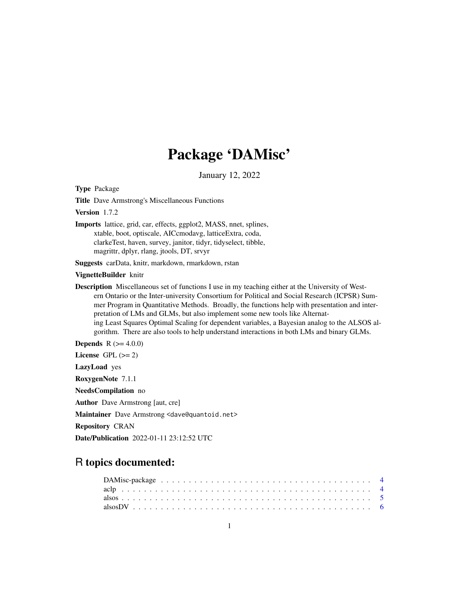# Package 'DAMisc'

January 12, 2022

<span id="page-0-0"></span>Type Package

Title Dave Armstrong's Miscellaneous Functions

Version 1.7.2

Imports lattice, grid, car, effects, ggplot2, MASS, nnet, splines, xtable, boot, optiscale, AICcmodavg, latticeExtra, coda, clarkeTest, haven, survey, janitor, tidyr, tidyselect, tibble, magrittr, dplyr, rlang, jtools, DT, srvyr

Suggests carData, knitr, markdown, rmarkdown, rstan

#### VignetteBuilder knitr

Description Miscellaneous set of functions I use in my teaching either at the University of Western Ontario or the Inter-university Consortium for Political and Social Research (ICPSR) Summer Program in Quantitative Methods. Broadly, the functions help with presentation and interpretation of LMs and GLMs, but also implement some new tools like Alternating Least Squares Optimal Scaling for dependent variables, a Bayesian analog to the ALSOS algorithm. There are also tools to help understand interactions in both LMs and binary GLMs.

**Depends** R  $(>= 4.0.0)$ 

License GPL  $(>= 2)$ 

LazyLoad yes

RoxygenNote 7.1.1

NeedsCompilation no

Author Dave Armstrong [aut, cre]

Maintainer Dave Armstrong <dave@quantoid.net>

Repository CRAN

Date/Publication 2022-01-11 23:12:52 UTC

# R topics documented: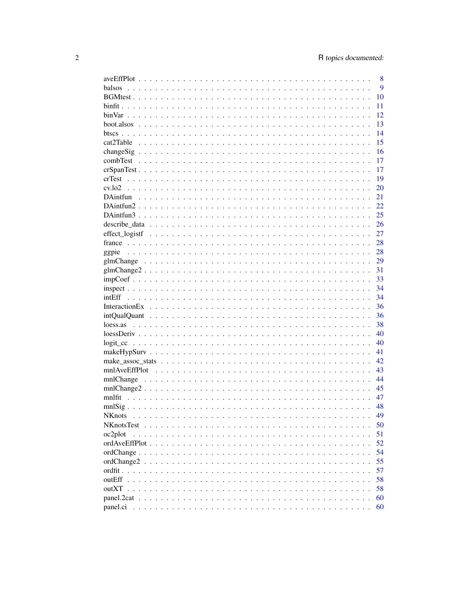|                                                                                                                                                                                                      | 8  |
|------------------------------------------------------------------------------------------------------------------------------------------------------------------------------------------------------|----|
| balsos                                                                                                                                                                                               | 9  |
|                                                                                                                                                                                                      | 10 |
|                                                                                                                                                                                                      | 11 |
|                                                                                                                                                                                                      | 12 |
|                                                                                                                                                                                                      | 13 |
|                                                                                                                                                                                                      | 14 |
|                                                                                                                                                                                                      | 15 |
|                                                                                                                                                                                                      | 16 |
|                                                                                                                                                                                                      | 17 |
|                                                                                                                                                                                                      | 17 |
|                                                                                                                                                                                                      |    |
|                                                                                                                                                                                                      | 19 |
|                                                                                                                                                                                                      | 20 |
|                                                                                                                                                                                                      | 21 |
|                                                                                                                                                                                                      | 22 |
|                                                                                                                                                                                                      | 25 |
|                                                                                                                                                                                                      | 26 |
|                                                                                                                                                                                                      | 27 |
|                                                                                                                                                                                                      | 28 |
| ggpie                                                                                                                                                                                                | 28 |
|                                                                                                                                                                                                      | 29 |
|                                                                                                                                                                                                      | 31 |
|                                                                                                                                                                                                      | 33 |
|                                                                                                                                                                                                      | 34 |
|                                                                                                                                                                                                      | 34 |
|                                                                                                                                                                                                      | 36 |
|                                                                                                                                                                                                      | 36 |
|                                                                                                                                                                                                      | 38 |
|                                                                                                                                                                                                      | 40 |
|                                                                                                                                                                                                      |    |
|                                                                                                                                                                                                      | 40 |
|                                                                                                                                                                                                      | 41 |
|                                                                                                                                                                                                      | 42 |
|                                                                                                                                                                                                      | 43 |
|                                                                                                                                                                                                      | 44 |
| $mnlChange2$                                                                                                                                                                                         | 45 |
|                                                                                                                                                                                                      | 47 |
|                                                                                                                                                                                                      | 48 |
| <b>NK</b> nots                                                                                                                                                                                       | 49 |
| <b>NKnotsTest</b><br>$\mathbf{1}$ $\mathbf{1}$ $\mathbf{1}$ $\mathbf{1}$ $\mathbf{1}$<br>.<br>$\mathbf{r}$ , $\mathbf{r}$ , $\mathbf{r}$ , $\mathbf{r}$ , $\mathbf{r}$ , $\mathbf{r}$ , $\mathbf{r}$ | 50 |
| oc2plot                                                                                                                                                                                              | 51 |
|                                                                                                                                                                                                      | 52 |
|                                                                                                                                                                                                      | 54 |
|                                                                                                                                                                                                      | 55 |
|                                                                                                                                                                                                      | 57 |
| outEff                                                                                                                                                                                               | 58 |
| outXT                                                                                                                                                                                                | 58 |
|                                                                                                                                                                                                      | 60 |
| panel.ci                                                                                                                                                                                             | 60 |
|                                                                                                                                                                                                      |    |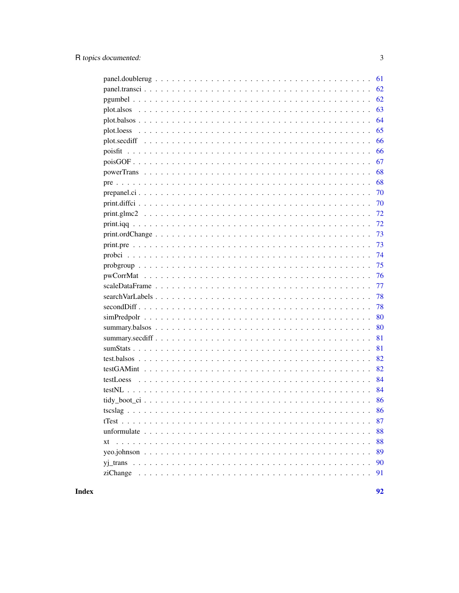| 61 |
|----|
| 62 |
| 62 |
| 63 |
| 64 |
| 65 |
| 66 |
| 66 |
| 67 |
| 68 |
| 68 |
| 70 |
| 70 |
| 72 |
| 72 |
| 73 |
| 73 |
| 74 |
| 75 |
| 76 |
| 77 |
| 78 |
| 78 |
| 80 |
| 80 |
| 81 |
| 81 |
| 82 |
| 82 |
| 84 |
| 84 |
| 86 |
| 86 |
| 87 |
| 88 |
| 88 |
| 89 |
|    |
| 90 |

**Index**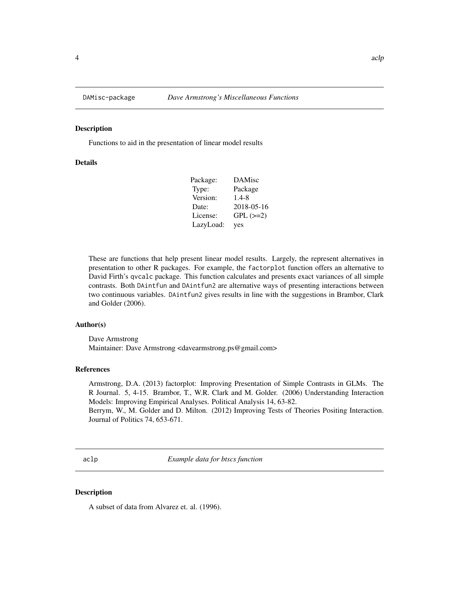<span id="page-3-0"></span>

Functions to aid in the presentation of linear model results

#### Details

| Package:  | DAMisc        |
|-----------|---------------|
| Type:     | Package       |
| Version:  | 1.4-8         |
| Date:     | 2018-05-16    |
| License:  | $GPL$ $(>=2)$ |
| LazyLoad: | yes           |

These are functions that help present linear model results. Largely, the represent alternatives in presentation to other R packages. For example, the factorplot function offers an alternative to David Firth's qvcalc package. This function calculates and presents exact variances of all simple contrasts. Both DAintfun and DAintfun2 are alternative ways of presenting interactions between two continuous variables. DAintfun2 gives results in line with the suggestions in Brambor, Clark and Golder (2006).

#### Author(s)

Dave Armstrong Maintainer: Dave Armstrong <davearmstrong.ps@gmail.com>

#### References

Armstrong, D.A. (2013) factorplot: Improving Presentation of Simple Contrasts in GLMs. The R Journal. 5, 4-15. Brambor, T., W.R. Clark and M. Golder. (2006) Understanding Interaction Models: Improving Empirical Analyses. Political Analysis 14, 63-82.

Berrym, W., M. Golder and D. Milton. (2012) Improving Tests of Theories Positing Interaction. Journal of Politics 74, 653-671.

aclp *Example data for btscs function*

#### Description

A subset of data from Alvarez et. al. (1996).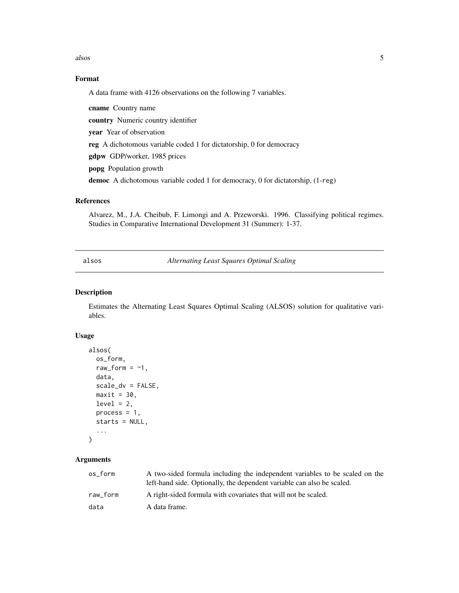<span id="page-4-0"></span>alsos 5

# Format

A data frame with 4126 observations on the following 7 variables.

cname Country name country Numeric country identifier year Year of observation reg A dichotomous variable coded 1 for dictatorship, 0 for democracy gdpw GDP/worker, 1985 prices popg Population growth democ A dichotomous variable coded 1 for democracy, 0 for dictatorship, (1-reg)

#### References

Alvarez, M., J.A. Cheibub, F. Limongi and A. Przeworski. 1996. Classifying political regimes. Studies in Comparative International Development 31 (Summer): 1-37.

alsos *Alternating Least Squares Optimal Scaling*

# Description

Estimates the Alternating Least Squares Optimal Scaling (ALSOS) solution for qualitative variables.

#### Usage

```
alsos(
 os_form,
  raw_form = ~1,
  data,
  scale_dv = FALSE,
 maxit = 30,
  level = 2,process = 1,
  starts = NULL,
  ...
)
```

| os form  | A two-sided formula including the independent variables to be scaled on the<br>left-hand side. Optionally, the dependent variable can also be scaled. |
|----------|-------------------------------------------------------------------------------------------------------------------------------------------------------|
| raw form | A right-sided formula with covariates that will not be scaled.                                                                                        |
| data     | A data frame.                                                                                                                                         |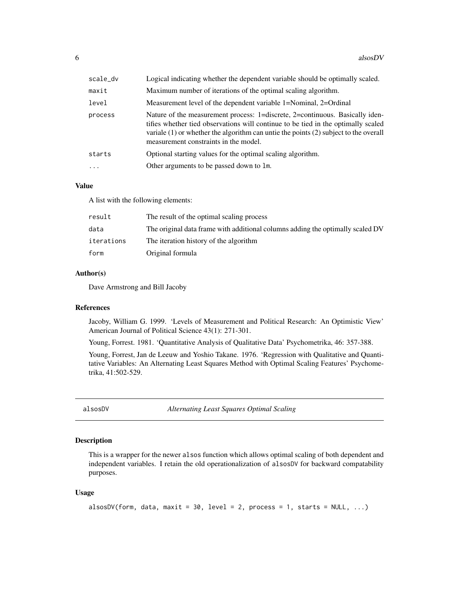<span id="page-5-0"></span>

| scale_dv  | Logical indicating whether the dependent variable should be optimally scaled.                                                                                                                                                                                                                          |
|-----------|--------------------------------------------------------------------------------------------------------------------------------------------------------------------------------------------------------------------------------------------------------------------------------------------------------|
| maxit     | Maximum number of iterations of the optimal scaling algorithm.                                                                                                                                                                                                                                         |
| level     | Measurement level of the dependent variable 1=Nominal, 2=Ordinal                                                                                                                                                                                                                                       |
| process   | Nature of the measurement process: 1=discrete, 2=continuous. Basically iden-<br>tifies whether tied observations will continue to be tied in the optimally scaled<br>variale $(1)$ or whether the algorithm can untie the points $(2)$ subject to the overall<br>measurement constraints in the model. |
| starts    | Optional starting values for the optimal scaling algorithm.                                                                                                                                                                                                                                            |
| $\ddotsc$ | Other arguments to be passed down to 1m.                                                                                                                                                                                                                                                               |

#### Value

A list with the following elements:

| result     | The result of the optimal scaling process                                      |
|------------|--------------------------------------------------------------------------------|
| data       | The original data frame with additional columns adding the optimally scaled DV |
| iterations | The iteration history of the algorithm                                         |
| form       | Original formula                                                               |

# Author(s)

Dave Armstrong and Bill Jacoby

#### References

Jacoby, William G. 1999. 'Levels of Measurement and Political Research: An Optimistic View' American Journal of Political Science 43(1): 271-301.

Young, Forrest. 1981. 'Quantitative Analysis of Qualitative Data' Psychometrika, 46: 357-388.

Young, Forrest, Jan de Leeuw and Yoshio Takane. 1976. 'Regression with Qualitative and Quantitative Variables: An Alternating Least Squares Method with Optimal Scaling Features' Psychometrika, 41:502-529.

alsosDV *Alternating Least Squares Optimal Scaling*

# Description

This is a wrapper for the newer alsos function which allows optimal scaling of both dependent and independent variables. I retain the old operationalization of alsosDV for backward compatability purposes.

#### Usage

```
alsosDV(form, data, maxit = 30, level = 2, process = 1, starts = NULL, \ldots)
```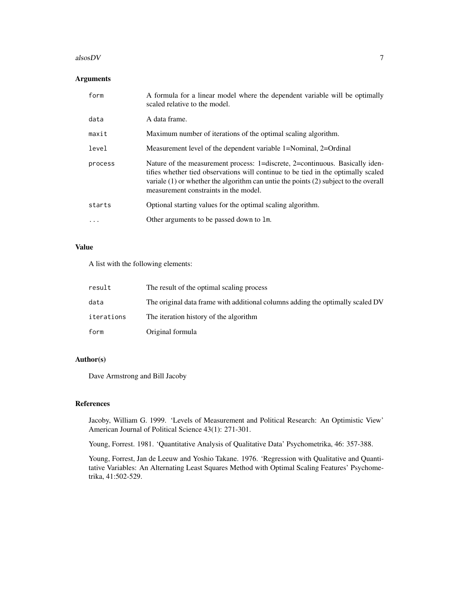#### $\alpha$ lsos $D$ V  $\alpha$  7

# Arguments

| form     | A formula for a linear model where the dependent variable will be optimally<br>scaled relative to the model.                                                                                                                                                                                           |
|----------|--------------------------------------------------------------------------------------------------------------------------------------------------------------------------------------------------------------------------------------------------------------------------------------------------------|
| data     | A data frame.                                                                                                                                                                                                                                                                                          |
| maxit    | Maximum number of iterations of the optimal scaling algorithm.                                                                                                                                                                                                                                         |
| level    | Measurement level of the dependent variable 1=Nominal, 2=Ordinal                                                                                                                                                                                                                                       |
| process  | Nature of the measurement process: 1=discrete, 2=continuous. Basically iden-<br>tifies whether tied observations will continue to be tied in the optimally scaled<br>variale $(1)$ or whether the algorithm can untie the points $(2)$ subject to the overall<br>measurement constraints in the model. |
| starts   | Optional starting values for the optimal scaling algorithm.                                                                                                                                                                                                                                            |
| $\cdots$ | Other arguments to be passed down to 1m.                                                                                                                                                                                                                                                               |

# Value

A list with the following elements:

| result     | The result of the optimal scaling process                                      |
|------------|--------------------------------------------------------------------------------|
| data       | The original data frame with additional columns adding the optimally scaled DV |
| iterations | The iteration history of the algorithm                                         |
| form       | Original formula                                                               |

# Author(s)

Dave Armstrong and Bill Jacoby

# References

Jacoby, William G. 1999. 'Levels of Measurement and Political Research: An Optimistic View' American Journal of Political Science 43(1): 271-301.

Young, Forrest. 1981. 'Quantitative Analysis of Qualitative Data' Psychometrika, 46: 357-388.

Young, Forrest, Jan de Leeuw and Yoshio Takane. 1976. 'Regression with Qualitative and Quantitative Variables: An Alternating Least Squares Method with Optimal Scaling Features' Psychometrika, 41:502-529.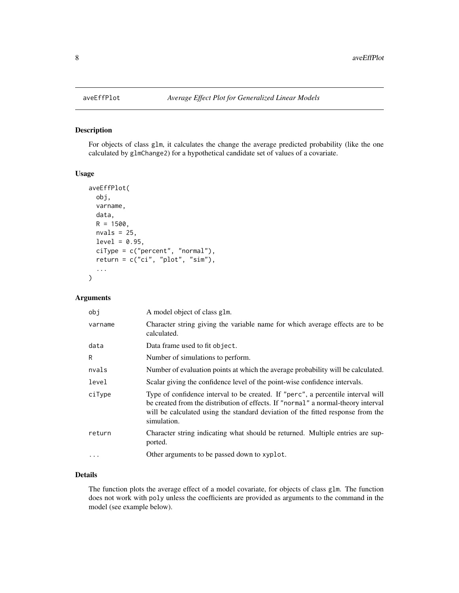<span id="page-7-0"></span>

For objects of class glm, it calculates the change the average predicted probability (like the one calculated by glmChange2) for a hypothetical candidate set of values of a covariate.

# Usage

```
aveEffPlot(
  obj,
  varname,
  data,
 R = 1500,nvals = 25,
  level = 0.95,ciType = c("percent", "normal"),
  return = c("ci", "plot", "sim"),
  ...
)
```
#### Arguments

| obi      | A model object of class glm.                                                                                                                                                                                                                                            |
|----------|-------------------------------------------------------------------------------------------------------------------------------------------------------------------------------------------------------------------------------------------------------------------------|
| varname  | Character string giving the variable name for which average effects are to be<br>calculated.                                                                                                                                                                            |
| data     | Data frame used to fit object.                                                                                                                                                                                                                                          |
| R        | Number of simulations to perform.                                                                                                                                                                                                                                       |
| nvals    | Number of evaluation points at which the average probability will be calculated.                                                                                                                                                                                        |
| level    | Scalar giving the confidence level of the point-wise confidence intervals.                                                                                                                                                                                              |
| ciType   | Type of confidence interval to be created. If "perc", a percentile interval will<br>be created from the distribution of effects. If "normal" a normal-theory interval<br>will be calculated using the standard deviation of the fitted response from the<br>simulation. |
| return   | Character string indicating what should be returned. Multiple entries are sup-<br>ported.                                                                                                                                                                               |
| $\cdots$ | Other arguments to be passed down to xyplot.                                                                                                                                                                                                                            |

# Details

The function plots the average effect of a model covariate, for objects of class glm. The function does not work with poly unless the coefficients are provided as arguments to the command in the model (see example below).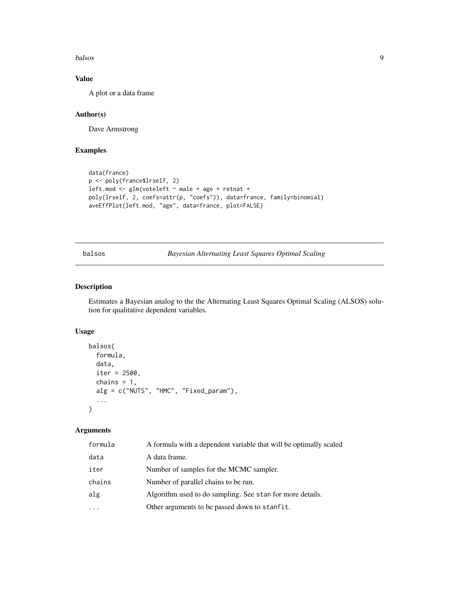#### <span id="page-8-0"></span>balsos **9**

# Value

A plot or a data frame

# Author(s)

Dave Armstrong

# Examples

```
data(france)
p <- poly(france$lrself, 2)
leftmod \leftarrow glm(voteleft \sim male + age + retnat +poly(lrself, 2, coefs=attr(p, "coefs")), data=france, family=binomial)
aveEffPlot(left.mod, "age", data=france, plot=FALSE)
```
balsos *Bayesian Alternating Least Squares Optimal Scaling*

#### Description

Estimates a Bayesian analog to the the Alternating Least Squares Optimal Scaling (ALSOS) solution for qualitative dependent variables.

#### Usage

```
balsos(
  formula,
 data,
  iter = 2500,
  chains = 1,
  alg = c("NUTS", "HMC", "Fixed_param"),
  ...
)
```

| formula | A formula with a dependent variable that will be optimally scaled |
|---------|-------------------------------------------------------------------|
| data    | A data frame.                                                     |
| iter    | Number of samples for the MCMC sampler.                           |
| chains  | Number of parallel chains to be run.                              |
| alg     | Algorithm used to do sampling. See stan for more details.         |
| .       | Other arguments to be passed down to stanfit.                     |
|         |                                                                   |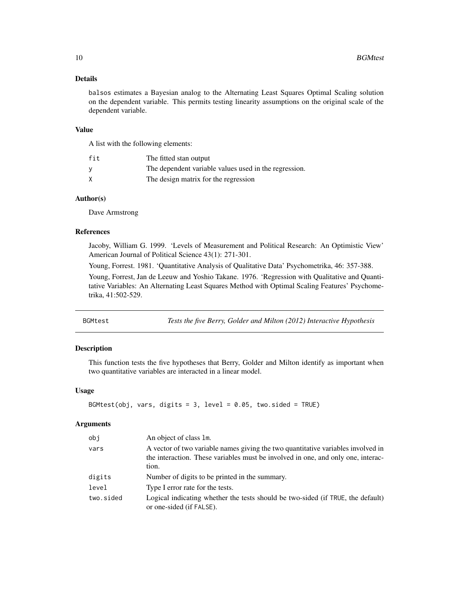# <span id="page-9-0"></span>Details

balsos estimates a Bayesian analog to the Alternating Least Squares Optimal Scaling solution on the dependent variable. This permits testing linearity assumptions on the original scale of the dependent variable.

#### Value

A list with the following elements:

| fit | The fitted stan output                                |
|-----|-------------------------------------------------------|
|     | The dependent variable values used in the regression. |
| X   | The design matrix for the regression                  |

# Author(s)

Dave Armstrong

#### References

Jacoby, William G. 1999. 'Levels of Measurement and Political Research: An Optimistic View' American Journal of Political Science 43(1): 271-301.

Young, Forrest. 1981. 'Quantitative Analysis of Qualitative Data' Psychometrika, 46: 357-388.

Young, Forrest, Jan de Leeuw and Yoshio Takane. 1976. 'Regression with Qualitative and Quantitative Variables: An Alternating Least Squares Method with Optimal Scaling Features' Psychometrika, 41:502-529.

BGMtest *Tests the five Berry, Golder and Milton (2012) Interactive Hypothesis*

#### Description

This function tests the five hypotheses that Berry, Golder and Milton identify as important when two quantitative variables are interacted in a linear model.

#### Usage

```
BGMtest(obj, vars, digits = 3, level = 0.05, two.sided = TRUE)
```

| obj       | An object of class 1m.                                                                                                                                                        |
|-----------|-------------------------------------------------------------------------------------------------------------------------------------------------------------------------------|
| vars      | A vector of two variable names giving the two quantitative variables involved in<br>the interaction. These variables must be involved in one, and only one, interac-<br>tion. |
| digits    | Number of digits to be printed in the summary.                                                                                                                                |
| level     | Type I error rate for the tests.                                                                                                                                              |
| two.sided | Logical indicating whether the tests should be two-sided (if TRUE, the default)<br>or one-sided (if FALSE).                                                                   |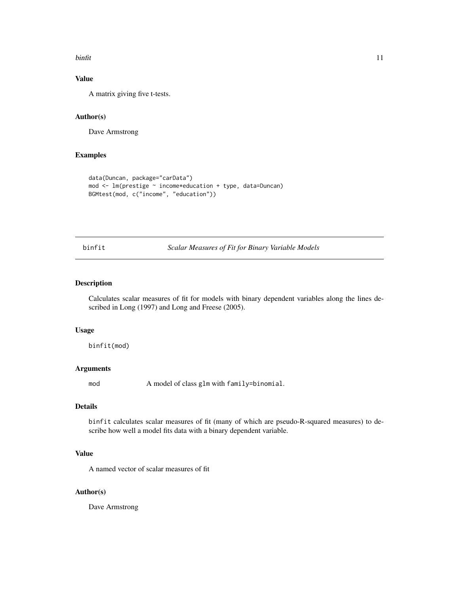#### <span id="page-10-0"></span>binfit that the contract of the contract of the contract of the contract of the contract of the contract of the contract of the contract of the contract of the contract of the contract of the contract of the contract of th

# Value

A matrix giving five t-tests.

#### Author(s)

Dave Armstrong

# Examples

```
data(Duncan, package="carData")
mod <- lm(prestige ~ income*education + type, data=Duncan)
BGMtest(mod, c("income", "education"))
```
binfit *Scalar Measures of Fit for Binary Variable Models*

# Description

Calculates scalar measures of fit for models with binary dependent variables along the lines described in Long (1997) and Long and Freese (2005).

# Usage

binfit(mod)

#### Arguments

mod A model of class glm with family=binomial.

#### Details

binfit calculates scalar measures of fit (many of which are pseudo-R-squared measures) to describe how well a model fits data with a binary dependent variable.

# Value

A named vector of scalar measures of fit

#### Author(s)

Dave Armstrong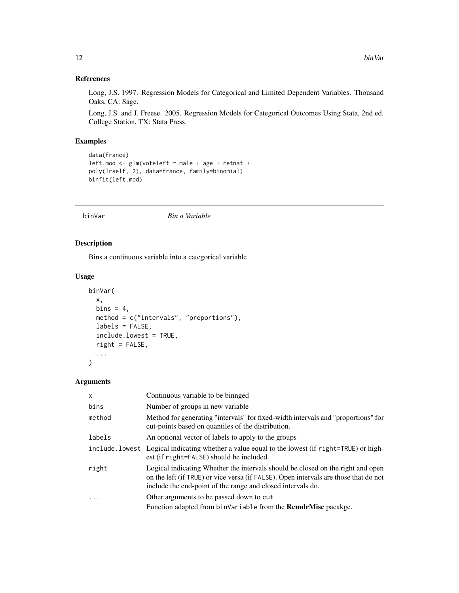# <span id="page-11-0"></span>References

Long, J.S. 1997. Regression Models for Categorical and Limited Dependent Variables. Thousand Oaks, CA: Sage.

Long, J.S. and J. Freese. 2005. Regression Models for Categorical Outcomes Using Stata, 2nd ed. College Station, TX: Stata Press.

# Examples

```
data(france)
leftmod \leftarrow glm(voteleft \sim male + age + retnat +poly(lrself, 2), data=france, family=binomial)
binfit(left.mod)
```
binVar *Bin a Variable*

# Description

Bins a continuous variable into a categorical variable

#### Usage

```
binVar(
  x,
  bins = 4,
  method = c("intervals", "proportions"),
  labels = FALSE,include.lowest = TRUE,
  right = FALSE,
  ...
\mathcal{L}
```

| X        | Continuous variable to be binnged                                                                                                                                                                                                      |
|----------|----------------------------------------------------------------------------------------------------------------------------------------------------------------------------------------------------------------------------------------|
| bins     | Number of groups in new variable                                                                                                                                                                                                       |
| method   | Method for generating "intervals" for fixed-width intervals and "proportions" for<br>cut-points based on quantiles of the distribution.                                                                                                |
| labels   | An optional vector of labels to apply to the groups                                                                                                                                                                                    |
|          | include. lowest Logical indicating whether a value equal to the lowest (if right=TRUE) or high-<br>est (if right=FALSE) should be included.                                                                                            |
| right    | Logical indicating Whether the intervals should be closed on the right and open<br>on the left (if TRUE) or vice versa (if FALSE). Open intervals are those that do not<br>include the end-point of the range and closed intervals do. |
| $\cdots$ | Other arguments to be passed down to cut                                                                                                                                                                                               |
|          | Function adapted from binVariable from the <b>RemdrMise</b> pacakge.                                                                                                                                                                   |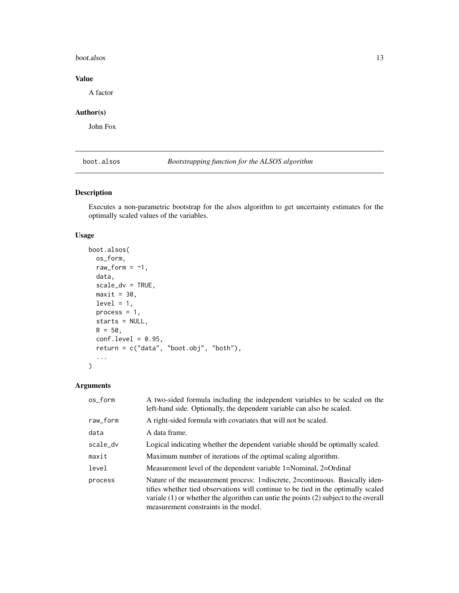#### <span id="page-12-0"></span>boot.alsos and the set of the set of the set of the set of the set of the set of the set of the set of the set of the set of the set of the set of the set of the set of the set of the set of the set of the set of the set o

# Value

A factor

# Author(s)

John Fox

boot.alsos *Bootstrapping function for the ALSOS algorithm*

# Description

Executes a non-parametric bootstrap for the alsos algorithm to get uncertainty estimates for the optimally scaled values of the variables.

# Usage

```
boot.alsos(
 os_form,
 raw_form = ~1,
 data,
  scale_dv = TRUE,
 maxit = 30,
 level = 1,process = 1,
  starts = NULL,
 R = 50,
 conf. level = 0.95,return = c("data", "boot.obj", "both"),
  ...
)
```

| os_form  | A two-sided formula including the independent variables to be scaled on the<br>left-hand side. Optionally, the dependent variable can also be scaled.                                                                                                                                                  |
|----------|--------------------------------------------------------------------------------------------------------------------------------------------------------------------------------------------------------------------------------------------------------------------------------------------------------|
| raw_form | A right-sided formula with covariates that will not be scaled.                                                                                                                                                                                                                                         |
| data     | A data frame.                                                                                                                                                                                                                                                                                          |
| scale_dv | Logical indicating whether the dependent variable should be optimally scaled.                                                                                                                                                                                                                          |
| maxit    | Maximum number of iterations of the optimal scaling algorithm.                                                                                                                                                                                                                                         |
| level    | Measurement level of the dependent variable 1=Nominal, 2=Ordinal                                                                                                                                                                                                                                       |
| process  | Nature of the measurement process: 1=discrete, 2=continuous. Basically iden-<br>tifies whether tied observations will continue to be tied in the optimally scaled<br>variale $(1)$ or whether the algorithm can untie the points $(2)$ subject to the overall<br>measurement constraints in the model. |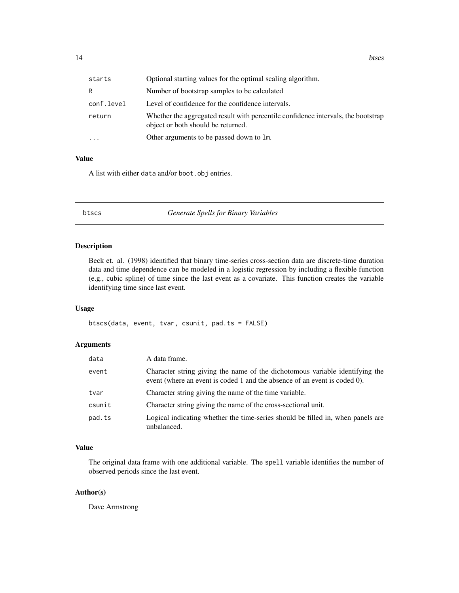<span id="page-13-0"></span>

| starts     | Optional starting values for the optimal scaling algorithm.                                                             |
|------------|-------------------------------------------------------------------------------------------------------------------------|
| R          | Number of bootstrap samples to be calculated                                                                            |
| conf.level | Level of confidence for the confidence intervals.                                                                       |
| return     | Whether the aggregated result with percentile confidence intervals, the bootstrap<br>object or both should be returned. |
| $\ddotsc$  | Other arguments to be passed down to 1m.                                                                                |

#### Value

A list with either data and/or boot.obj entries.

btscs *Generate Spells for Binary Variables*

# Description

Beck et. al. (1998) identified that binary time-series cross-section data are discrete-time duration data and time dependence can be modeled in a logistic regression by including a flexible function (e.g., cubic spline) of time since the last event as a covariate. This function creates the variable identifying time since last event.

#### Usage

btscs(data, event, tvar, csunit, pad.ts = FALSE)

# Arguments

| data   | A data frame.                                                                                                                                             |
|--------|-----------------------------------------------------------------------------------------------------------------------------------------------------------|
| event  | Character string giving the name of the dichotomous variable identifying the<br>event (where an event is coded 1 and the absence of an event is coded 0). |
| tvar   | Character string giving the name of the time variable.                                                                                                    |
| csunit | Character string giving the name of the cross-sectional unit.                                                                                             |
| pad.ts | Logical indicating whether the time-series should be filled in, when panels are<br>unbalanced.                                                            |

# Value

The original data frame with one additional variable. The spell variable identifies the number of observed periods since the last event.

#### Author(s)

Dave Armstrong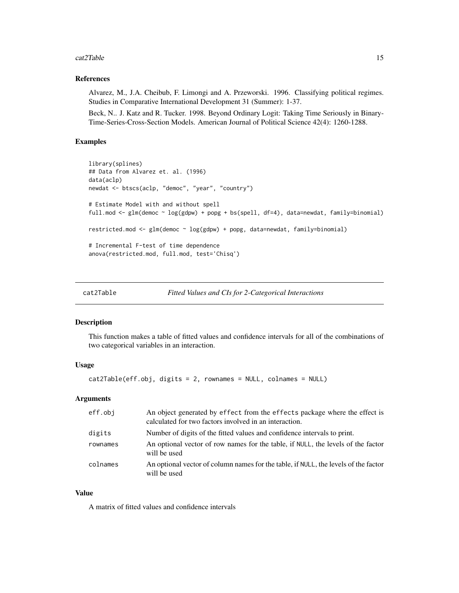#### <span id="page-14-0"></span>cat2Table 15

#### References

Alvarez, M., J.A. Cheibub, F. Limongi and A. Przeworski. 1996. Classifying political regimes. Studies in Comparative International Development 31 (Summer): 1-37.

Beck, N.. J. Katz and R. Tucker. 1998. Beyond Ordinary Logit: Taking Time Seriously in Binary-Time-Series-Cross-Section Models. American Journal of Political Science 42(4): 1260-1288.

# Examples

```
library(splines)
## Data from Alvarez et. al. (1996)
data(aclp)
newdat <- btscs(aclp, "democ", "year", "country")
# Estimate Model with and without spell
full.mod <- glm(democ ~ log(gdpw) + popg + bs(spell, df=4), data=newdat, family=binomial)
restricted.mod <- glm(democ ~ log(gdpw) + popg, data=newdat, family=binomial)
# Incremental F-test of time dependence
anova(restricted.mod, full.mod, test='Chisq')
```
cat2Table *Fitted Values and CIs for 2-Categorical Interactions*

#### Description

This function makes a table of fitted values and confidence intervals for all of the combinations of two categorical variables in an interaction.

#### Usage

cat2Table(eff.obj, digits = 2, rownames = NULL, colnames = NULL)

#### Arguments

| eff.obi  | An object generated by effect from the effects package where the effect is<br>calculated for two factors involved in an interaction. |
|----------|--------------------------------------------------------------------------------------------------------------------------------------|
| digits   | Number of digits of the fitted values and confidence intervals to print.                                                             |
| rownames | An optional vector of row names for the table, if NULL, the levels of the factor<br>will be used                                     |
| colnames | An optional vector of column names for the table, if NULL, the levels of the factor<br>will be used                                  |

#### Value

A matrix of fitted values and confidence intervals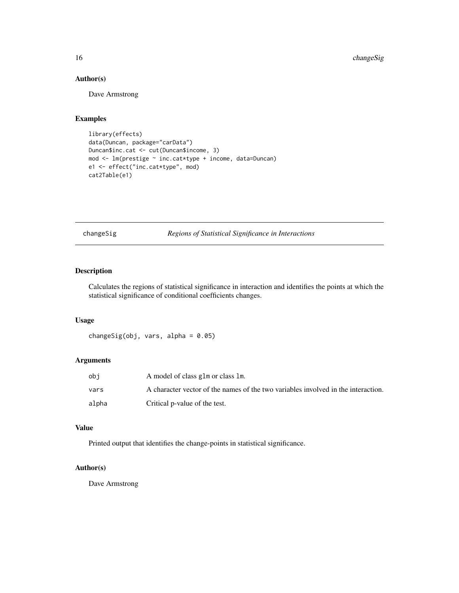# Author(s)

Dave Armstrong

# Examples

```
library(effects)
data(Duncan, package="carData")
Duncan$inc.cat <- cut(Duncan$income, 3)
mod <- lm(prestige ~ inc.cat*type + income, data=Duncan)
e1 <- effect("inc.cat*type", mod)
cat2Table(e1)
```
changeSig *Regions of Statistical Significance in Interactions*

# Description

Calculates the regions of statistical significance in interaction and identifies the points at which the statistical significance of conditional coefficients changes.

#### Usage

```
changeSig(obj, vars, alpha = 0.05)
```
# Arguments

| obi   | A model of class glm or class lm.                                                 |
|-------|-----------------------------------------------------------------------------------|
| vars  | A character vector of the names of the two variables involved in the interaction. |
| alpha | Critical p-value of the test.                                                     |

#### Value

Printed output that identifies the change-points in statistical significance.

# Author(s)

Dave Armstrong

<span id="page-15-0"></span>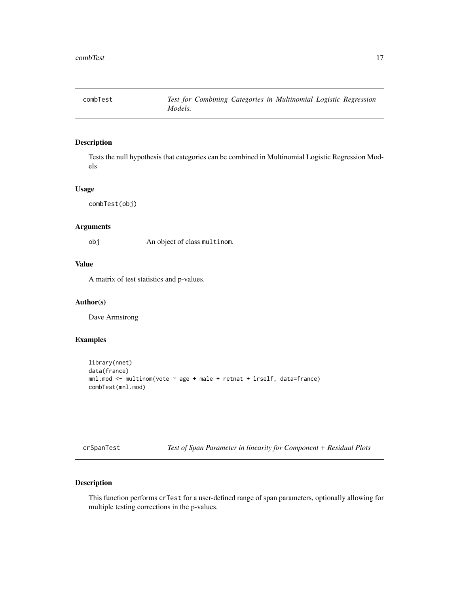<span id="page-16-0"></span>

Tests the null hypothesis that categories can be combined in Multinomial Logistic Regression Models

#### Usage

combTest(obj)

# Arguments

obj An object of class multinom.

# Value

A matrix of test statistics and p-values.

#### Author(s)

Dave Armstrong

#### Examples

```
library(nnet)
data(france)
mnl.mod <- multinom(vote ~ age + male + retnat + lrself, data=france)
combTest(mnl.mod)
```
crSpanTest *Test of Span Parameter in linearity for Component + Residual Plots*

# Description

This function performs crTest for a user-defined range of span parameters, optionally allowing for multiple testing corrections in the p-values.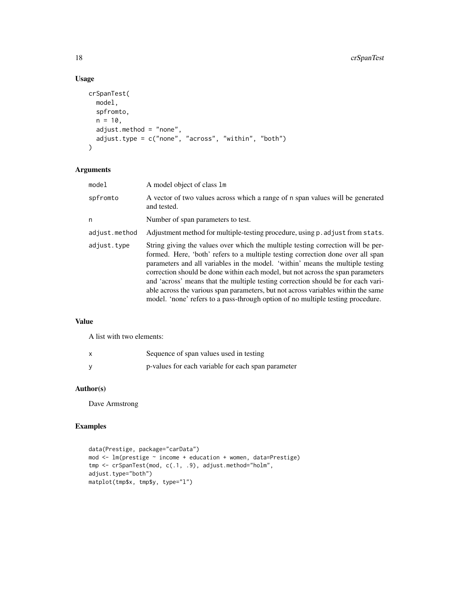# Usage

```
crSpanTest(
  model,
  spfromto,
  n = 10,
  adjust.method = "none",
  adjust.type = c("none", "across", "within", "both")
)
```
# Arguments

| model         | A model object of class 1m                                                                                                                                                                                                                                                                                                                                                                                                                                                                                                                                                                           |
|---------------|------------------------------------------------------------------------------------------------------------------------------------------------------------------------------------------------------------------------------------------------------------------------------------------------------------------------------------------------------------------------------------------------------------------------------------------------------------------------------------------------------------------------------------------------------------------------------------------------------|
| spfromto      | A vector of two values across which a range of n span values will be generated<br>and tested.                                                                                                                                                                                                                                                                                                                                                                                                                                                                                                        |
| n             | Number of span parameters to test.                                                                                                                                                                                                                                                                                                                                                                                                                                                                                                                                                                   |
| adjust.method | Adjustment method for multiple-testing procedure, using p. adjust from stats.                                                                                                                                                                                                                                                                                                                                                                                                                                                                                                                        |
| adjust.type   | String giving the values over which the multiple testing correction will be per-<br>formed. Here, 'both' refers to a multiple testing correction done over all span<br>parameters and all variables in the model. 'within' means the multiple testing<br>correction should be done within each model, but not across the span parameters<br>and 'across' means that the multiple testing correction should be for each vari-<br>able across the various span parameters, but not across variables within the same<br>model. 'none' refers to a pass-through option of no multiple testing procedure. |

# Value

A list with two elements:

| $\mathsf{x}$ | Sequence of span values used in testing            |
|--------------|----------------------------------------------------|
|              | p-values for each variable for each span parameter |

# Author(s)

Dave Armstrong

# Examples

```
data(Prestige, package="carData")
mod <- lm(prestige ~ income + education + women, data=Prestige)
tmp <- crSpanTest(mod, c(.1, .9), adjust.method="holm",
adjust.type="both")
matplot(tmp$x, tmp$y, type="l")
```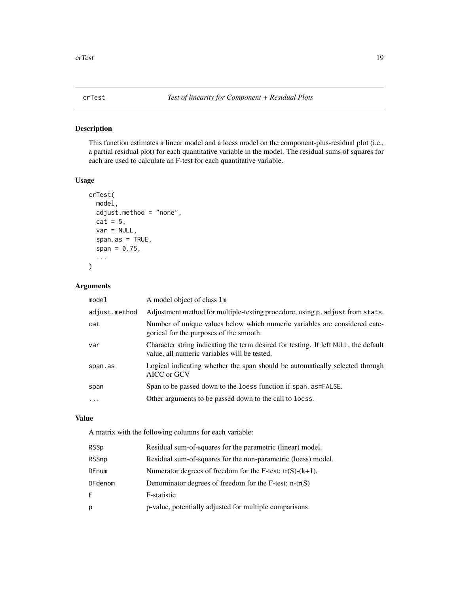<span id="page-18-0"></span>This function estimates a linear model and a loess model on the component-plus-residual plot (i.e., a partial residual plot) for each quantitative variable in the model. The residual sums of squares for each are used to calculate an F-test for each quantitative variable.

# Usage

```
crTest(
 model,
  adjust.method = "none",
  cat = 5,
  var = NULL,
  span.as = TRUE,span = 0.75,
  ...
)
```
#### Arguments

| model         | A model object of class 1m                                                                                                          |
|---------------|-------------------------------------------------------------------------------------------------------------------------------------|
| adjust.method | Adjustment method for multiple-testing procedure, using p. adjust from stats.                                                       |
| cat           | Number of unique values below which numeric variables are considered cate-<br>gorical for the purposes of the smooth.               |
| var           | Character string indicating the term desired for testing. If left NULL, the default<br>value, all numeric variables will be tested. |
| span.as       | Logical indicating whether the span should be automatically selected through<br>AICC or GCV                                         |
| span          | Span to be passed down to the loess function if span. as=FALSE.                                                                     |
| $\cdots$      | Other arguments to be passed down to the call to loess.                                                                             |

# Value

A matrix with the following columns for each variable:

| <b>RSSp</b>    | Residual sum-of-squares for the parametric (linear) model.    |
|----------------|---------------------------------------------------------------|
| <b>RSSnp</b>   | Residual sum-of-squares for the non-parametric (loess) model. |
| DFnum          | Numerator degrees of freedom for the F-test: $tr(S)-(k+1)$ .  |
| <b>DFdenom</b> | Denominator degrees of freedom for the F-test: $n-tr(S)$      |
| F.             | F-statistic                                                   |
| р              | p-value, potentially adjusted for multiple comparisons.       |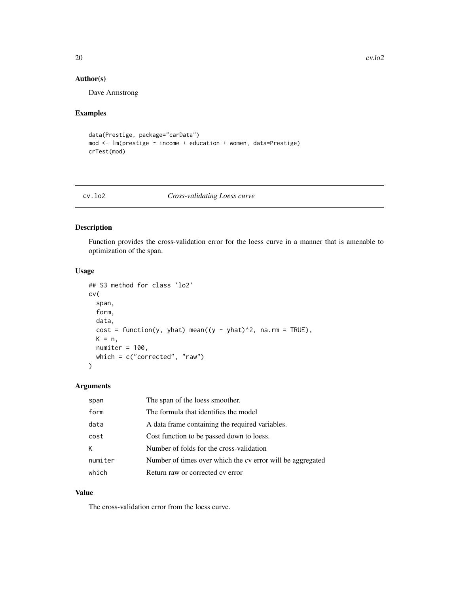# <span id="page-19-0"></span>Author(s)

Dave Armstrong

# Examples

```
data(Prestige, package="carData")
mod <- lm(prestige ~ income + education + women, data=Prestige)
crTest(mod)
```
# cv.lo2 *Cross-validating Loess curve*

#### Description

Function provides the cross-validation error for the loess curve in a manner that is amenable to optimization of the span.

# Usage

```
## S3 method for class 'lo2'
cv(
  span,
  form,
 data,
 cost = function(y, yhat) mean((y - yhat)<sup>2</sup>, na.rm = TRUE),
 K = n,
 numiter = 100,
 which = c("corrected", "raw")
)
```
# Arguments

| span    | The span of the loess smoother.                            |
|---------|------------------------------------------------------------|
| form    | The formula that identifies the model                      |
| data    | A data frame containing the required variables.            |
| cost    | Cost function to be passed down to loess.                  |
| к       | Number of folds for the cross-validation                   |
| numiter | Number of times over which the cv error will be aggregated |
| which   | Return raw or corrected cy error                           |

#### Value

The cross-validation error from the loess curve.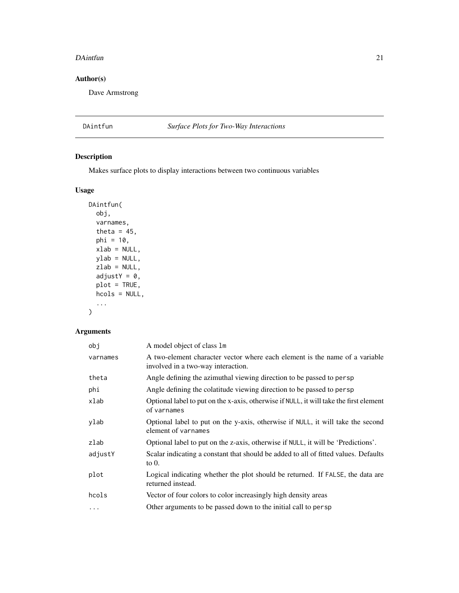#### <span id="page-20-0"></span>DAintfun 21

# Author(s)

Dave Armstrong

# DAintfun *Surface Plots for Two-Way Interactions*

# Description

Makes surface plots to display interactions between two continuous variables

# Usage

```
DAintfun(
  obj,
  varnames,
  theta = 45,
  phi = 10,
  xlab = NULL,
  ylab = NULL,
  zlab = NULL,
  adjustY = 0,
  plot = TRUE,
  hcols = NULL,
  ...
)
```

| A model object of class 1m                                                                                        |
|-------------------------------------------------------------------------------------------------------------------|
| A two-element character vector where each element is the name of a variable<br>involved in a two-way interaction. |
| Angle defining the azimuthal viewing direction to be passed to persp                                              |
| Angle defining the colatitude viewing direction to be passed to persp                                             |
| Optional label to put on the x-axis, otherwise if NULL, it will take the first element<br>of varnames             |
| Optional label to put on the y-axis, otherwise if NULL, it will take the second<br>element of varnames            |
| Optional label to put on the z-axis, otherwise if NULL, it will be 'Predictions'.                                 |
| Scalar indicating a constant that should be added to all of fitted values. Defaults<br>to $0$ .                   |
| Logical indicating whether the plot should be returned. If FALSE, the data are<br>returned instead.               |
| Vector of four colors to color increasingly high density areas                                                    |
| Other arguments to be passed down to the initial call to persp                                                    |
|                                                                                                                   |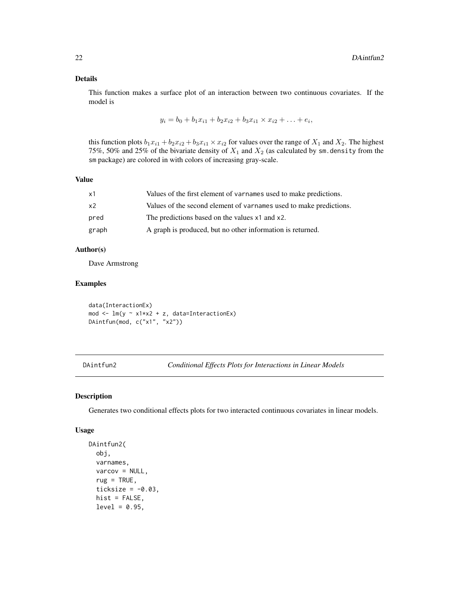#### <span id="page-21-0"></span>Details

This function makes a surface plot of an interaction between two continuous covariates. If the model is

$$
y_i = b_0 + b_1 x_{i1} + b_2 x_{i2} + b_3 x_{i1} \times x_{i2} + \ldots + e_i,
$$

this function plots  $b_1x_{i1} + b_2x_{i2} + b_3x_{i1} \times x_{i2}$  for values over the range of  $X_1$  and  $X_2$ . The highest 75%, 50% and 25% of the bivariate density of  $X_1$  and  $X_2$  (as calculated by sm. density from the sm package) are colored in with colors of increasing gray-scale.

#### Value

| x1             | Values of the first element of varnames used to make predictions.  |
|----------------|--------------------------------------------------------------------|
| x <sub>2</sub> | Values of the second element of varnames used to make predictions. |
| pred           | The predictions based on the values x1 and x2.                     |
| graph          | A graph is produced, but no other information is returned.         |

#### Author(s)

Dave Armstrong

# Examples

data(InteractionEx) mod  $\leq -\ln(y \sim x1*x2 + z, data=InteractionEx)$ DAintfun(mod, c("x1", "x2"))

<span id="page-21-1"></span>DAintfun2 *Conditional Effects Plots for Interactions in Linear Models*

# Description

Generates two conditional effects plots for two interacted continuous covariates in linear models.

#### Usage

```
DAintfun2(
 obj,
  varnames,
  varcov = NULL,
  rug = TRUE,ticksize = -0.03,
 hist = FALSE,
  level = 0.95,
```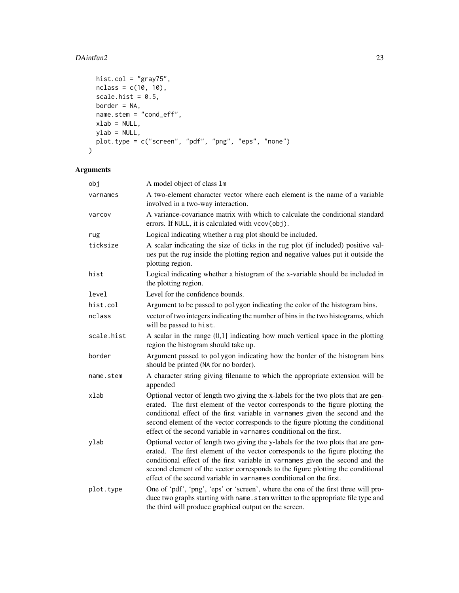# DAintfun2 23

```
hist.col = "gray75",
 nclass = c(10, 10),scale.hist = 0.5,
 border = NA,
 name.stem = 'round_eff'',xlab = NULL,ylab = NULL,
 plot.type = c("screen", "pdf", "png", "eps", "none")
\mathcal{L}
```

| obj        | A model object of class 1m                                                                                                                                                                                                                                                                                                                                                                                     |
|------------|----------------------------------------------------------------------------------------------------------------------------------------------------------------------------------------------------------------------------------------------------------------------------------------------------------------------------------------------------------------------------------------------------------------|
| varnames   | A two-element character vector where each element is the name of a variable<br>involved in a two-way interaction.                                                                                                                                                                                                                                                                                              |
| varcov     | A variance-covariance matrix with which to calculate the conditional standard<br>errors. If NULL, it is calculated with vcov(obj).                                                                                                                                                                                                                                                                             |
| rug        | Logical indicating whether a rug plot should be included.                                                                                                                                                                                                                                                                                                                                                      |
| ticksize   | A scalar indicating the size of ticks in the rug plot (if included) positive val-<br>ues put the rug inside the plotting region and negative values put it outside the<br>plotting region.                                                                                                                                                                                                                     |
| hist       | Logical indicating whether a histogram of the x-variable should be included in<br>the plotting region.                                                                                                                                                                                                                                                                                                         |
| level      | Level for the confidence bounds.                                                                                                                                                                                                                                                                                                                                                                               |
| hist.col   | Argument to be passed to polygon indicating the color of the histogram bins.                                                                                                                                                                                                                                                                                                                                   |
| nclass     | vector of two integers indicating the number of bins in the two histograms, which<br>will be passed to hist.                                                                                                                                                                                                                                                                                                   |
| scale.hist | A scalar in the range $(0,1]$ indicating how much vertical space in the plotting<br>region the histogram should take up.                                                                                                                                                                                                                                                                                       |
| border     | Argument passed to polygon indicating how the border of the histogram bins<br>should be printed (NA for no border).                                                                                                                                                                                                                                                                                            |
| name.stem  | A character string giving filename to which the appropriate extension will be<br>appended                                                                                                                                                                                                                                                                                                                      |
| xlab       | Optional vector of length two giving the x-labels for the two plots that are gen-<br>erated. The first element of the vector corresponds to the figure plotting the<br>conditional effect of the first variable in varnames given the second and the<br>second element of the vector corresponds to the figure plotting the conditional<br>effect of the second variable in varnames conditional on the first. |
| ylab       | Optional vector of length two giving the y-labels for the two plots that are gen-<br>erated. The first element of the vector corresponds to the figure plotting the<br>conditional effect of the first variable in varnames given the second and the<br>second element of the vector corresponds to the figure plotting the conditional<br>effect of the second variable in varnames conditional on the first. |
| plot.type  | One of 'pdf', 'png', 'eps' or 'screen', where the one of the first three will pro-<br>duce two graphs starting with name. stem written to the appropriate file type and<br>the third will produce graphical output on the screen.                                                                                                                                                                              |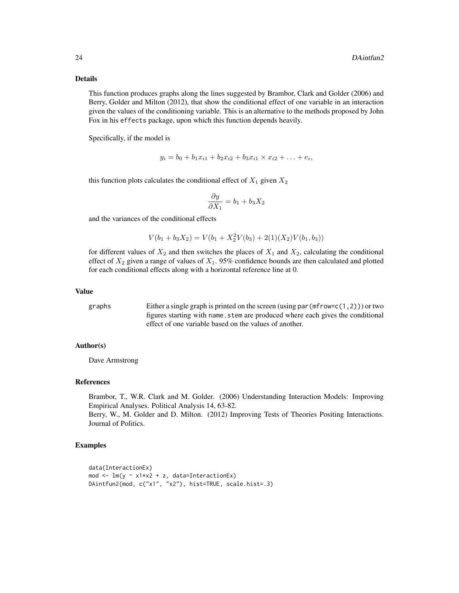#### Details

This function produces graphs along the lines suggested by Brambor, Clark and Golder (2006) and Berry, Golder and Milton (2012), that show the conditional effect of one variable in an interaction given the values of the conditioning variable. This is an alternative to the methods proposed by John Fox in his effects package, upon which this function depends heavily.

Specifically, if the model is

$$
y_i = b_0 + b_1 x_{i1} + b_2 x_{i2} + b_3 x_{i1} \times x_{i2} + \ldots + e_i,
$$

this function plots calculates the conditional effect of  $X_1$  given  $X_2$ 

$$
\frac{\partial y}{\partial X_1} = b_1 + b_3 X_2
$$

and the variances of the conditional effects

$$
V(b_1 + b_3 X_2) = V(b_1 + X_2^2 V(b_3) + 2(1)(X_2)V(b_1, b_3))
$$

for different values of  $X_2$  and then switches the places of  $X_1$  and  $X_2$ , calculating the conditional effect of  $X_2$  given a range of values of  $X_1$ . 95% confidence bounds are then calculated and plotted for each conditional effects along with a horizontal reference line at 0.

#### Value

graphs Either a single graph is printed on the screen (using par(mfrow=c(1,2))) or two figures starting with name.stem are produced where each gives the conditional effect of one variable based on the values of another.

#### Author(s)

Dave Armstrong

# References

Brambor, T., W.R. Clark and M. Golder. (2006) Understanding Interaction Models: Improving Empirical Analyses. Political Analysis 14, 63-82.

Berry, W., M. Golder and D. Milton. (2012) Improving Tests of Theories Positing Interactions. Journal of Politics.

#### Examples

```
data(InteractionEx)
mod \leq lm(y \sim x1*x2 + z, data=InteractionEx)
DAintfun2(mod, c("x1", "x2"), hist=TRUE, scale.hist=.3)
```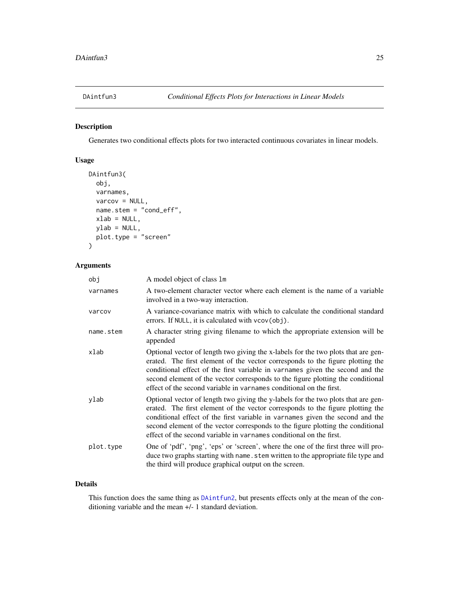<span id="page-24-0"></span>

Generates two conditional effects plots for two interacted continuous covariates in linear models.

# Usage

```
DAintfun3(
  obj,
  varnames,
  varcov = NULL,
  name.stem = "cond_eff",
  xlab = NULL,
 ylab = NULL,
 plot.type = "screen"
)
```
# Arguments

| obj       | A model object of class 1m                                                                                                                                                                                                                                                                                                                                                                                     |
|-----------|----------------------------------------------------------------------------------------------------------------------------------------------------------------------------------------------------------------------------------------------------------------------------------------------------------------------------------------------------------------------------------------------------------------|
| varnames  | A two-element character vector where each element is the name of a variable<br>involved in a two-way interaction.                                                                                                                                                                                                                                                                                              |
| varcov    | A variance-covariance matrix with which to calculate the conditional standard<br>errors. If NULL, it is calculated with vcov(obj).                                                                                                                                                                                                                                                                             |
| name.stem | A character string giving filename to which the appropriate extension will be<br>appended                                                                                                                                                                                                                                                                                                                      |
| xlab      | Optional vector of length two giving the x-labels for the two plots that are gen-<br>erated. The first element of the vector corresponds to the figure plotting the<br>conditional effect of the first variable in varnames given the second and the<br>second element of the vector corresponds to the figure plotting the conditional<br>effect of the second variable in varnames conditional on the first. |
| ylab      | Optional vector of length two giving the y-labels for the two plots that are gen-<br>erated. The first element of the vector corresponds to the figure plotting the<br>conditional effect of the first variable in varnames given the second and the<br>second element of the vector corresponds to the figure plotting the conditional<br>effect of the second variable in varnames conditional on the first. |
| plot.type | One of 'pdf', 'png', 'eps' or 'screen', where the one of the first three will pro-<br>duce two graphs starting with name. stem written to the appropriate file type and<br>the third will produce graphical output on the screen.                                                                                                                                                                              |

# Details

This function does the same thing as [DAintfun2](#page-21-1), but presents effects only at the mean of the conditioning variable and the mean +/- 1 standard deviation.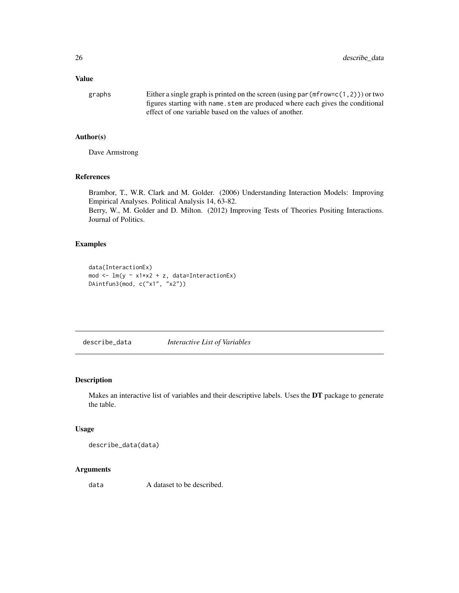#### <span id="page-25-0"></span>Value

graphs Either a single graph is printed on the screen (using par(mfrow=c(1,2))) or two figures starting with name.stem are produced where each gives the conditional effect of one variable based on the values of another.

# Author(s)

Dave Armstrong

# References

Brambor, T., W.R. Clark and M. Golder. (2006) Understanding Interaction Models: Improving Empirical Analyses. Political Analysis 14, 63-82. Berry, W., M. Golder and D. Milton. (2012) Improving Tests of Theories Positing Interactions. Journal of Politics.

#### Examples

```
data(InteractionEx)
mod <- lm(y ~ x1*x2 + z, data=InteractionEx)
DAintfun3(mod, c("x1", "x2"))
```
describe\_data *Interactive List of Variables*

#### Description

Makes an interactive list of variables and their descriptive labels. Uses the DT package to generate the table.

#### Usage

describe\_data(data)

# Arguments

data A dataset to be described.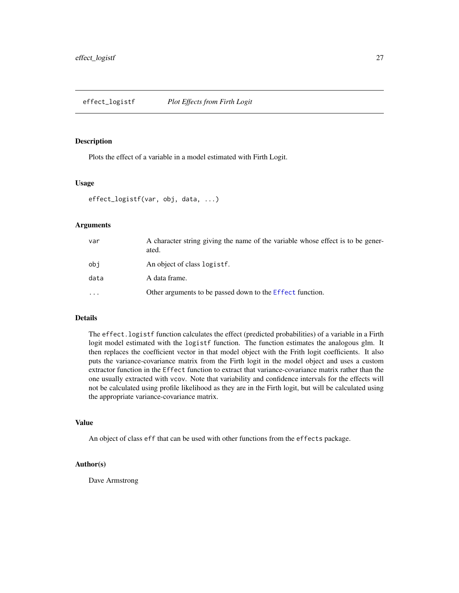<span id="page-26-0"></span>effect\_logistf *Plot Effects from Firth Logit*

#### Description

Plots the effect of a variable in a model estimated with Firth Logit.

#### Usage

```
effect_logistf(var, obj, data, ...)
```
#### Arguments

| var                     | A character string giving the name of the variable whose effect is to be gener-<br>ated. |
|-------------------------|------------------------------------------------------------------------------------------|
| obi                     | An object of class logistf.                                                              |
| data                    | A data frame.                                                                            |
| $\cdot$ $\cdot$ $\cdot$ | Other arguments to be passed down to the Effect function.                                |

#### Details

The effect.logistf function calculates the effect (predicted probabilities) of a variable in a Firth logit model estimated with the logistf function. The function estimates the analogous glm. It then replaces the coefficient vector in that model object with the Frith logit coefficients. It also puts the variance-covariance matrix from the Firth logit in the model object and uses a custom extractor function in the Effect function to extract that variance-covariance matrix rather than the one usually extracted with vcov. Note that variability and confidence intervals for the effects will not be calculated using profile likelihood as they are in the Firth logit, but will be calculated using the appropriate variance-covariance matrix.

#### Value

An object of class eff that can be used with other functions from the effects package.

#### Author(s)

Dave Armstrong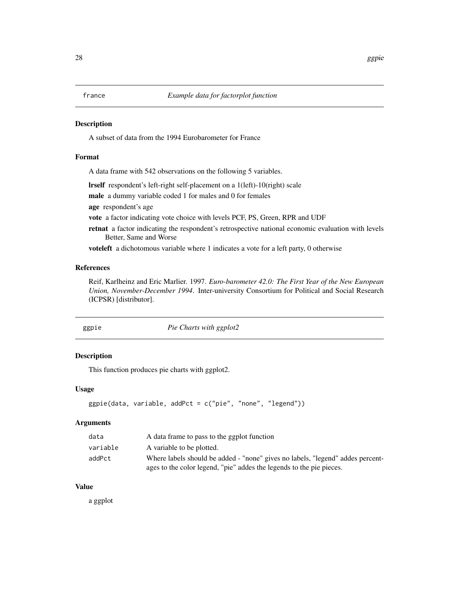<span id="page-27-0"></span>

A subset of data from the 1994 Eurobarometer for France

# Format

A data frame with 542 observations on the following 5 variables.

lrself respondent's left-right self-placement on a 1(left)-10(right) scale

male a dummy variable coded 1 for males and 0 for females

age respondent's age

vote a factor indicating vote choice with levels PCF, PS, Green, RPR and UDF

retnat a factor indicating the respondent's retrospective national economic evaluation with levels Better, Same and Worse

voteleft a dichotomous variable where 1 indicates a vote for a left party, 0 otherwise

# References

Reif, Karlheinz and Eric Marlier. 1997. *Euro-barometer 42.0: The First Year of the New European Union, November-December 1994*. Inter-university Consortium for Political and Social Research (ICPSR) [distributor].

| ggpie | Pie Charts with ggplot2 |  |
|-------|-------------------------|--|
|-------|-------------------------|--|

#### Description

This function produces pie charts with ggplot2.

#### Usage

```
ggpie(data, variable, addPct = c("pie", "none", "legend"))
```
#### Arguments

| data     | A data frame to pass to the ggplot function                                    |
|----------|--------------------------------------------------------------------------------|
| variable | A variable to be plotted.                                                      |
| addPct   | Where labels should be added - "none" gives no labels, "legend" addes percent- |
|          | ages to the color legend, "pie" addes the legends to the pie pieces.           |

# Value

a ggplot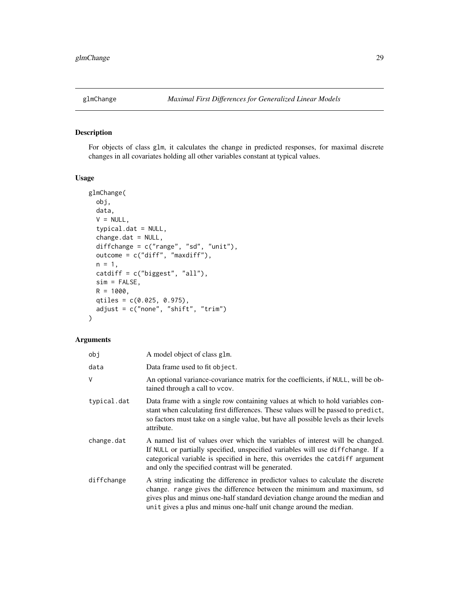<span id="page-28-0"></span>

For objects of class glm, it calculates the change in predicted responses, for maximal discrete changes in all covariates holding all other variables constant at typical values.

# Usage

```
glmChange(
 obj,
  data,
  V = NULL,typical.dat = NULL,
  change.dat = NULL,diffchange = c("range", "sd", "unit"),
 outcome = c("diff", "maxdiff"),
 n = 1,
  catdiff = c("biggest", "all"),
  sim = FALSE,
 R = 1000,qtiles = c(0.025, 0.975),
  adjust = c("none", "shift", "trim")
)
```

| obj         | A model object of class glm.                                                                                                                                                                                                                                                                                       |
|-------------|--------------------------------------------------------------------------------------------------------------------------------------------------------------------------------------------------------------------------------------------------------------------------------------------------------------------|
| data        | Data frame used to fit object.                                                                                                                                                                                                                                                                                     |
| V           | An optional variance-covariance matrix for the coefficients, if NULL, will be ob-<br>tained through a call to vcov.                                                                                                                                                                                                |
| typical.dat | Data frame with a single row containing values at which to hold variables con-<br>stant when calculating first differences. These values will be passed to predict,<br>so factors must take on a single value, but have all possible levels as their levels<br>attribute.                                          |
| change.dat  | A named list of values over which the variables of interest will be changed.<br>If NULL or partially specified, unspecified variables will use difference. If a<br>categorical variable is specified in here, this overrides the catdiff argument<br>and only the specified contrast will be generated.            |
| diffchange  | A string indicating the difference in predictor values to calculate the discrete<br>change. range gives the difference between the minimum and maximum, sd<br>gives plus and minus one-half standard deviation change around the median and<br>unit gives a plus and minus one-half unit change around the median. |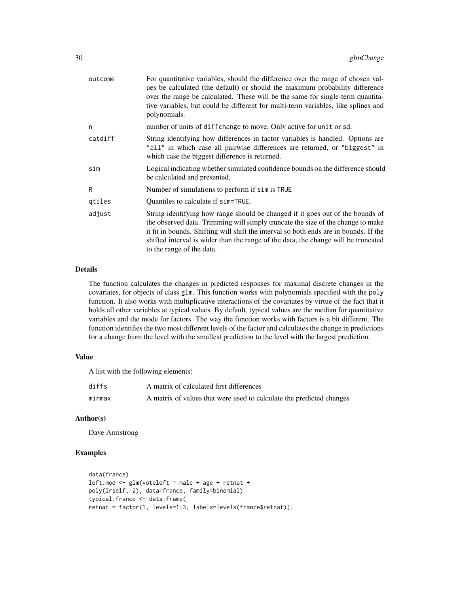| outcome | For quantitative variables, should the difference over the range of chosen val-<br>ues be calculated (the default) or should the maximum probability difference<br>over the range be calculated. These will be the same for single-term quantita-<br>tive variables, but could be different for multi-term variables, like splines and<br>polynomials.                        |
|---------|-------------------------------------------------------------------------------------------------------------------------------------------------------------------------------------------------------------------------------------------------------------------------------------------------------------------------------------------------------------------------------|
| n       | number of units of diffchange to move. Only active for unit or sd.                                                                                                                                                                                                                                                                                                            |
| catdiff | String identifying how differences in factor variables is handled. Options are<br>"all" in which case all pairwise differences are returned, or "biggest" in<br>which case the biggest difference is returned.                                                                                                                                                                |
| sim     | Logical indicating whether simulated confidence bounds on the difference should<br>be calculated and presented.                                                                                                                                                                                                                                                               |
| R       | Number of simulations to perform if sim is TRUE                                                                                                                                                                                                                                                                                                                               |
| qtiles  | Quantiles to calculate if sim=TRUE.                                                                                                                                                                                                                                                                                                                                           |
| adjust  | String identifying how range should be changed if it goes out of the bounds of<br>the observed data. Trimming will simply truncate the size of the change to make<br>it fit in bounds. Shifting will shift the interval so both ends are in bounds. If the<br>shifted interval is wider than the range of the data, the change will be truncated<br>to the range of the data. |

#### Details

The function calculates the changes in predicted responses for maximal discrete changes in the covariates, for objects of class glm. This function works with polynomials specified with the poly function. It also works with multiplicative interactions of the covariates by virtue of the fact that it holds all other variables at typical values. By default, typical values are the median for quantitative variables and the mode for factors. The way the function works with factors is a bit different. The function identifies the two most different levels of the factor and calculates the change in predictions for a change from the level with the smallest prediction to the level with the largest prediction.

#### Value

A list with the following elements:

| diffs  | A matrix of calculated first differences                             |
|--------|----------------------------------------------------------------------|
| minmax | A matrix of values that were used to calculate the predicted changes |

#### Author(s)

Dave Armstrong

# Examples

```
data(france)
left.mod \leq glm(voteleft \sim male + age + retnat +
poly(lrself, 2), data=france, family=binomial)
typical.france <- data.frame(
retnat = factor(1, levels=1:3, labels=levels(france$retnat)),
```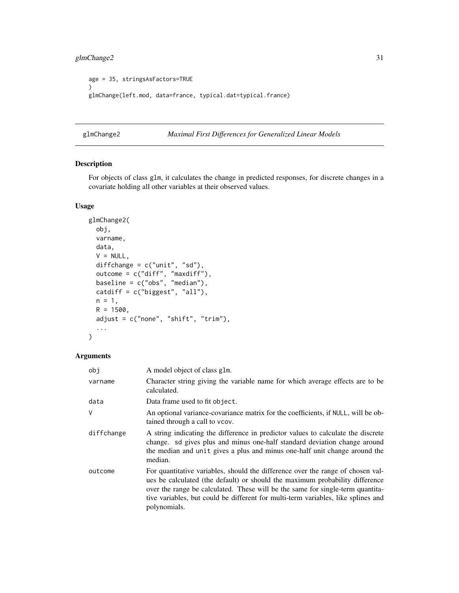```
age = 35, stringsAsFactors=TRUE
)
glmChange(left.mod, data=france, typical.dat=typical.france)
```
glmChange2 *Maximal First Differences for Generalized Linear Models*

# Description

For objects of class glm, it calculates the change in predicted responses, for discrete changes in a covariate holding all other variables at their observed values.

# Usage

```
glmChange2(
  obj,
 varname,
  data,
  V = NULL,diffchange = c("unit", "sd"),
  outcome = c("diff", "maxdiff"),
  baseline = c("obs", "median"),
  catdiff = c("biggest", "all"),
 n = 1,
 R = 1500,
  adjust = c("none", "shift", "trim"),
  ...
)
```

| obj        | A model object of class glm.                                                                                                                                                                                                                                                                                                                           |
|------------|--------------------------------------------------------------------------------------------------------------------------------------------------------------------------------------------------------------------------------------------------------------------------------------------------------------------------------------------------------|
| varname    | Character string giving the variable name for which average effects are to be<br>calculated.                                                                                                                                                                                                                                                           |
| data       | Data frame used to fit object.                                                                                                                                                                                                                                                                                                                         |
| V          | An optional variance-covariance matrix for the coefficients, if NULL, will be ob-<br>tained through a call to vcov.                                                                                                                                                                                                                                    |
| diffchange | A string indicating the difference in predictor values to calculate the discrete<br>change. sd gives plus and minus one-half standard deviation change around<br>the median and unit gives a plus and minus one-half unit change around the<br>median.                                                                                                 |
| outcome    | For quantitative variables, should the difference over the range of chosen val-<br>ues be calculated (the default) or should the maximum probability difference<br>over the range be calculated. These will be the same for single-term quantita-<br>tive variables, but could be different for multi-term variables, like splines and<br>polynomials. |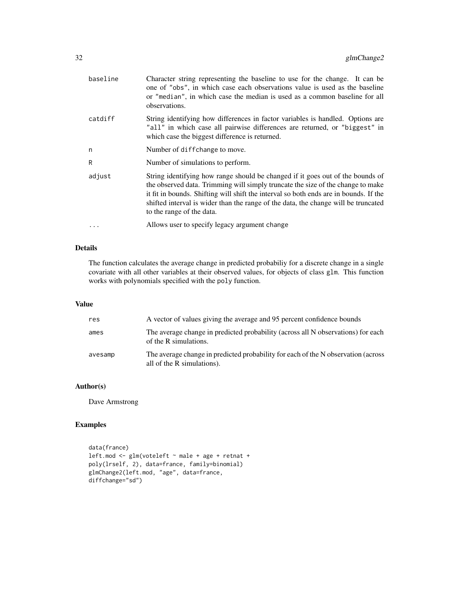| baseline  | Character string representing the baseline to use for the change. It can be<br>one of "obs", in which case each observations value is used as the baseline<br>or "median", in which case the median is used as a common baseline for all<br>observations.                                                                                                                     |
|-----------|-------------------------------------------------------------------------------------------------------------------------------------------------------------------------------------------------------------------------------------------------------------------------------------------------------------------------------------------------------------------------------|
| catdiff   | String identifying how differences in factor variables is handled. Options are<br>"all" in which case all pairwise differences are returned, or "biggest" in<br>which case the biggest difference is returned.                                                                                                                                                                |
| n         | Number of diffchange to move.                                                                                                                                                                                                                                                                                                                                                 |
| R         | Number of simulations to perform.                                                                                                                                                                                                                                                                                                                                             |
| adjust    | String identifying how range should be changed if it goes out of the bounds of<br>the observed data. Trimming will simply truncate the size of the change to make<br>it fit in bounds. Shifting will shift the interval so both ends are in bounds. If the<br>shifted interval is wider than the range of the data, the change will be truncated<br>to the range of the data. |
| $\ddotsc$ | Allows user to specify legacy argument change                                                                                                                                                                                                                                                                                                                                 |

# Details

The function calculates the average change in predicted probabiliy for a discrete change in a single covariate with all other variables at their observed values, for objects of class glm. This function works with polynomials specified with the poly function.

#### Value

| res     | A vector of values giving the average and 95 percent confidence bounds                                          |
|---------|-----------------------------------------------------------------------------------------------------------------|
| ames    | The average change in predicted probability (across all N observations) for each<br>of the R simulations.       |
| avesamp | The average change in predicted probability for each of the N observation (across<br>all of the R simulations). |

# Author(s)

Dave Armstrong

# Examples

```
data(france)
left.mod <- glm(voteleft ~ male + age + retnat +
poly(lrself, 2), data=france, family=binomial)
glmChange2(left.mod, "age", data=france,
diffchange="sd")
```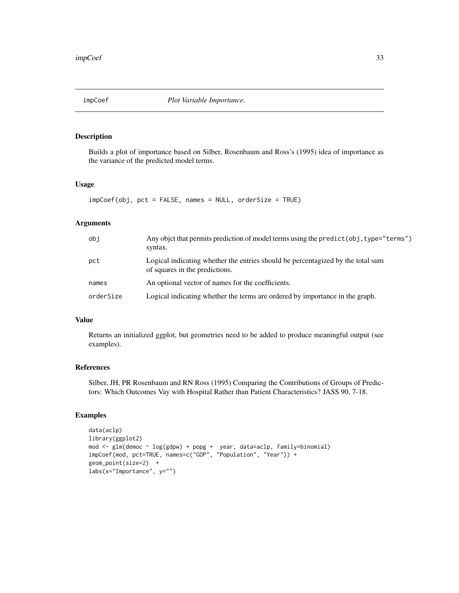<span id="page-32-0"></span>

Builds a plot of importance based on Silber, Rosenbaum and Ross's (1995) idea of importance as the variance of the predicted model terms.

# Usage

impCoef(obj, pct = FALSE, names = NULL, orderSize = TRUE)

#### Arguments

| obi       | Any objet that permits prediction of model terms using the predict (obj, type="terms")<br>syntax.                 |
|-----------|-------------------------------------------------------------------------------------------------------------------|
| pct       | Logical indicating whether the entries should be percentagized by the total sum<br>of squares in the predictions. |
| names     | An optional vector of names for the coefficients.                                                                 |
| orderSize | Logical indicating whether the terms are ordered by importance in the graph.                                      |

#### Value

Returns an initialized ggplot, but geometries need to be added to produce meaningful output (see examples).

#### References

Silber, JH, PR Rosenbaum and RN Ross (1995) Comparing the Contributions of Groups of Predictors: Which Outcomes Vay with Hospital Rather than Patient Characteristics? JASS 90, 7-18.

# Examples

```
data(aclp)
library(ggplot2)
mod <- glm(democ ~ log(gdpw) + popg + year, data=aclp, family=binomial)
impCoef(mod, pct=TRUE, names=c("GDP", "Population", "Year")) +
geom_point(size=2) +
labs(x="Importance", y="")
```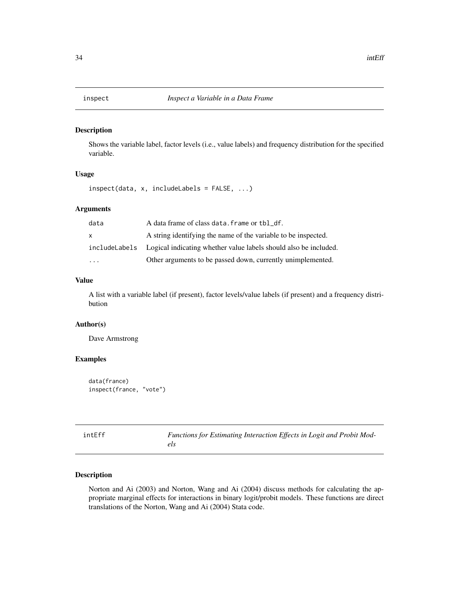<span id="page-33-0"></span>

Shows the variable label, factor levels (i.e., value labels) and frequency distribution for the specified variable.

# Usage

inspect(data, x, includeLabels = FALSE, ...)

# Arguments

| data         | A data frame of class data. frame or tbl_df.                                    |
|--------------|---------------------------------------------------------------------------------|
| $\mathsf{x}$ | A string identifying the name of the variable to be inspected.                  |
|              | include Labels Logical indicating whether value labels should also be included. |
| $\cdot$      | Other arguments to be passed down, currently unimplemented.                     |

#### Value

A list with a variable label (if present), factor levels/value labels (if present) and a frequency distribution

#### Author(s)

Dave Armstrong

# Examples

```
data(france)
inspect(france, "vote")
```

| intEff | Functions for Estimating Interaction Effects in Logit and Probit Mod- |  |
|--------|-----------------------------------------------------------------------|--|
|        |                                                                       |  |

# Description

Norton and Ai (2003) and Norton, Wang and Ai (2004) discuss methods for calculating the appropriate marginal effects for interactions in binary logit/probit models. These functions are direct translations of the Norton, Wang and Ai (2004) Stata code.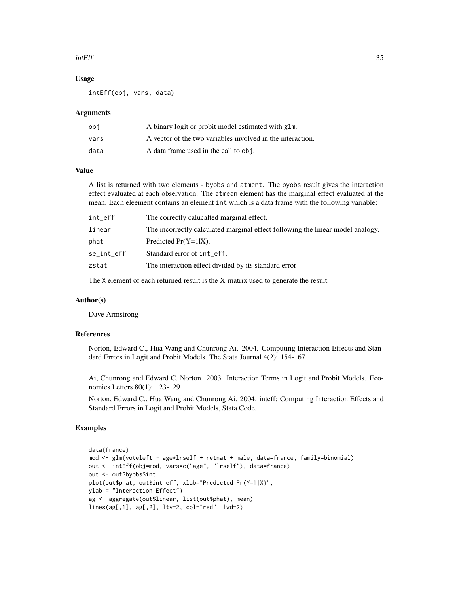#### intEff 35

#### Usage

intEff(obj, vars, data)

#### Arguments

| obi  | A binary logit or probit model estimated with glm.         |
|------|------------------------------------------------------------|
| vars | A vector of the two variables involved in the interaction. |
| data | A data frame used in the call to obj.                      |

#### Value

A list is returned with two elements - byobs and atment. The byobs result gives the interaction effect evaluated at each observation. The atmean element has the marginal effect evaluated at the mean. Each eleement contains an element int which is a data frame with the following variable:

| int_eff    | The correctly calucalted marginal effect.                                      |
|------------|--------------------------------------------------------------------------------|
| linear     | The incorrectly calculated marginal effect following the linear model analogy. |
| phat       | Predicted $Pr(Y=1 X)$ .                                                        |
| se_int_eff | Standard error of int_eff.                                                     |
| zstat      | The interaction effect divided by its standard error                           |
|            |                                                                                |

The X element of each returned result is the X-matrix used to generate the result.

#### Author(s)

Dave Armstrong

# References

Norton, Edward C., Hua Wang and Chunrong Ai. 2004. Computing Interaction Effects and Standard Errors in Logit and Probit Models. The Stata Journal 4(2): 154-167.

Ai, Chunrong and Edward C. Norton. 2003. Interaction Terms in Logit and Probit Models. Economics Letters 80(1): 123-129.

Norton, Edward C., Hua Wang and Chunrong Ai. 2004. inteff: Computing Interaction Effects and Standard Errors in Logit and Probit Models, Stata Code.

#### Examples

```
data(france)
mod <- glm(voteleft ~ age*lrself + retnat + male, data=france, family=binomial)
out <- intEff(obj=mod, vars=c("age", "lrself"), data=france)
out <- out$byobs$int
plot(out$phat, out$int_eff, xlab="Predicted Pr(Y=1|X)",
ylab = "Interaction Effect")
ag <- aggregate(out$linear, list(out$phat), mean)
lines(ag[,1], ag[,2], lty=2, col="red", lwd=2)
```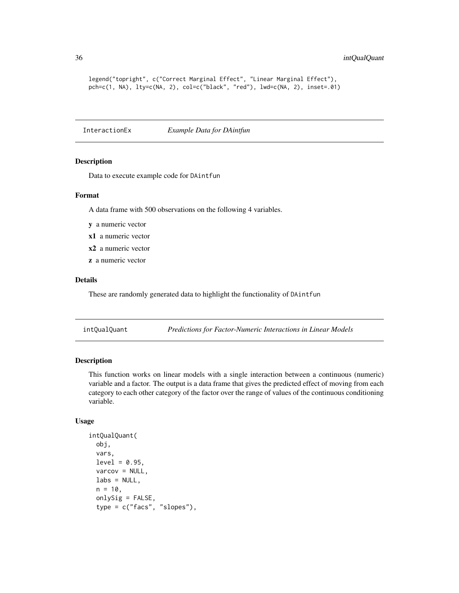```
legend("topright", c("Correct Marginal Effect", "Linear Marginal Effect"),
pch=c(1, NA), lty=c(NA, 2), col=c("black", "red"), lwd=c(NA, 2), inset=.01)
```
InteractionEx *Example Data for DAintfun*

#### Description

Data to execute example code for DAintfun

#### Format

A data frame with 500 observations on the following 4 variables.

- y a numeric vector
- x1 a numeric vector
- x2 a numeric vector
- z a numeric vector

#### Details

These are randomly generated data to highlight the functionality of DAintfun

intQualQuant *Predictions for Factor-Numeric Interactions in Linear Models*

#### Description

This function works on linear models with a single interaction between a continuous (numeric) variable and a factor. The output is a data frame that gives the predicted effect of moving from each category to each other category of the factor over the range of values of the continuous conditioning variable.

# Usage

```
intQualQuant(
  obj,
  vars,
  level = 0.95,
  varcov = NULL,
  \text{labels} = \text{NULL},
  n = 10,
  onlySig = FALSE,
  type = c("facs", "slopes"),
```
<span id="page-35-0"></span>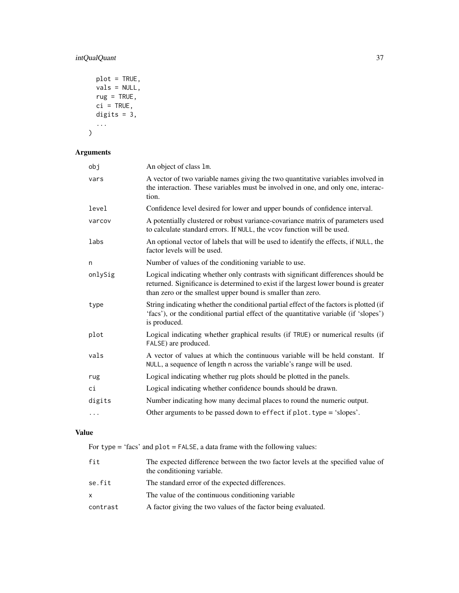# intQualQuant 37

```
plot = TRUE,
  vals = NULL,
 rug = TRUE,ci = TRUE,digits = 3,
  ...
\mathcal{L}
```
# Arguments

| obj      | An object of class 1m.                                                                                                                                                                                                                 |
|----------|----------------------------------------------------------------------------------------------------------------------------------------------------------------------------------------------------------------------------------------|
| vars     | A vector of two variable names giving the two quantitative variables involved in<br>the interaction. These variables must be involved in one, and only one, interac-<br>tion.                                                          |
| level    | Confidence level desired for lower and upper bounds of confidence interval.                                                                                                                                                            |
| varcov   | A potentially clustered or robust variance-covariance matrix of parameters used<br>to calculate standard errors. If NULL, the vcov function will be used.                                                                              |
| labs     | An optional vector of labels that will be used to identify the effects, if NULL, the<br>factor levels will be used.                                                                                                                    |
| n        | Number of values of the conditioning variable to use.                                                                                                                                                                                  |
| onlySig  | Logical indicating whether only contrasts with significant differences should be<br>returned. Significance is determined to exist if the largest lower bound is greater<br>than zero or the smallest upper bound is smaller than zero. |
| type     | String indicating whether the conditional partial effect of the factors is plotted (if<br>'facs'), or the conditional partial effect of the quantitative variable (if 'slopes')<br>is produced.                                        |
| plot     | Logical indicating whether graphical results (if TRUE) or numerical results (if<br>FALSE) are produced.                                                                                                                                |
| vals     | A vector of values at which the continuous variable will be held constant. If<br>NULL, a sequence of length n across the variable's range will be used.                                                                                |
| rug      | Logical indicating whether rug plots should be plotted in the panels.                                                                                                                                                                  |
| сi       | Logical indicating whether confidence bounds should be drawn.                                                                                                                                                                          |
| digits   | Number indicating how many decimal places to round the numeric output.                                                                                                                                                                 |
| $\cdots$ | Other arguments to be passed down to effect if plot. type = 'slopes'.                                                                                                                                                                  |

# Value

For type = 'facs' and plot = FALSE, a data frame with the following values:

| fit      | The expected difference between the two factor levels at the specified value of<br>the conditioning variable. |
|----------|---------------------------------------------------------------------------------------------------------------|
| se.fit   | The standard error of the expected differences.                                                               |
| X        | The value of the continuous conditioning variable                                                             |
| contrast | A factor giving the two values of the factor being evaluated.                                                 |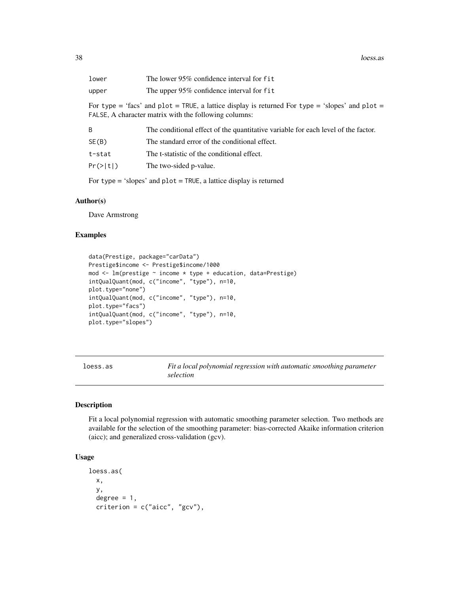| lower                                                                                                                                                    | The lower 95% confidence interval for fit                                         |  |
|----------------------------------------------------------------------------------------------------------------------------------------------------------|-----------------------------------------------------------------------------------|--|
| upper                                                                                                                                                    | The upper 95% confidence interval for fit                                         |  |
| For type = 'facs' and plot = TRUE, a lattice display is returned For type = 'slopes' and plot =<br>FALSE, A character matrix with the following columns: |                                                                                   |  |
| B                                                                                                                                                        | The conditional effect of the quantitative variable for each level of the factor. |  |
| SE(B)                                                                                                                                                    | The standard error of the conditional effect.                                     |  |
| t-stat                                                                                                                                                   | The t-statistic of the conditional effect.                                        |  |
| Pr(> t )                                                                                                                                                 | The two-sided p-value.                                                            |  |
|                                                                                                                                                          |                                                                                   |  |

For type = 'slopes' and plot = TRUE, a lattice display is returned

#### Author(s)

Dave Armstrong

# Examples

```
data(Prestige, package="carData")
Prestige$income <- Prestige$income/1000
mod <- lm(prestige ~ income * type + education, data=Prestige)
intQualQuant(mod, c("income", "type"), n=10,
plot.type="none")
intQualQuant(mod, c("income", "type"), n=10,
plot.type="facs")
intQualQuant(mod, c("income", "type"), n=10,
plot.type="slopes")
```
loess.as *Fit a local polynomial regression with automatic smoothing parameter selection*

#### Description

Fit a local polynomial regression with automatic smoothing parameter selection. Two methods are available for the selection of the smoothing parameter: bias-corrected Akaike information criterion (aicc); and generalized cross-validation (gcv).

# Usage

```
loess.as(
  x,
  y,
  degree = 1,
  criterion = c("aicc", "gcv"),
```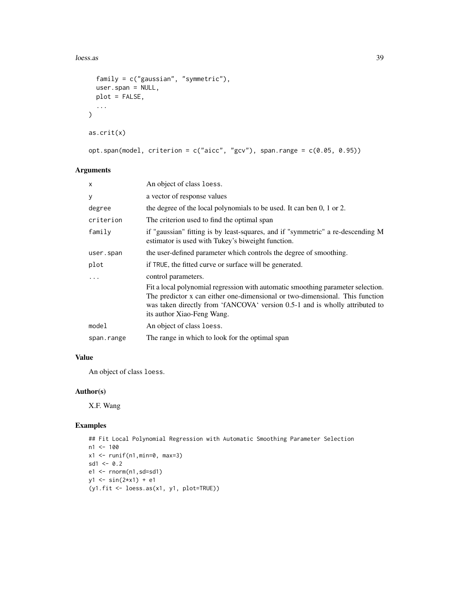loess.as 39

```
family = c("gaussian", "symmetric"),
 user.span = NULL,
 plot = FALSE,
  ...
\mathcal{L}as.crit(x)
opt.span(model, criterion = c("aicc", "gcv"), span.range = c(0.05, 0.95))
```
# Arguments

| $\mathsf{x}$ | An object of class loess.                                                                                                                                                                                                                                                    |
|--------------|------------------------------------------------------------------------------------------------------------------------------------------------------------------------------------------------------------------------------------------------------------------------------|
| У            | a vector of response values                                                                                                                                                                                                                                                  |
| degree       | the degree of the local polynomials to be used. It can ben 0, 1 or 2.                                                                                                                                                                                                        |
| criterion    | The criterion used to find the optimal span                                                                                                                                                                                                                                  |
| family       | if "gaussian" fitting is by least-squares, and if "symmetric" a re-descending M<br>estimator is used with Tukey's biweight function.                                                                                                                                         |
| user.span    | the user-defined parameter which controls the degree of smoothing.                                                                                                                                                                                                           |
| plot         | if TRUE, the fitted curve or surface will be generated.                                                                                                                                                                                                                      |
| .            | control parameters.                                                                                                                                                                                                                                                          |
|              | Fit a local polynomial regression with automatic smoothing parameter selection.<br>The predictor x can either one-dimensional or two-dimensional. This function<br>was taken directly from 'fANCOVA' version 0.5-1 and is wholly attributed to<br>its author Xiao-Feng Wang. |
| model        | An object of class loess.                                                                                                                                                                                                                                                    |
| span.range   | The range in which to look for the optimal span                                                                                                                                                                                                                              |

### Value

An object of class loess.

# Author(s)

X.F. Wang

```
## Fit Local Polynomial Regression with Automatic Smoothing Parameter Selection
n1 <- 100
x1 \leftarrow runif(n1,min=0, max=3)sd1 < -0.2e1 \leftarrow \text{norm}(n1, sd = sd1)y1 <- sin(2*x1) + e1
(y1.fit <- loess.as(x1, y1, plot=TRUE))
```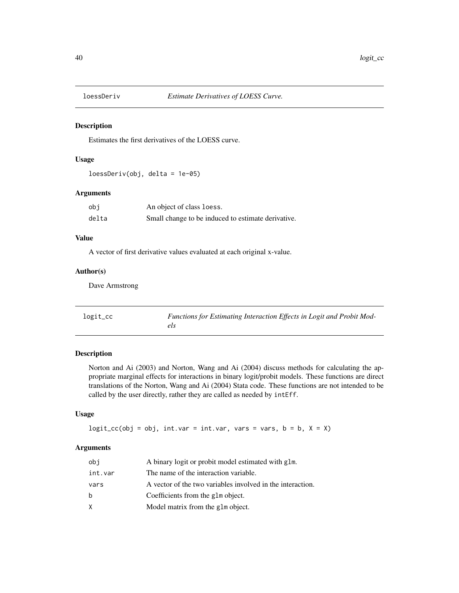Estimates the first derivatives of the LOESS curve.

### Usage

loessDeriv(obj, delta = 1e-05)

# Arguments

| obi   | An object of class loess.                          |
|-------|----------------------------------------------------|
| delta | Small change to be induced to estimate derivative. |

# Value

A vector of first derivative values evaluated at each original x-value.

# Author(s)

Dave Armstrong

| logit_cc | Functions for Estimating Interaction Effects in Logit and Probit Mod- |
|----------|-----------------------------------------------------------------------|
|          |                                                                       |

# Description

Norton and Ai (2003) and Norton, Wang and Ai (2004) discuss methods for calculating the appropriate marginal effects for interactions in binary logit/probit models. These functions are direct translations of the Norton, Wang and Ai (2004) Stata code. These functions are not intended to be called by the user directly, rather they are called as needed by intEff.

# Usage

 $logit\_cc(obj = obj, int.var = int.var, vars = vars, b = b, X = X)$ 

| obi     | A binary logit or probit model estimated with glm.         |
|---------|------------------------------------------------------------|
| int.var | The name of the interaction variable.                      |
| vars    | A vector of the two variables involved in the interaction. |
| b       | Coefficients from the glm object.                          |
| X.      | Model matrix from the glm object.                          |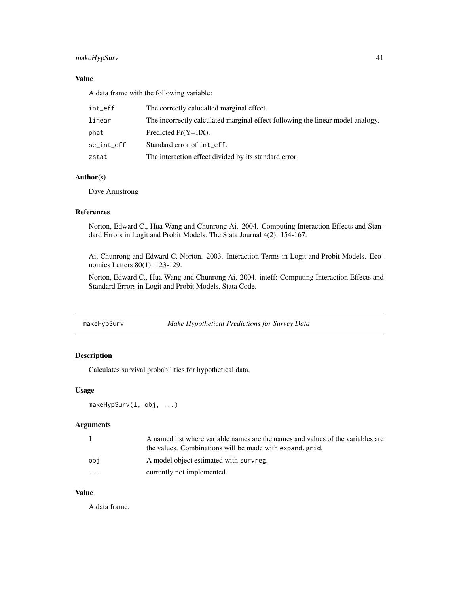# makeHypSurv 41

### Value

A data frame with the following variable:

| int_eff    | The correctly calucalted marginal effect.                                      |
|------------|--------------------------------------------------------------------------------|
| linear     | The incorrectly calculated marginal effect following the linear model analogy. |
| phat       | Predicted $Pr(Y=1 X)$ .                                                        |
| se_int_eff | Standard error of int_eff.                                                     |
| zstat      | The interaction effect divided by its standard error                           |

### Author(s)

Dave Armstrong

# References

Norton, Edward C., Hua Wang and Chunrong Ai. 2004. Computing Interaction Effects and Standard Errors in Logit and Probit Models. The Stata Journal 4(2): 154-167.

Ai, Chunrong and Edward C. Norton. 2003. Interaction Terms in Logit and Probit Models. Economics Letters 80(1): 123-129.

Norton, Edward C., Hua Wang and Chunrong Ai. 2004. inteff: Computing Interaction Effects and Standard Errors in Logit and Probit Models, Stata Code.

| makeHypSurv | Make Hypothetical Predictions for Survey Data |
|-------------|-----------------------------------------------|
|             |                                               |

# Description

Calculates survival probabilities for hypothetical data.

### Usage

```
makeHypSurv(l, obj, ...)
```
# Arguments

|          | A named list where variable names are the names and values of the variables are<br>the values. Combinations will be made with expand.grid. |
|----------|--------------------------------------------------------------------------------------------------------------------------------------------|
| obi      | A model object estimated with survreg.                                                                                                     |
| $\cdots$ | currently not implemented.                                                                                                                 |

# Value

A data frame.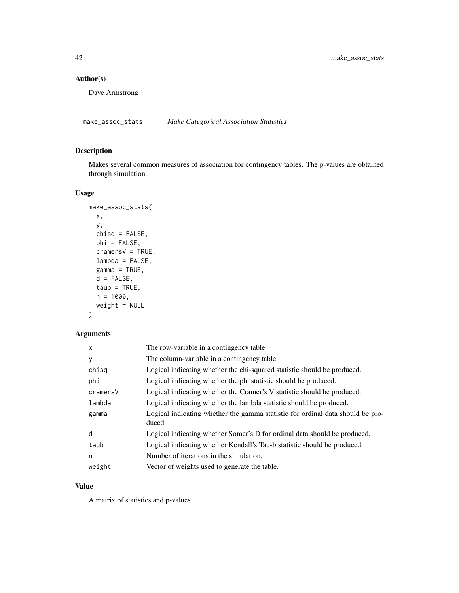# Author(s)

Dave Armstrong

make\_assoc\_stats *Make Categorical Association Statistics*

# Description

Makes several common measures of association for contingency tables. The p-values are obtained through simulation.

# Usage

```
make_assoc_stats(
 x,
 y,
 chisq = FALSE,
 phi = FALSE,
 cramersV = TRUE,lambda = FALSE,
 gamma = TRUE,d = FALSE,
  taub = TRUE,n = 1000,weight = NULL\mathcal{L}
```
# Arguments

| X        | The row-variable in a contingency table                                                  |
|----------|------------------------------------------------------------------------------------------|
| y        | The column-variable in a contingency table                                               |
| chisg    | Logical indicating whether the chi-squared statistic should be produced.                 |
| phi      | Logical indicating whether the phi statistic should be produced.                         |
| cramersV | Logical indicating whether the Cramer's V statistic should be produced.                  |
| lambda   | Logical indicating whether the lambda statistic should be produced.                      |
| gamma    | Logical indicating whether the gamma statistic for ordinal data should be pro-<br>duced. |
| d        | Logical indicating whether Somer's D for ordinal data should be produced.                |
| taub     | Logical indicating whether Kendall's Tau-b statistic should be produced.                 |
| n        | Number of iterations in the simulation.                                                  |
| weight   | Vector of weights used to generate the table.                                            |

# Value

A matrix of statistics and p-values.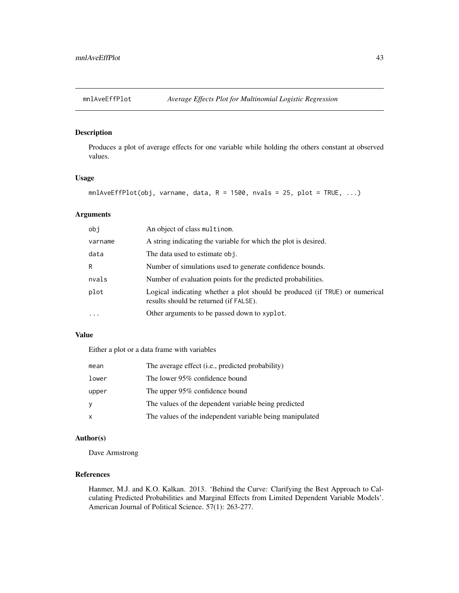Produces a plot of average effects for one variable while holding the others constant at observed values.

#### Usage

```
mnlAveEffPlot(obj, varname, data, R = 1500, nvals = 25, plot = TRUE, ...)
```
### Arguments

| obi      | An object of class multinom.                                                                                          |
|----------|-----------------------------------------------------------------------------------------------------------------------|
| varname  | A string indicating the variable for which the plot is desired.                                                       |
| data     | The data used to estimate obj.                                                                                        |
| R        | Number of simulations used to generate confidence bounds.                                                             |
| nvals    | Number of evaluation points for the predicted probabilities.                                                          |
| plot     | Logical indicating whether a plot should be produced (if TRUE) or numerical<br>results should be returned (if FALSE). |
| $\cdots$ | Other arguments to be passed down to xyplot.                                                                          |

### Value

Either a plot or a data frame with variables

| mean         | The average effect (i.e., predicted probability)         |
|--------------|----------------------------------------------------------|
| lower        | The lower 95% confidence bound                           |
| upper        | The upper 95% confidence bound                           |
| <sub>V</sub> | The values of the dependent variable being predicted     |
| $\mathsf{x}$ | The values of the independent variable being manipulated |

### Author(s)

Dave Armstrong

### References

Hanmer, M.J. and K.O. Kalkan. 2013. 'Behind the Curve: Clarifying the Best Approach to Calculating Predicted Probabilities and Marginal Effects from Limited Dependent Variable Models'. American Journal of Political Science. 57(1): 263-277.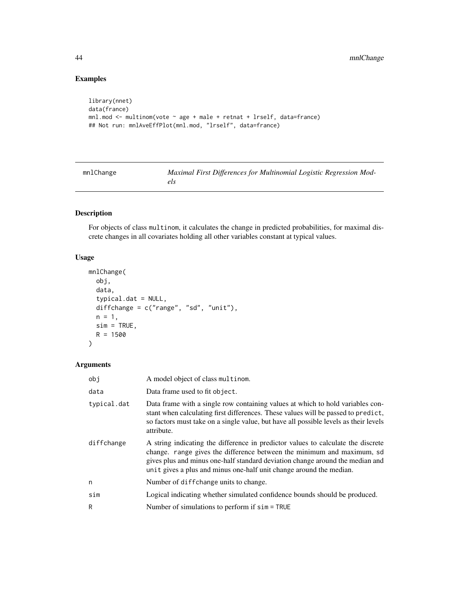# Examples

```
library(nnet)
data(france)
mnl.mod <- multinom(vote ~ age + male + retnat + lrself, data=france)
## Not run: mnlAveEffPlot(mnl.mod, "lrself", data=france)
```

| mnlChange | Maximal First Differences for Multinomial Logistic Regression Mod- |
|-----------|--------------------------------------------------------------------|
|           |                                                                    |

# Description

For objects of class multinom, it calculates the change in predicted probabilities, for maximal discrete changes in all covariates holding all other variables constant at typical values.

# Usage

```
mnlChange(
  obj,
 data,
  typical.dat = NULL,
 diffchange = c("range", "sd", "unit"),
 n = 1,
 sim = TRUE,R = 1500\lambda
```

| obj         | A model object of class multinom.                                                                                                                                                                                                                                                                                   |
|-------------|---------------------------------------------------------------------------------------------------------------------------------------------------------------------------------------------------------------------------------------------------------------------------------------------------------------------|
| data        | Data frame used to fit object.                                                                                                                                                                                                                                                                                      |
| typical.dat | Data frame with a single row containing values at which to hold variables con-<br>stant when calculating first differences. These values will be passed to predict,<br>so factors must take on a single value, but have all possible levels as their levels<br>attribute.                                           |
| diffchange  | A string indicating the difference in predictor values to calculate the discrete<br>change. range gives the difference between the minimum and maximum, sd.<br>gives plus and minus one-half standard deviation change around the median and<br>unit gives a plus and minus one-half unit change around the median. |
| n           | Number of diffchange units to change.                                                                                                                                                                                                                                                                               |
| sim         | Logical indicating whether simulated confidence bounds should be produced.                                                                                                                                                                                                                                          |
| R           | Number of simulations to perform if $sim = TRUE$                                                                                                                                                                                                                                                                    |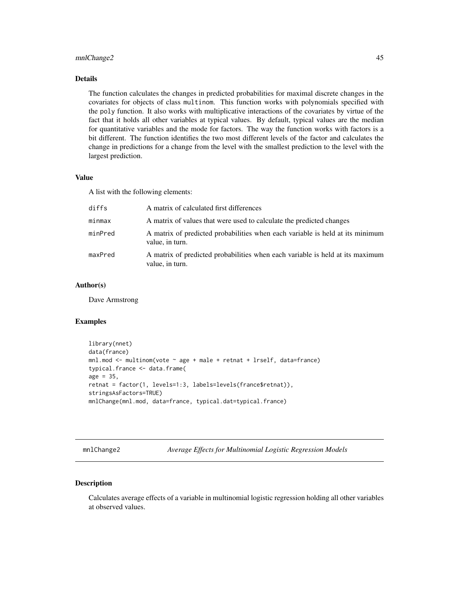### mnlChange2 45

### Details

The function calculates the changes in predicted probabilities for maximal discrete changes in the covariates for objects of class multinom. This function works with polynomials specified with the poly function. It also works with multiplicative interactions of the covariates by virtue of the fact that it holds all other variables at typical values. By default, typical values are the median for quantitative variables and the mode for factors. The way the function works with factors is a bit different. The function identifies the two most different levels of the factor and calculates the change in predictions for a change from the level with the smallest prediction to the level with the largest prediction.

### Value

A list with the following elements:

| diffs   | A matrix of calculated first differences                                                         |
|---------|--------------------------------------------------------------------------------------------------|
| minmax  | A matrix of values that were used to calculate the predicted changes                             |
| minPred | A matrix of predicted probabilities when each variable is held at its minimum<br>value, in turn. |
| maxPred | A matrix of predicted probabilities when each variable is held at its maximum<br>value, in turn. |

# Author(s)

Dave Armstrong

#### Examples

```
library(nnet)
data(france)
mnl.mod <- multinom(vote ~ age + male + retnat + lrself, data=france)
typical.france <- data.frame(
age = 35,
retnat = factor(1, levels=1:3, labels=levels(france$retnat)),
stringsAsFactors=TRUE)
mnlChange(mnl.mod, data=france, typical.dat=typical.france)
```
mnlChange2 *Average Effects for Multinomial Logistic Regression Models*

### Description

Calculates average effects of a variable in multinomial logistic regression holding all other variables at observed values.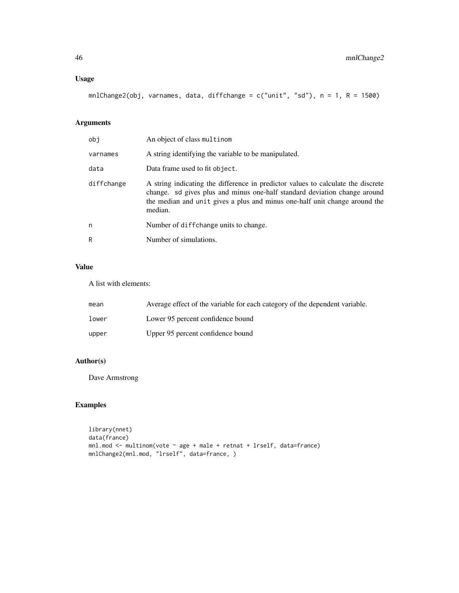# Usage

mnlChange2(obj, varnames, data, diffchange = c("unit", "sd"), n = 1, R = 1500)

# Arguments

| obi        | An object of class multinom                                                                                                                                                                                                                            |
|------------|--------------------------------------------------------------------------------------------------------------------------------------------------------------------------------------------------------------------------------------------------------|
| varnames   | A string identifying the variable to be manipulated.                                                                                                                                                                                                   |
| data       | Data frame used to fit object.                                                                                                                                                                                                                         |
| diffchange | A string indicating the difference in predictor values to calculate the discrete<br>change. sd gives plus and minus one-half standard deviation change around<br>the median and unit gives a plus and minus one-half unit change around the<br>median. |
| n          | Number of diffchange units to change.                                                                                                                                                                                                                  |
| R          | Number of simulations.                                                                                                                                                                                                                                 |

### Value

A list with elements:

| mean  | Average effect of the variable for each category of the dependent variable. |
|-------|-----------------------------------------------------------------------------|
| lower | Lower 95 percent confidence bound                                           |
| upper | Upper 95 percent confidence bound                                           |

# Author(s)

Dave Armstrong

```
library(nnet)
data(france)
mnl.mod <- multinom(vote ~ age + male + retnat + lrself, data=france)
mnlChange2(mnl.mod, "lrself", data=france, )
```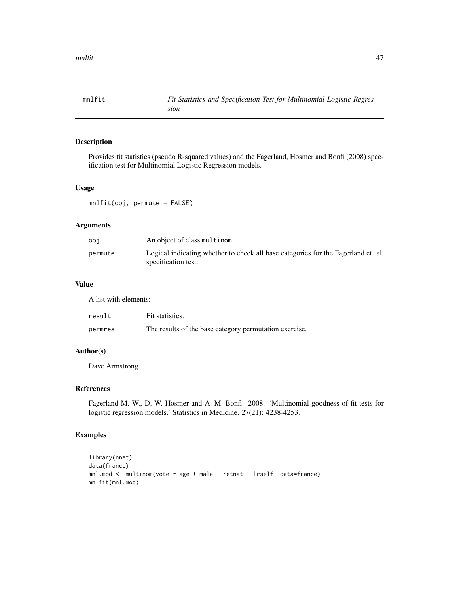Provides fit statistics (pseudo R-squared values) and the Fagerland, Hosmer and Bonfi (2008) specification test for Multinomial Logistic Regression models.

### Usage

mnlfit(obj, permute = FALSE)

### Arguments

| obi     | An object of class multinom                                                                              |
|---------|----------------------------------------------------------------------------------------------------------|
| permute | Logical indicating whether to check all base categories for the Fagerland et. al.<br>specification test. |

# Value

A list with elements:

| result  | Fit statistics.                                        |
|---------|--------------------------------------------------------|
| permres | The results of the base category permutation exercise. |

### Author(s)

Dave Armstrong

# References

Fagerland M. W., D. W. Hosmer and A. M. Bonfi. 2008. 'Multinomial goodness-of-fit tests for logistic regression models.' Statistics in Medicine. 27(21): 4238-4253.

```
library(nnet)
data(france)
mnl.mod <- multinom(vote ~ age + male + retnat + lrself, data=france)
mnlfit(mnl.mod)
```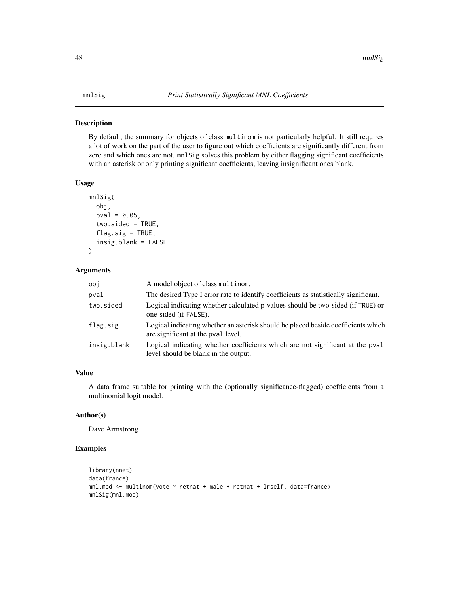By default, the summary for objects of class multinom is not particularly helpful. It still requires a lot of work on the part of the user to figure out which coefficients are significantly different from zero and which ones are not. mnlSig solves this problem by either flagging significant coefficients with an asterisk or only printing significant coefficients, leaving insignificant ones blank.

#### Usage

```
mnlSig(
  obj,
  pval = 0.05,
  two.sided = TRUE,
  flag.size = TRUE,insig.blank = FALSE
)
```
### Arguments

| obj         | A model object of class multinom.                                                                                       |
|-------------|-------------------------------------------------------------------------------------------------------------------------|
| pval        | The desired Type I error rate to identify coefficients as statistically significant.                                    |
| two.sided   | Logical indicating whether calculated p-values should be two-sided (if TRUE) or<br>one-sided (if FALSE).                |
| flag.sig    | Logical indicating whether an asterisk should be placed beside coefficients which<br>are significant at the pval level. |
| insig.blank | Logical indicating whether coefficients which are not significant at the pval<br>level should be blank in the output.   |

# Value

A data frame suitable for printing with the (optionally significance-flagged) coefficients from a multinomial logit model.

# Author(s)

Dave Armstrong

```
library(nnet)
data(france)
mnl.mod <- multinom(vote \sim retnat + male + retnat + lrself, data=france)
mnlSig(mnl.mod)
```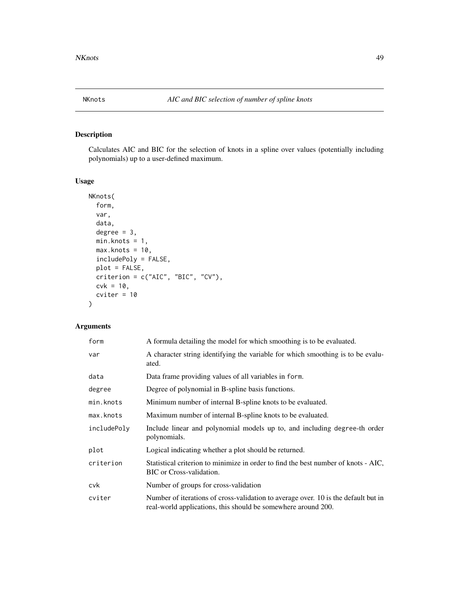Calculates AIC and BIC for the selection of knots in a spline over values (potentially including polynomials) up to a user-defined maximum.

# Usage

```
NKnots(
  form,
  var,
  data,
  degree = 3,
 min.knots = 1,
 max.hnots = 10,
  includePoly = FALSE,
 plot = FALSE,
  criterion = c("AIC", "BIC", "CV"),
 cvk = 10,
  criter = 10)
```

| form        | A formula detailing the model for which smoothing is to be evaluated.                                                                               |
|-------------|-----------------------------------------------------------------------------------------------------------------------------------------------------|
| var         | A character string identifying the variable for which smoothing is to be evalu-<br>ated.                                                            |
| data        | Data frame providing values of all variables in form.                                                                                               |
| degree      | Degree of polynomial in B-spline basis functions.                                                                                                   |
| min.knots   | Minimum number of internal B-spline knots to be evaluated.                                                                                          |
| max.knots   | Maximum number of internal B-spline knots to be evaluated.                                                                                          |
| includePoly | Include linear and polynomial models up to, and including degree-th order<br>polynomials.                                                           |
| plot        | Logical indicating whether a plot should be returned.                                                                                               |
| criterion   | Statistical criterion to minimize in order to find the best number of knots - AIC,<br>BIC or Cross-validation.                                      |
| cvk         | Number of groups for cross-validation                                                                                                               |
| cviter      | Number of iterations of cross-validation to average over. 10 is the default but in<br>real-world applications, this should be somewhere around 200. |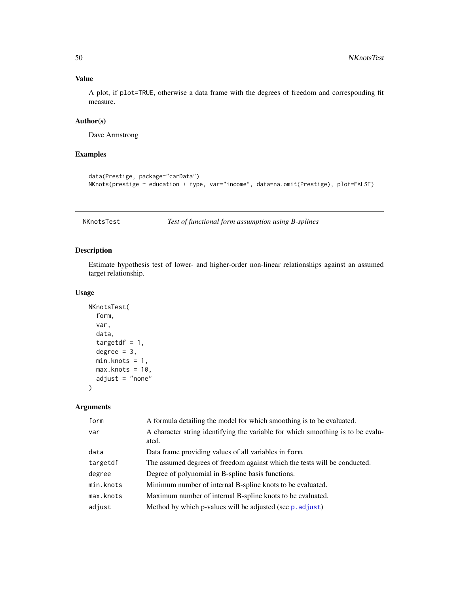# Value

A plot, if plot=TRUE, otherwise a data frame with the degrees of freedom and corresponding fit measure.

# Author(s)

Dave Armstrong

# Examples

```
data(Prestige, package="carData")
NKnots(prestige ~ education + type, var="income", data=na.omit(Prestige), plot=FALSE)
```
NKnotsTest *Test of functional form assumption using B-splines*

### Description

Estimate hypothesis test of lower- and higher-order non-linear relationships against an assumed target relationship.

### Usage

```
NKnotsTest(
  form,
  var,
  data,
  targetdf = 1,
  degree = 3,
 min.knots = 1,
 max.knots = 10,
  adjust = "none")
```

| form      | A formula detailing the model for which smoothing is to be evaluated.                    |
|-----------|------------------------------------------------------------------------------------------|
| var       | A character string identifying the variable for which smoothing is to be evalu-<br>ated. |
| data      | Data frame providing values of all variables in form.                                    |
| targetdf  | The assumed degrees of freedom against which the tests will be conducted.                |
| degree    | Degree of polynomial in B-spline basis functions.                                        |
| min.knots | Minimum number of internal B-spline knots to be evaluated.                               |
| max.knots | Maximum number of internal B-spline knots to be evaluated.                               |
| adjust    | Method by which p-values will be adjusted (see p. adjust)                                |
|           |                                                                                          |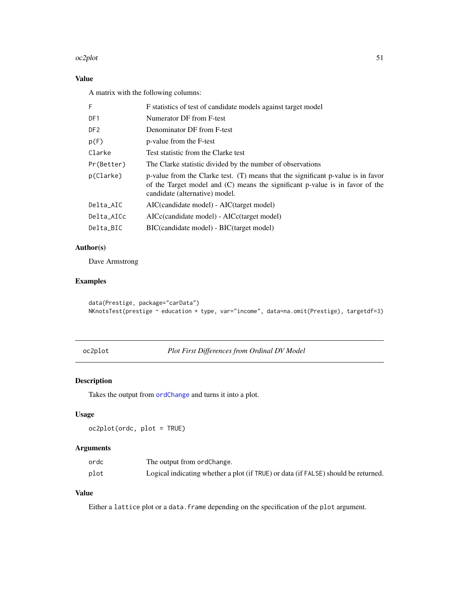#### oc2plot 51

# Value

A matrix with the following columns:

| F               | F statistics of test of candidate models against target model                                                                                                                                        |
|-----------------|------------------------------------------------------------------------------------------------------------------------------------------------------------------------------------------------------|
| DF1             | Numerator DF from F-test                                                                                                                                                                             |
| DF <sub>2</sub> | Denominator DF from F-test                                                                                                                                                                           |
| p(F)            | p-value from the F-test                                                                                                                                                                              |
| Clarke          | Test statistic from the Clarke test                                                                                                                                                                  |
| Pr(Better)      | The Clarke statistic divided by the number of observations                                                                                                                                           |
| p(Clarke)       | p-value from the Clarke test. $(T)$ means that the significant p-value is in favor<br>of the Target model and (C) means the significant p-value is in favor of the<br>candidate (alternative) model. |
| Delta_AIC       | AIC(candidate model) - AIC(target model)                                                                                                                                                             |
| Delta AICc      | AICc(candidate model) - AICc(target model)                                                                                                                                                           |
| Delta_BIC       | BIC(candidate model) - BIC(target model)                                                                                                                                                             |

# Author(s)

Dave Armstrong

# Examples

```
data(Prestige, package="carData")
NKnotsTest(prestige ~ education + type, var="income", data=na.omit(Prestige), targetdf=3)
```

```
oc2plot Plot First Differences from Ordinal DV Model
```
# Description

Takes the output from [ordChange](#page-53-0) and turns it into a plot.

# Usage

oc2plot(ordc, plot = TRUE)

# Arguments

| ordc | The output from ordChange.                                                         |
|------|------------------------------------------------------------------------------------|
| plot | Logical indicating whether a plot (if TRUE) or data (if FALSE) should be returned. |

# Value

Either a lattice plot or a data. frame depending on the specification of the plot argument.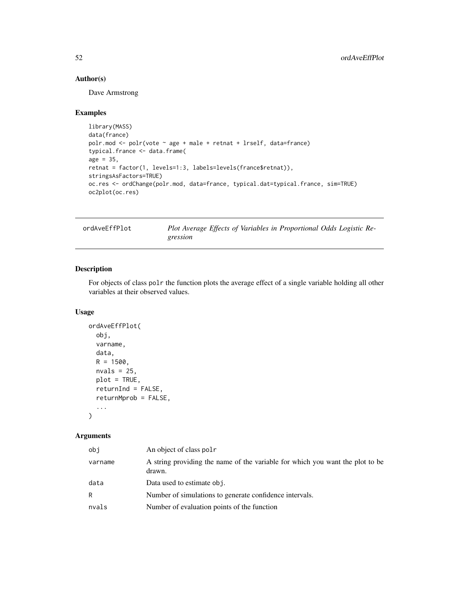# Author(s)

Dave Armstrong

#### Examples

```
library(MASS)
data(france)
polr.mod <- polr(vote ~ age + male + retnat + lrself, data=france)
typical.france <- data.frame(
age = 35,retnat = factor(1, levels=1:3, labels=levels(france$retnat)),
stringsAsFactors=TRUE)
oc.res <- ordChange(polr.mod, data=france, typical.dat=typical.france, sim=TRUE)
oc2plot(oc.res)
```
ordAveEffPlot *Plot Average Effects of Variables in Proportional Odds Logistic Regression*

### Description

For objects of class polr the function plots the average effect of a single variable holding all other variables at their observed values.

### Usage

```
ordAveEffPlot(
  obj,
  varname,
  data,
 R = 1500,nvals = 25,
 plot = TRUE,
 returnInd = FALSE,
  returnMprob = FALSE,
  ...
```

```
\mathcal{L}
```

| obi     | An object of class pol r                                                                |
|---------|-----------------------------------------------------------------------------------------|
| varname | A string providing the name of the variable for which you want the plot to be<br>drawn. |
| data    | Data used to estimate obj.                                                              |
| R       | Number of simulations to generate confidence intervals.                                 |
| nvals   | Number of evaluation points of the function                                             |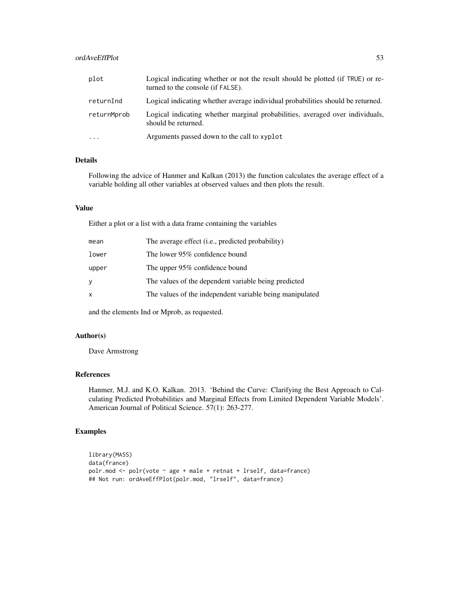# ordAveEffPlot 53

| plot        | Logical indicating whether or not the result should be plotted (if TRUE) or re-<br>turned to the console (if FALSE). |
|-------------|----------------------------------------------------------------------------------------------------------------------|
| returnInd   | Logical indicating whether average individual probabilities should be returned.                                      |
| returnMprob | Logical indicating whether marginal probabilities, averaged over individuals,<br>should be returned.                 |
| $\cdot$     | Arguments passed down to the call to xyplot                                                                          |

# Details

Following the advice of Hanmer and Kalkan (2013) the function calculates the average effect of a variable holding all other variables at observed values and then plots the result.

### Value

Either a plot or a list with a data frame containing the variables

| mean  | The average effect ( <i>i.e.</i> , predicted probability) |
|-------|-----------------------------------------------------------|
| lower | The lower 95% confidence bound                            |
| upper | The upper 95% confidence bound                            |
| У     | The values of the dependent variable being predicted      |
| X     | The values of the independent variable being manipulated  |

and the elements Ind or Mprob, as requested.

### Author(s)

Dave Armstrong

# References

Hanmer, M.J. and K.O. Kalkan. 2013. 'Behind the Curve: Clarifying the Best Approach to Calculating Predicted Probabilities and Marginal Effects from Limited Dependent Variable Models'. American Journal of Political Science. 57(1): 263-277.

```
library(MASS)
data(france)
polr.mod <- polr(vote ~ age + male + retnat + lrself, data=france)
## Not run: ordAveEffPlot(polr.mod, "lrself", data=france)
```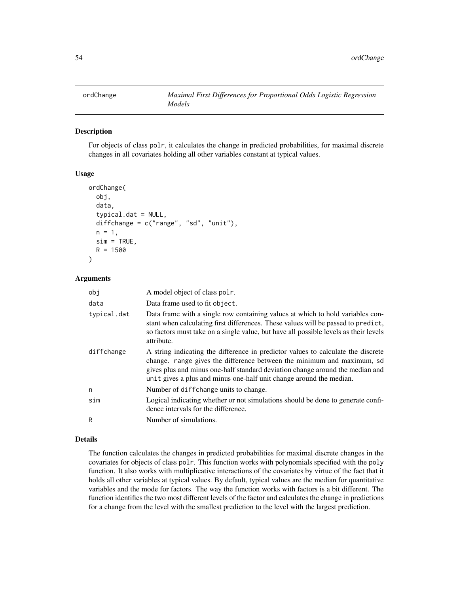<span id="page-53-0"></span>

For objects of class polr, it calculates the change in predicted probabilities, for maximal discrete changes in all covariates holding all other variables constant at typical values.

### Usage

```
ordChange(
  obj,
  data,
  typical.dat = NULL,
  diffchange = c("range", "sd", "unit"),
  n = 1,
  sim = TRUE,
  R = 1500)
```
#### Arguments

| obj         | A model object of class polr.                                                                                                                                                                                                                                                                                      |  |
|-------------|--------------------------------------------------------------------------------------------------------------------------------------------------------------------------------------------------------------------------------------------------------------------------------------------------------------------|--|
| data        | Data frame used to fit object.                                                                                                                                                                                                                                                                                     |  |
| typical.dat | Data frame with a single row containing values at which to hold variables con-<br>stant when calculating first differences. These values will be passed to predict,<br>so factors must take on a single value, but have all possible levels as their levels<br>attribute.                                          |  |
| diffchange  | A string indicating the difference in predictor values to calculate the discrete<br>change. range gives the difference between the minimum and maximum, sd<br>gives plus and minus one-half standard deviation change around the median and<br>unit gives a plus and minus one-half unit change around the median. |  |
| n           | Number of diffchange units to change.                                                                                                                                                                                                                                                                              |  |
| sim         | Logical indicating whether or not simulations should be done to generate confi-<br>dence intervals for the difference.                                                                                                                                                                                             |  |
| R           | Number of simulations.                                                                                                                                                                                                                                                                                             |  |

#### Details

The function calculates the changes in predicted probabilities for maximal discrete changes in the covariates for objects of class polr. This function works with polynomials specified with the poly function. It also works with multiplicative interactions of the covariates by virtue of the fact that it holds all other variables at typical values. By default, typical values are the median for quantitative variables and the mode for factors. The way the function works with factors is a bit different. The function identifies the two most different levels of the factor and calculates the change in predictions for a change from the level with the smallest prediction to the level with the largest prediction.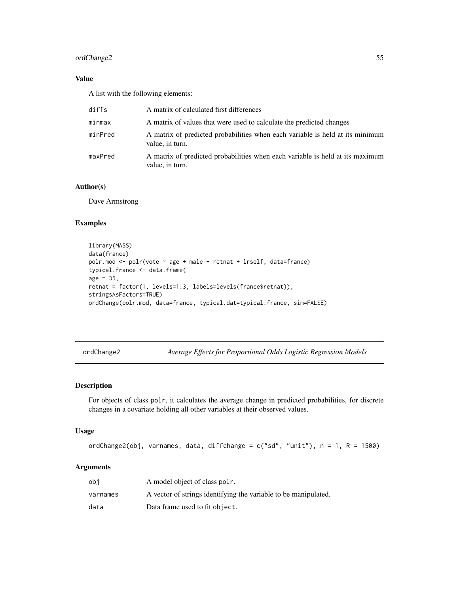# ordChange2 55

# Value

A list with the following elements:

| diffs   | A matrix of calculated first differences                                                         |
|---------|--------------------------------------------------------------------------------------------------|
| minmax  | A matrix of values that were used to calculate the predicted changes                             |
| minPred | A matrix of predicted probabilities when each variable is held at its minimum<br>value, in turn. |
| maxPred | A matrix of predicted probabilities when each variable is held at its maximum<br>value, in turn. |

# Author(s)

Dave Armstrong

### Examples

```
library(MASS)
data(france)
polr.mod <- polr(vote ~ age + male + retnat + lrself, data=france)
typical.france <- data.frame(
age = 35,retnat = factor(1, levels=1:3, labels=levels(france$retnat)),
stringsAsFactors=TRUE)
ordChange(polr.mod, data=france, typical.dat=typical.france, sim=FALSE)
```
ordChange2 *Average Effects for Proportional Odds Logistic Regression Models*

### Description

For objects of class polr, it calculates the average change in predicted probabilities, for discrete changes in a covariate holding all other variables at their observed values.

#### Usage

ordChange2(obj, varnames, data, diffchange =  $c("sd", "unit"), n = 1, R = 1500)$ 

| obi      | A model object of class pole.                                   |
|----------|-----------------------------------------------------------------|
| varnames | A vector of strings identifying the variable to be manipulated. |
| data     | Data frame used to fit object.                                  |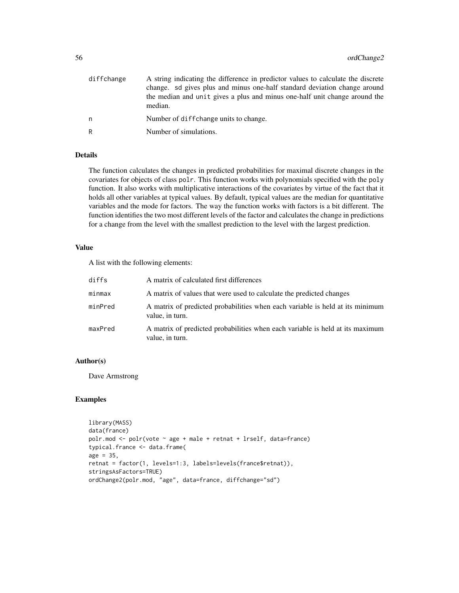| diffchange | A string indicating the difference in predictor values to calculate the discrete<br>change, so gives plus and minus one-half standard deviation change around<br>the median and unit gives a plus and minus one-half unit change around the<br>median. |
|------------|--------------------------------------------------------------------------------------------------------------------------------------------------------------------------------------------------------------------------------------------------------|
| n          | Number of diffchange units to change.                                                                                                                                                                                                                  |
| R          | Number of simulations.                                                                                                                                                                                                                                 |

### Details

The function calculates the changes in predicted probabilities for maximal discrete changes in the covariates for objects of class polr. This function works with polynomials specified with the poly function. It also works with multiplicative interactions of the covariates by virtue of the fact that it holds all other variables at typical values. By default, typical values are the median for quantitative variables and the mode for factors. The way the function works with factors is a bit different. The function identifies the two most different levels of the factor and calculates the change in predictions for a change from the level with the smallest prediction to the level with the largest prediction.

### Value

A list with the following elements:

| diffs   | A matrix of calculated first differences                                                         |
|---------|--------------------------------------------------------------------------------------------------|
| minmax  | A matrix of values that were used to calculate the predicted changes                             |
| minPred | A matrix of predicted probabilities when each variable is held at its minimum<br>value, in turn. |
| maxPred | A matrix of predicted probabilities when each variable is held at its maximum<br>value, in turn. |

### Author(s)

Dave Armstrong

```
library(MASS)
data(france)
polr.mod \leq polr(vote \sim age + male + retnat + lrself, data=france)
typical.france <- data.frame(
age = 35,retnat = factor(1, levels=1:3, labels=levels(france$retnat)),
stringsAsFactors=TRUE)
ordChange2(polr.mod, "age", data=france, diffchange="sd")
```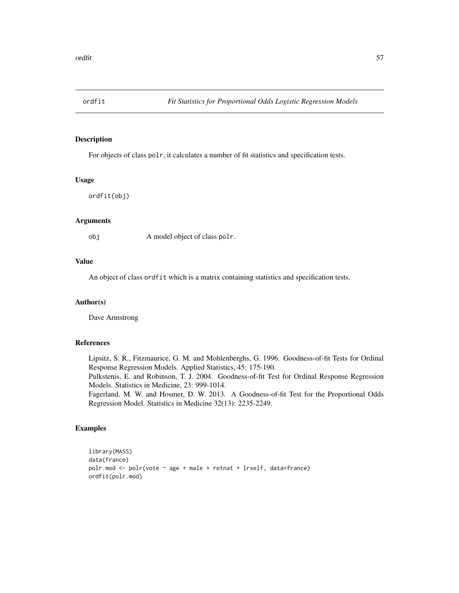For objects of class polr, it calculates a number of fit statistics and specification tests.

#### Usage

ordfit(obj)

### **Arguments**

obj A model object of class polr.

### Value

An object of class ordfit which is a matrix containing statistics and specification tests.

#### Author(s)

Dave Armstrong

# References

Lipsitz, S. R., Fitzmaurice, G. M. and Mohlenberghs, G. 1996. Goodness-of-fit Tests for Ordinal Response Regression Models. Applied Statistics, 45: 175-190.

Pulkstenis, E. and Robinson, T. J. 2004. Goodness-of-fit Test for Ordinal Response Regression Models. Statistics in Medicine, 23: 999-1014.

Fagerland, M. W. and Hosmer, D. W. 2013. A Goodness-of-fit Test for the Proportional Odds Regression Model. Statistics in Medicine 32(13): 2235-2249.

```
library(MASS)
data(france)
polr.mod \leq polr(vote \sim age + male + retnat + lrself, data=france)
ordfit(polr.mod)
```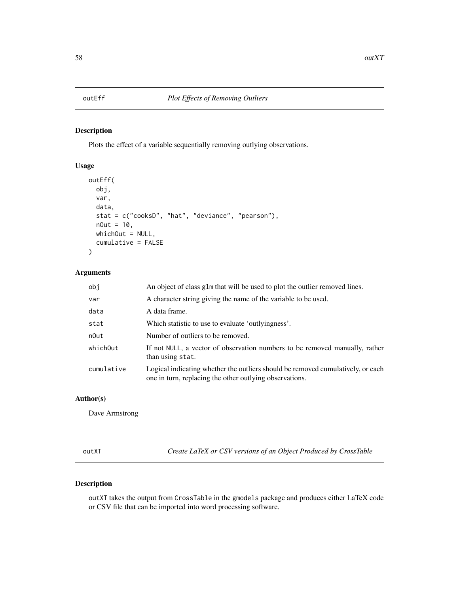Plots the effect of a variable sequentially removing outlying observations.

# Usage

```
outEff(
  obj,
  var,
  data,
  stat = c("cooksD", "hat", "deviance", "pearson"),
  nOut = 10,
  whichOut = NULL,cumulative = FALSE
\mathcal{L}
```
# Arguments

| obj        | An object of class glm that will be used to plot the outlier removed lines.                                                                |
|------------|--------------------------------------------------------------------------------------------------------------------------------------------|
| var        | A character string giving the name of the variable to be used.                                                                             |
| data       | A data frame.                                                                                                                              |
| stat       | Which statistic to use to evaluate 'outlyingness'.                                                                                         |
| n0ut       | Number of outliers to be removed.                                                                                                          |
| whichOut   | If not NULL, a vector of observation numbers to be removed manually, rather<br>than using stat.                                            |
| cumulative | Logical indicating whether the outliers should be removed cumulatively, or each<br>one in turn, replacing the other outlying observations. |

# Author(s)

Dave Armstrong

outXT *Create LaTeX or CSV versions of an Object Produced by CrossTable*

# Description

outXT takes the output from CrossTable in the gmodels package and produces either LaTeX code or CSV file that can be imported into word processing software.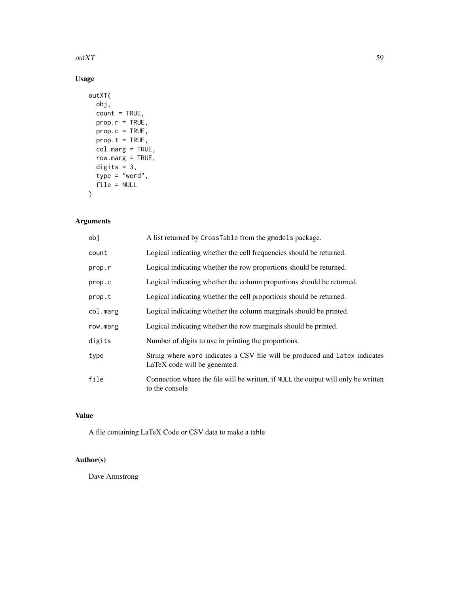### $\omega$ t $XT$  59

# Usage

```
outXT(
  obj,
  count = TRUE,prop.r = TRUE,
  prop.c = TRUE,prop.t = TRUE,col.marg = TRUE,
  row.marg = TRUE,
  digits = 3,
  type = "word",
  file = NULL
\overline{\phantom{a}}
```
# Arguments

| obj      | A list returned by CrossTable from the gmodels package.                                                      |
|----------|--------------------------------------------------------------------------------------------------------------|
| count    | Logical indicating whether the cell frequencies should be returned.                                          |
| prop.r   | Logical indicating whether the row proportions should be returned.                                           |
| prop.c   | Logical indicating whether the column proportions should be returned.                                        |
| prop.t   | Logical indicating whether the cell proportions should be returned.                                          |
| col.marg | Logical indicating whether the column marginals should be printed.                                           |
| row.marg | Logical indicating whether the row marginals should be printed.                                              |
| digits   | Number of digits to use in printing the proportions.                                                         |
| type     | String where word indicates a CSV file will be produced and latex indicates<br>LaTeX code will be generated. |
| file     | Connection where the file will be written, if NULL the output will only be written<br>to the console         |

# Value

A file containing LaTeX Code or CSV data to make a table

# Author(s)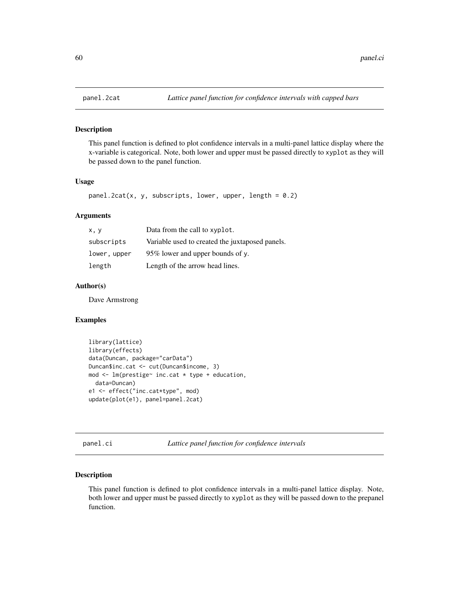This panel function is defined to plot confidence intervals in a multi-panel lattice display where the x-variable is categorical. Note, both lower and upper must be passed directly to xyplot as they will be passed down to the panel function.

### Usage

```
panel.2cat(x, y, subscripts, lower, upper, length = 0.2)
```
#### Arguments

| x, y         | Data from the call to xyplot.                   |
|--------------|-------------------------------------------------|
| subscripts   | Variable used to created the juxtaposed panels. |
| lower, upper | 95% lower and upper bounds of y.                |
| length       | Length of the arrow head lines.                 |

# Author(s)

Dave Armstrong

### Examples

```
library(lattice)
library(effects)
data(Duncan, package="carData")
Duncan$inc.cat <- cut(Duncan$income, 3)
mod <- lm(prestige~ inc.cat * type + education,
  data=Duncan)
e1 <- effect("inc.cat*type", mod)
update(plot(e1), panel=panel.2cat)
```
panel.ci *Lattice panel function for confidence intervals*

### Description

This panel function is defined to plot confidence intervals in a multi-panel lattice display. Note, both lower and upper must be passed directly to xyplot as they will be passed down to the prepanel function.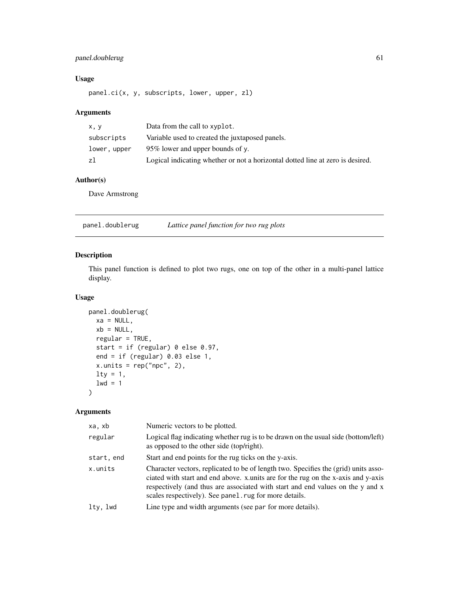# panel.doublerug 61

# Usage

panel.ci(x, y, subscripts, lower, upper, zl)

# Arguments

| x, y         | Data from the call to xyplot.                                                  |
|--------------|--------------------------------------------------------------------------------|
| subscripts   | Variable used to created the juxtaposed panels.                                |
| lower, upper | 95% lower and upper bounds of y.                                               |
| zl           | Logical indicating whether or not a horizontal dotted line at zero is desired. |

# Author(s)

Dave Armstrong

panel.doublerug *Lattice panel function for two rug plots*

# Description

This panel function is defined to plot two rugs, one on top of the other in a multi-panel lattice display.

# Usage

```
panel.doublerug(
 xa = NULL,xb = NULL,regular = TRUE,
 start = if (regular) 0 else 0.97,
 end = if (regular) 0.03 else 1,
 x.units = rep("npc", 2),
 lty = 1,1wd = 1)
```

| xa, xb     | Numeric vectors to be plotted.                                                                                                                                                                                                                                                                                      |
|------------|---------------------------------------------------------------------------------------------------------------------------------------------------------------------------------------------------------------------------------------------------------------------------------------------------------------------|
| regular    | Logical flag indicating whether rug is to be drawn on the usual side (bottom/left)<br>as opposed to the other side (top/right).                                                                                                                                                                                     |
| start, end | Start and end points for the rug ticks on the y-axis.                                                                                                                                                                                                                                                               |
| x.units    | Character vectors, replicated to be of length two. Specifies the (grid) units asso-<br>ciated with start and end above. x units are for the rug on the x-axis and y-axis<br>respectively (and thus are associated with start and end values on the y and x<br>scales respectively). See panel rug for more details. |
| lty, lwd   | Line type and width arguments (see par for more details).                                                                                                                                                                                                                                                           |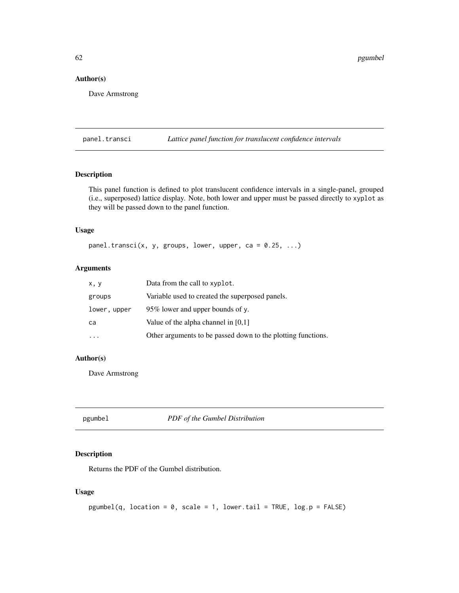62 pgumbel na mga ang mga ang mga ang mga ang mga ang mga ang mga ang mga ang mga ang mga ang mga ang mga ang mga ang mga ang mga ang mga ang mga ang mga ang mga ang mga ang mga ang mga ang mga ang mga ang mga ang mga ang

### Author(s)

Dave Armstrong

panel.transci *Lattice panel function for translucent confidence intervals*

# Description

This panel function is defined to plot translucent confidence intervals in a single-panel, grouped (i.e., superposed) lattice display. Note, both lower and upper must be passed directly to xyplot as they will be passed down to the panel function.

### Usage

panel.transci(x, y, groups, lower, upper, ca =  $0.25$ , ...)

### Arguments

| x, y         | Data from the call to xyplot.                                |
|--------------|--------------------------------------------------------------|
| groups       | Variable used to created the superposed panels.              |
| lower, upper | 95% lower and upper bounds of y.                             |
| ca           | Value of the alpha channel in $[0,1]$                        |
|              | Other arguments to be passed down to the plotting functions. |

### Author(s)

Dave Armstrong

pgumbel *PDF of the Gumbel Distribution*

### Description

Returns the PDF of the Gumbel distribution.

# Usage

```
pgumbel(q, location = 0, scale = 1, lower.tail = TRUE, log.p = FALSE)
```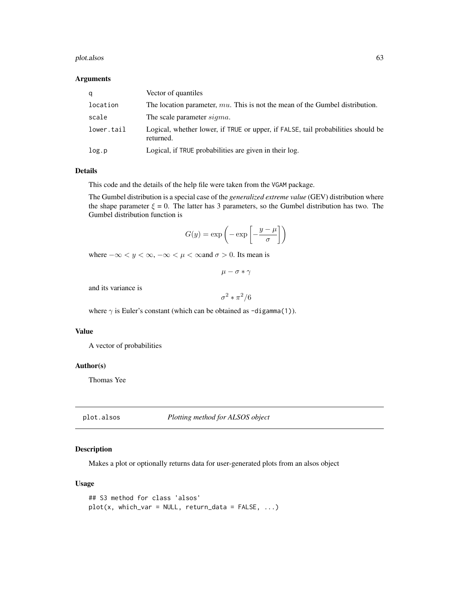#### plot.alsos 63

#### Arguments

| a          | Vector of quantiles                                                                           |
|------------|-----------------------------------------------------------------------------------------------|
| location   | The location parameter, $mu$ . This is not the mean of the Gumbel distribution.               |
| scale      | The scale parameter <i>sigma</i> .                                                            |
| lower.tail | Logical, whether lower, if TRUE or upper, if FALSE, tail probabilities should be<br>returned. |
| log.p      | Logical, if TRUE probabilities are given in their log.                                        |

### Details

This code and the details of the help file were taken from the VGAM package.

The Gumbel distribution is a special case of the *generalized extreme value* (GEV) distribution where the shape parameter  $\xi = 0$ . The latter has 3 parameters, so the Gumbel distribution has two. The Gumbel distribution function is

$$
G(y) = \exp\left(-\exp\left[-\frac{y-\mu}{\sigma}\right]\right)
$$

where  $-\infty < y < \infty, -\infty < \mu < \infty$  and  $\sigma > 0$ . Its mean is

$$
\mu-\sigma*\gamma
$$

and its variance is

 $\sigma^2 \ast \pi^2/6$ 

where  $\gamma$  is Euler's constant (which can be obtained as -digamma(1)).

#### Value

A vector of probabilities

### Author(s)

Thomas Yee

plot.alsos *Plotting method for ALSOS object*

# Description

Makes a plot or optionally returns data for user-generated plots from an alsos object

### Usage

```
## S3 method for class 'alsos'
plot(x, which_{var} = NULL, return_data = FALSE, ...)
```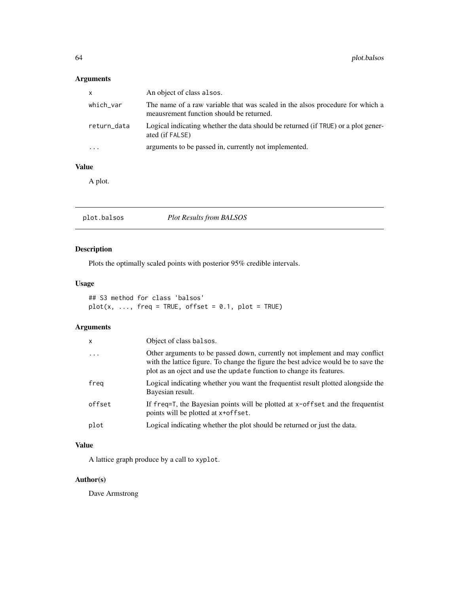# Arguments

| $\mathsf{x}$ | An object of class alsos.                                                                                                 |
|--------------|---------------------------------------------------------------------------------------------------------------------------|
| which_var    | The name of a raw variable that was scaled in the alsos procedure for which a<br>meausrement function should be returned. |
| return_data  | Logical indicating whether the data should be returned (if TRUE) or a plot gener-<br>ated (if FALSE)                      |
| $\cdots$     | arguments to be passed in, currently not implemented.                                                                     |

# Value

A plot.

plot.balsos *Plot Results from BALSOS*

# Description

Plots the optimally scaled points with posterior 95% credible intervals.

# Usage

## S3 method for class 'balsos'  $plot(x, ..., freq = TRUE, offset = 0.1, plot = TRUE)$ 

# Arguments

| x        | Object of class balsos.                                                                                                                                                                                                                   |
|----------|-------------------------------------------------------------------------------------------------------------------------------------------------------------------------------------------------------------------------------------------|
| $\cdots$ | Other arguments to be passed down, currently not implement and may conflict<br>with the lattice figure. To change the figure the best advice would be to save the<br>plot as an oject and use the update function to change its features. |
| freg     | Logical indicating whether you want the frequentist result plotted alongside the<br>Bayesian result.                                                                                                                                      |
| offset   | If $freq = T$ , the Bayesian points will be plotted at $x$ -offset and the frequentist<br>points will be plotted at x+offset.                                                                                                             |
| plot     | Logical indicating whether the plot should be returned or just the data.                                                                                                                                                                  |
|          |                                                                                                                                                                                                                                           |

# Value

A lattice graph produce by a call to xyplot.

# Author(s)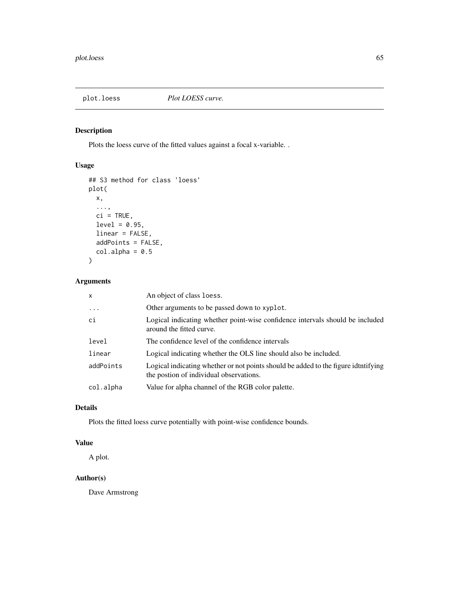### plot.loess *Plot LOESS curve.*

# Description

Plots the loess curve of the fitted values against a focal x-variable. .

# Usage

```
## S3 method for class 'loess'
plot(
 x,
  ...,
 ci = TRUE,level = 0.95,linear = FALSE,
 addPoints = FALSE,
 col.alpha = 0.5)
```
# Arguments

| $\mathsf{x}$ | An object of class loess.                                                                                                     |
|--------------|-------------------------------------------------------------------------------------------------------------------------------|
| .            | Other arguments to be passed down to xyplot.                                                                                  |
| ci           | Logical indicating whether point-wise confidence intervals should be included<br>around the fitted curve.                     |
| level        | The confidence level of the confidence intervals                                                                              |
| linear       | Logical indicating whether the OLS line should also be included.                                                              |
| addPoints    | Logical indicating whether or not points should be added to the figure idtntifying<br>the postion of individual observations. |
| col.alpha    | Value for alpha channel of the RGB color palette.                                                                             |

# Details

Plots the fitted loess curve potentially with point-wise confidence bounds.

# Value

A plot.

# Author(s)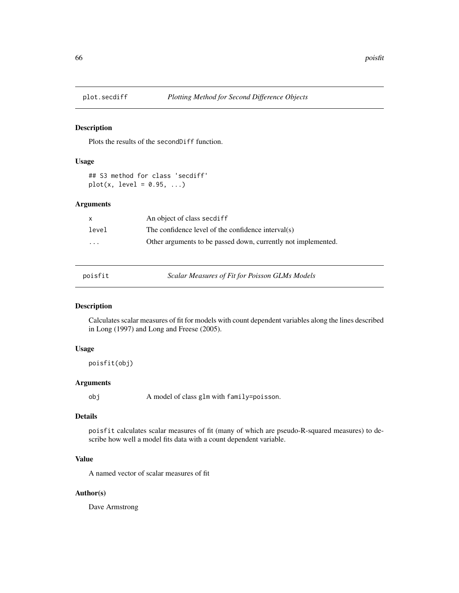Plots the results of the secondDiff function.

#### Usage

## S3 method for class 'secdiff'  $plot(x, level = 0.95, ...)$ 

# Arguments

| $\mathsf{x}$         | An object of class secdiff                                    |
|----------------------|---------------------------------------------------------------|
| level                | The confidence level of the confidence interval(s)            |
| $\ddot{\phantom{0}}$ | Other arguments to be passed down, currently not implemented. |

| DO1ST1 |  |  |  |
|--------|--|--|--|
|        |  |  |  |

Scalar Measures of Fit for Poisson GLMs Models

### Description

Calculates scalar measures of fit for models with count dependent variables along the lines described in Long (1997) and Long and Freese (2005).

### Usage

poisfit(obj)

# Arguments

obj A model of class glm with family=poisson.

# Details

poisfit calculates scalar measures of fit (many of which are pseudo-R-squared measures) to describe how well a model fits data with a count dependent variable.

# Value

A named vector of scalar measures of fit

# Author(s)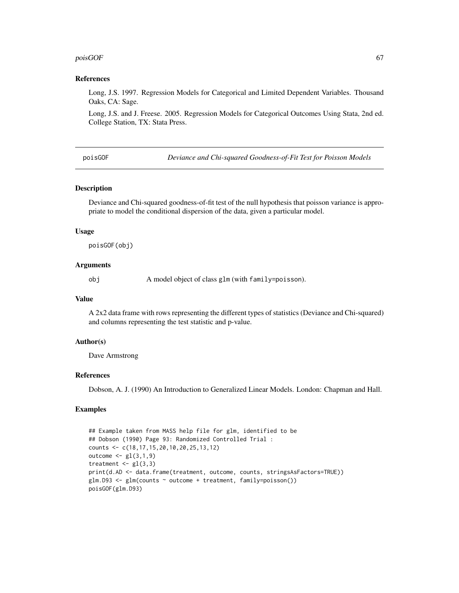#### $poisGOF$  67

### References

Long, J.S. 1997. Regression Models for Categorical and Limited Dependent Variables. Thousand Oaks, CA: Sage.

Long, J.S. and J. Freese. 2005. Regression Models for Categorical Outcomes Using Stata, 2nd ed. College Station, TX: Stata Press.

poisGOF *Deviance and Chi-squared Goodness-of-Fit Test for Poisson Models*

### Description

Deviance and Chi-squared goodness-of-fit test of the null hypothesis that poisson variance is appropriate to model the conditional dispersion of the data, given a particular model.

### Usage

poisGOF(obj)

### Arguments

obj A model object of class glm (with family=poisson).

#### Value

A 2x2 data frame with rows representing the different types of statistics (Deviance and Chi-squared) and columns representing the test statistic and p-value.

### Author(s)

Dave Armstrong

### References

Dobson, A. J. (1990) An Introduction to Generalized Linear Models. London: Chapman and Hall.

```
## Example taken from MASS help file for glm, identified to be
## Dobson (1990) Page 93: Randomized Controlled Trial :
counts <- c(18,17,15,20,10,20,25,13,12)
outcome \leq gl(3,1,9)
treatment \leq gl(3,3)
print(d.AD <- data.frame(treatment, outcome, counts, stringsAsFactors=TRUE))
glm.D93 <- glm(counts ~ outcome + treatment, family=poisson())
poisGOF(glm.D93)
```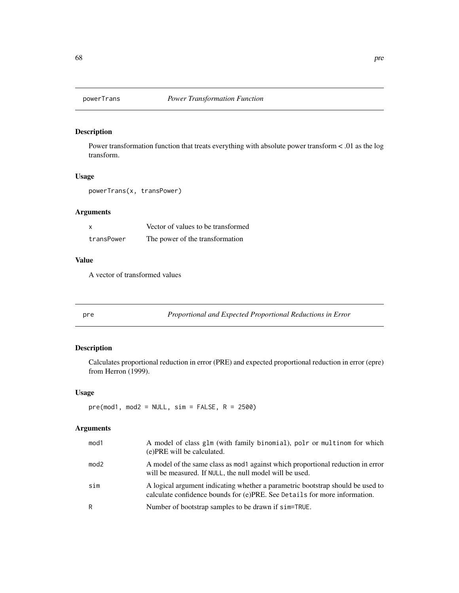Power transformation function that treats everything with absolute power transform < .01 as the log transform.

### Usage

powerTrans(x, transPower)

# Arguments

| x          | Vector of values to be transformed |
|------------|------------------------------------|
| transPower | The power of the transformation    |

# Value

A vector of transformed values

pre *Proportional and Expected Proportional Reductions in Error*

# Description

Calculates proportional reduction in error (PRE) and expected proportional reduction in error (epre) from Herron (1999).

### Usage

 $pre(mod1, mod2 = NULL, sim = FALSE, R = 2500)$ 

| mod1             | A model of class glm (with family binomial), polr or multinom for which<br>(e) PRE will be calculated.                                                      |
|------------------|-------------------------------------------------------------------------------------------------------------------------------------------------------------|
| mod <sub>2</sub> | A model of the same class as mod against which proportional reduction in error<br>will be measured. If NULL, the null model will be used.                   |
| sim              | A logical argument indicating whether a parametric bootstrap should be used to<br>calculate confidence bounds for (e)PRE. See Details for more information. |
| R                | Number of bootstrap samples to be drawn if sim=TRUE.                                                                                                        |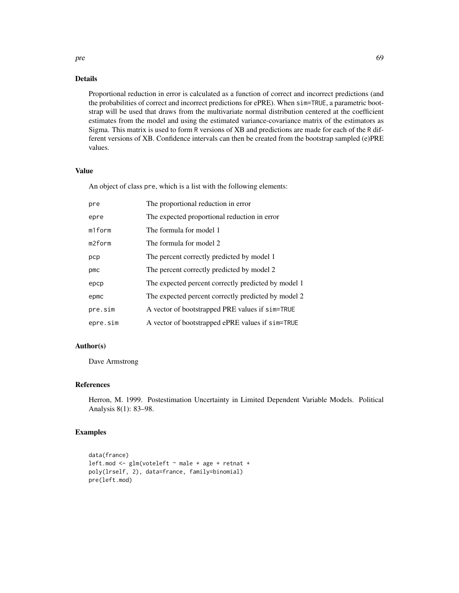### Details

Proportional reduction in error is calculated as a function of correct and incorrect predictions (and the probabilities of correct and incorrect predictions for ePRE). When sim=TRUE, a parametric bootstrap will be used that draws from the multivariate normal distribution centered at the coefficient estimates from the model and using the estimated variance-covariance matrix of the estimators as Sigma. This matrix is used to form R versions of XB and predictions are made for each of the R different versions of XB. Confidence intervals can then be created from the bootstrap sampled (e)PRE values.

### Value

An object of class pre, which is a list with the following elements:

| pre      | The proportional reduction in error                 |
|----------|-----------------------------------------------------|
| epre     | The expected proportional reduction in error        |
| m1form   | The formula for model 1                             |
| m2form   | The formula for model 2                             |
| pcp      | The percent correctly predicted by model 1          |
| pmc      | The percent correctly predicted by model 2          |
| epcp     | The expected percent correctly predicted by model 1 |
| epmc     | The expected percent correctly predicted by model 2 |
| pre.sim  | A vector of bootstrapped PRE values if sim=TRUE     |
| epre.sim | A vector of bootstrapped ePRE values if sim=TRUE    |

# Author(s)

Dave Armstrong

### References

Herron, M. 1999. Postestimation Uncertainty in Limited Dependent Variable Models. Political Analysis 8(1): 83–98.

# Examples

```
data(france)
leftmod \leftarrow glm(voteleft \rightarrow male + age + retnat +poly(lrself, 2), data=france, family=binomial)
pre(left.mod)
```
pre to the contract of the contract of the contract of the contract of the contract of the contract of the contract of the contract of the contract of the contract of the contract of the contract of the contract of the con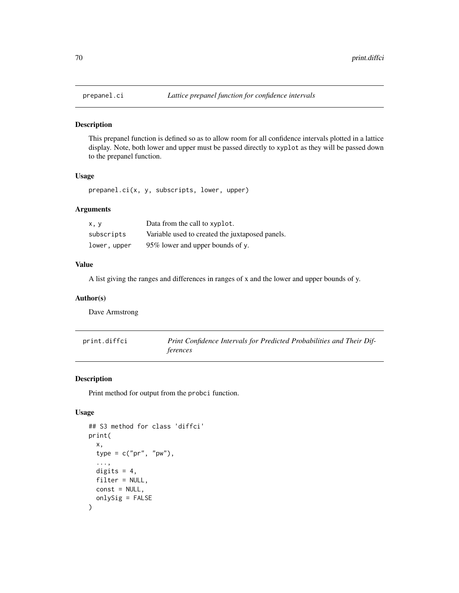This prepanel function is defined so as to allow room for all confidence intervals plotted in a lattice display. Note, both lower and upper must be passed directly to xyplot as they will be passed down to the prepanel function.

# Usage

prepanel.ci(x, y, subscripts, lower, upper)

# Arguments

| x, y         | Data from the call to xyplot.                   |
|--------------|-------------------------------------------------|
| subscripts   | Variable used to created the juxtaposed panels. |
| lower, upper | 95% lower and upper bounds of y.                |

#### Value

A list giving the ranges and differences in ranges of x and the lower and upper bounds of y.

#### Author(s)

Dave Armstrong

| print.diffci | Print Confidence Intervals for Predicted Probabilities and Their Dif- |
|--------------|-----------------------------------------------------------------------|
|              | ferences                                                              |

# Description

Print method for output from the probci function.

# Usage

```
## S3 method for class 'diffci'
print(
  x,
  type = c("pr", "pw"),
  ...,
 digits = 4,
 filter = NULL,
 const = NULL,
  onlySig = FALSE
)
```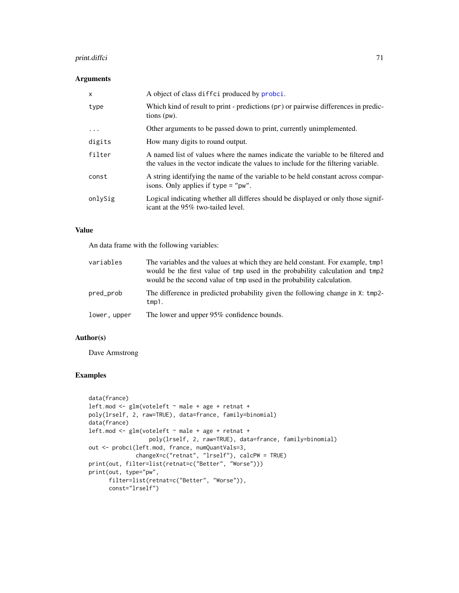# print.diffci 71

### Arguments

| $\mathsf{x}$ | A object of class diffci produced by probci.                                                                                                                           |
|--------------|------------------------------------------------------------------------------------------------------------------------------------------------------------------------|
| type         | Which kind of result to print - predictions (pr) or pairwise differences in predic-<br>$tions$ (pw).                                                                   |
| .            | Other arguments to be passed down to print, currently unimplemented.                                                                                                   |
| digits       | How many digits to round output.                                                                                                                                       |
| filter       | A named list of values where the names indicate the variable to be filtered and<br>the values in the vector indicate the values to include for the filtering variable. |
| const        | A string identifying the name of the variable to be held constant across compar-<br>isons. Only applies if $type = "pw".$                                              |
| onlySig      | Logical indicating whether all differes should be displayed or only those signif-<br>icant at the 95% two-tailed level.                                                |

### Value

An data frame with the following variables:

| variables    | The variables and the values at which they are held constant. For example, tmp1<br>would be the first value of tmp used in the probability calculation and tmp2<br>would be the second value of tmp used in the probability calculation. |
|--------------|------------------------------------------------------------------------------------------------------------------------------------------------------------------------------------------------------------------------------------------|
| pred_prob    | The difference in predicted probability given the following change in X: tmp2-<br>tmp1.                                                                                                                                                  |
| lower, upper | The lower and upper 95% confidence bounds.                                                                                                                                                                                               |

# Author(s)

Dave Armstrong

```
data(france)
left.mod <- glm(voteleft ~ male + age + retnat +
poly(lrself, 2, raw=TRUE), data=france, family=binomial)
data(france)
left.mod <- glm(voteleft ~ male + age + retnat +
                  poly(lrself, 2, raw=TRUE), data=france, family=binomial)
out <- probci(left.mod, france, numQuantVals=3,
             changeX=c("retnat", "lrself"), calcPW = TRUE)
print(out, filter=list(retnat=c("Better", "Worse")))
print(out, type="pw",
     filter=list(retnat=c("Better", "Worse")),
      const="lrself")
```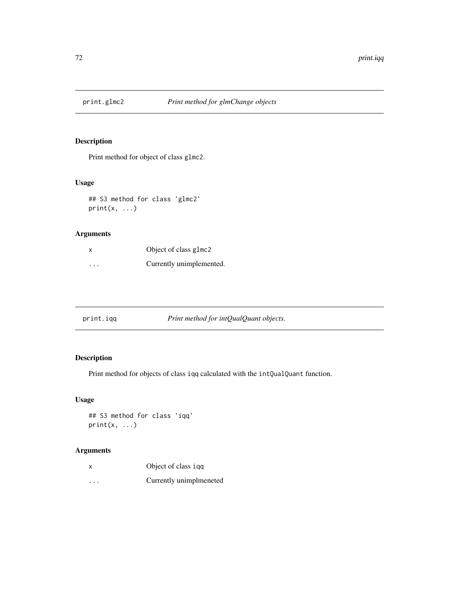Print method for object of class glmc2.

# Usage

## S3 method for class 'glmc2'  $print(x, \ldots)$ 

# Arguments

| x       | Object of class glmc2    |
|---------|--------------------------|
| $\cdot$ | Currently unimplemented. |

| Print method for intQualQuant objects.<br>print.iqq |
|-----------------------------------------------------|
|-----------------------------------------------------|

# Description

Print method for objects of class iqq calculated with the intQualQuant function.

# Usage

## S3 method for class 'iqq'  $print(x, \ldots)$ 

| X        | Object of class igg     |
|----------|-------------------------|
| $\cdots$ | Currently unimplmeneted |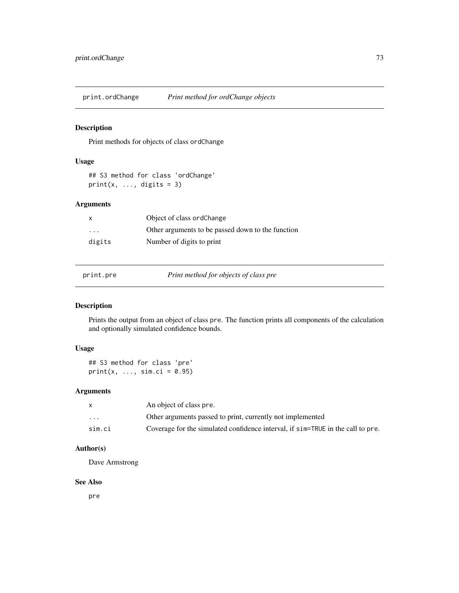<span id="page-72-0"></span>

Print methods for objects of class ordChange

## Usage

## S3 method for class 'ordChange'  $print(x, ..., digits = 3)$ 

# Arguments

| X       | Object of class ordChange                         |
|---------|---------------------------------------------------|
| $\cdot$ | Other arguments to be passed down to the function |
| digits  | Number of digits to print                         |

print.pre *Print method for objects of class pre*

# Description

Prints the output from an object of class pre. The function prints all components of the calculation and optionally simulated confidence bounds.

# Usage

## S3 method for class 'pre'  $print(x, ..., sim.ci = 0.95)$ 

# Arguments

|                         | An object of class pre.                                                         |
|-------------------------|---------------------------------------------------------------------------------|
| $\cdot$ $\cdot$ $\cdot$ | Other arguments passed to print, currently not implemented                      |
| sim.ci                  | Coverage for the simulated confidence interval, if sim=TRUE in the call to pre. |

# Author(s)

Dave Armstrong

### See Also

pre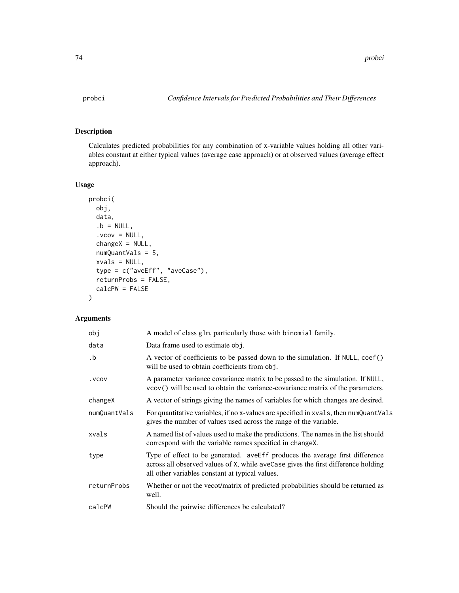<span id="page-73-0"></span>

Calculates predicted probabilities for any combination of x-variable values holding all other variables constant at either typical values (average case approach) or at observed values (average effect approach).

# Usage

```
probci(
  obj,
  data,
  .b = NULL,vcov = NULL,changeX = NULL,numQuantVals = 5,
  xvals = NULL,
  type = c("aveEff", "aveCase"),
  returnProbs = FALSE,
  calcPW = FALSE
\mathcal{L}
```
# Arguments

| obj                  | A model of class glm, particularly those with binomial family.                                                                                                                                                       |  |
|----------------------|----------------------------------------------------------------------------------------------------------------------------------------------------------------------------------------------------------------------|--|
| data                 | Data frame used to estimate obj.                                                                                                                                                                                     |  |
| $\cdot$ <sub>b</sub> | A vector of coefficients to be passed down to the simulation. If NULL, coef()<br>will be used to obtain coefficients from obj.                                                                                       |  |
| . VCOV               | A parameter variance covariance matrix to be passed to the simulation. If NULL,<br>vcov() will be used to obtain the variance-covariance matrix of the parameters.                                                   |  |
| changeX              | A vector of strings giving the names of variables for which changes are desired.                                                                                                                                     |  |
| numQuantVals         | For quantitative variables, if no x-values are specified in xvals, then numQuantVals<br>gives the number of values used across the range of the variable.                                                            |  |
| xvals                | A named list of values used to make the predictions. The names in the list should<br>correspond with the variable names specified in change.                                                                         |  |
| type                 | Type of effect to be generated. aveEff produces the average first difference<br>across all observed values of X, while aveCase gives the first difference holding<br>all other variables constant at typical values. |  |
| returnProbs          | Whether or not the vecot/matrix of predicted probabilities should be returned as<br>well.                                                                                                                            |  |
| calcPW               | Should the pairwise differences be calculated?                                                                                                                                                                       |  |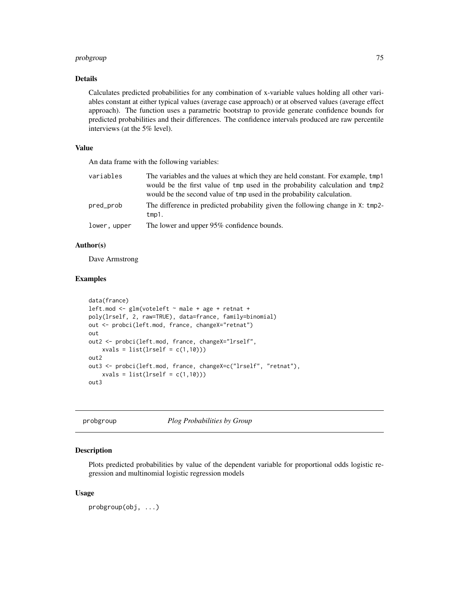# <span id="page-74-0"></span>probgroup 75

## Details

Calculates predicted probabilities for any combination of x-variable values holding all other variables constant at either typical values (average case approach) or at observed values (average effect approach). The function uses a parametric bootstrap to provide generate confidence bounds for predicted probabilities and their differences. The confidence intervals produced are raw percentile interviews (at the 5% level).

## Value

An data frame with the following variables:

| variables    | The variables and the values at which they are held constant. For example, tmp1         |
|--------------|-----------------------------------------------------------------------------------------|
|              | would be the first value of tmp used in the probability calculation and tmp2            |
|              | would be the second value of tmp used in the probability calculation.                   |
| pred_prob    | The difference in predicted probability given the following change in X: tmp2-<br>tmp1. |
| lower, upper | The lower and upper 95% confidence bounds.                                              |

## Author(s)

Dave Armstrong

#### Examples

```
data(france)
left.mod <- glm(voteleft ~ male + age + retnat +
poly(lrself, 2, raw=TRUE), data=france, family=binomial)
out <- probci(left.mod, france, changeX="retnat")
out
out2 <- probci(left.mod, france, changeX="lrself",
   xvals = list(Irself = c(1,10)))out2
out3 <- probci(left.mod, france, changeX=c("lrself", "retnat"),
    xvals = list(Irself = c(1,10)))out3
```
probgroup *Plog Probabilities by Group*

#### Description

Plots predicted probabilities by value of the dependent variable for proportional odds logistic regression and multinomial logistic regression models

#### Usage

probgroup(obj, ...)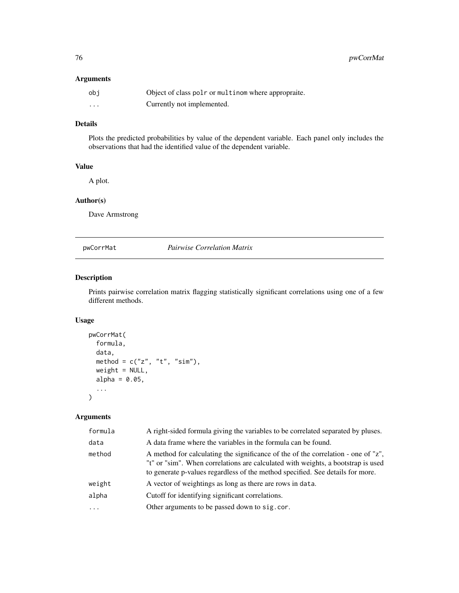## <span id="page-75-0"></span>Arguments

| obi      | Object of class polr or multinom where appropraite. |
|----------|-----------------------------------------------------|
| $\cdots$ | Currently not implemented.                          |

# Details

Plots the predicted probabilities by value of the dependent variable. Each panel only includes the observations that had the identified value of the dependent variable.

## Value

A plot.

# Author(s)

Dave Armstrong

pwCorrMat *Pairwise Correlation Matrix*

# Description

Prints pairwise correlation matrix flagging statistically significant correlations using one of a few different methods.

# Usage

```
pwCorrMat(
  formula,
 data,
 method = c("z", "t", "sim"),
 weight = NULL,
  alpha = 0.05,
  ...
)
```
# Arguments

| formula  | A right-sided formula giving the variables to be correlated separated by pluses.                                                                                                                                                                        |
|----------|---------------------------------------------------------------------------------------------------------------------------------------------------------------------------------------------------------------------------------------------------------|
| data     | A data frame where the variables in the formula can be found.                                                                                                                                                                                           |
| method   | A method for calculating the significance of the of the correlation - one of "z",<br>"t" or "sim". When correlations are calculated with weights, a bootstrap is used<br>to generate p-values regardless of the method specified. See details for more. |
| weight   | A vector of weightings as long as there are rows in data.                                                                                                                                                                                               |
| alpha    | Cutoff for identifying significant correlations.                                                                                                                                                                                                        |
| $\cdots$ | Other arguments to be passed down to sig.cor.                                                                                                                                                                                                           |
|          |                                                                                                                                                                                                                                                         |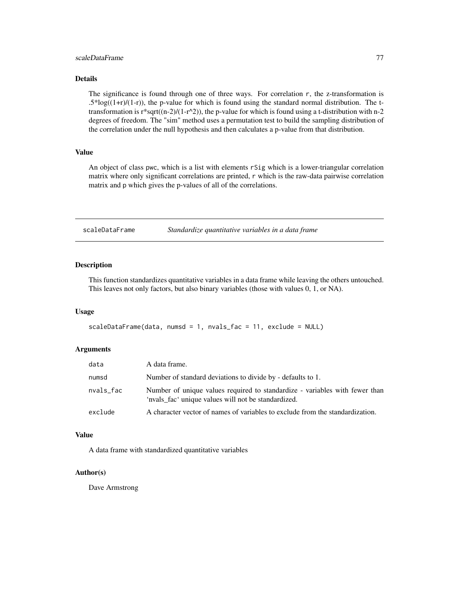## <span id="page-76-0"></span>scaleDataFrame 77

## Details

The significance is found through one of three ways. For correlation r, the z-transformation is  $.5*log((1+r)/(1-r))$ , the p-value for which is found using the standard normal distribution. The ttransformation is r\*sqrt((n-2)/(1-r^2)), the p-value for which is found using a t-distribution with n-2 degrees of freedom. The "sim" method uses a permutation test to build the sampling distribution of the correlation under the null hypothesis and then calculates a p-value from that distribution.

#### Value

An object of class pwc, which is a list with elements rSig which is a lower-triangular correlation matrix where only significant correlations are printed, r which is the raw-data pairwise correlation matrix and p which gives the p-values of all of the correlations.

scaleDataFrame *Standardize quantitative variables in a data frame*

#### Description

This function standardizes quantitative variables in a data frame while leaving the others untouched. This leaves not only factors, but also binary variables (those with values 0, 1, or NA).

#### Usage

```
scaleDataFrame(data, numsd = 1, nvals_fac = 11, exclude = NULL)
```
#### Arguments

| data      | A data frame.                                                                                                                      |
|-----------|------------------------------------------------------------------------------------------------------------------------------------|
| numsd     | Number of standard deviations to divide by - defaults to 1.                                                                        |
| nvals_fac | Number of unique values required to standardize - variables with fewer than<br>'nvals_fac' unique values will not be standardized. |
| exclude   | A character vector of names of variables to exclude from the standardization.                                                      |

#### Value

A data frame with standardized quantitative variables

#### Author(s)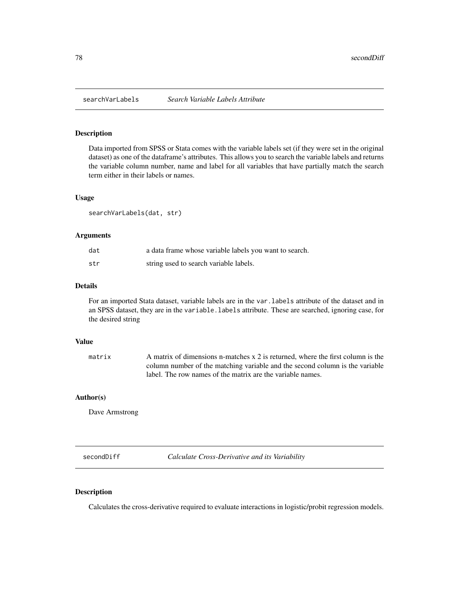<span id="page-77-0"></span>

Data imported from SPSS or Stata comes with the variable labels set (if they were set in the original dataset) as one of the dataframe's attributes. This allows you to search the variable labels and returns the variable column number, name and label for all variables that have partially match the search term either in their labels or names.

## Usage

searchVarLabels(dat, str)

## Arguments

| dat | a data frame whose variable labels you want to search. |
|-----|--------------------------------------------------------|
| str | string used to search variable labels.                 |

#### Details

For an imported Stata dataset, variable labels are in the var.labels attribute of the dataset and in an SPSS dataset, they are in the variable.labels attribute. These are searched, ignoring case, for the desired string

#### Value

matrix A matrix of dimensions n-matches x 2 is returned, where the first column is the column number of the matching variable and the second column is the variable label. The row names of the matrix are the variable names.

#### Author(s)

Dave Armstrong

secondDiff *Calculate Cross-Derivative and its Variability*

#### Description

Calculates the cross-derivative required to evaluate interactions in logistic/probit regression models.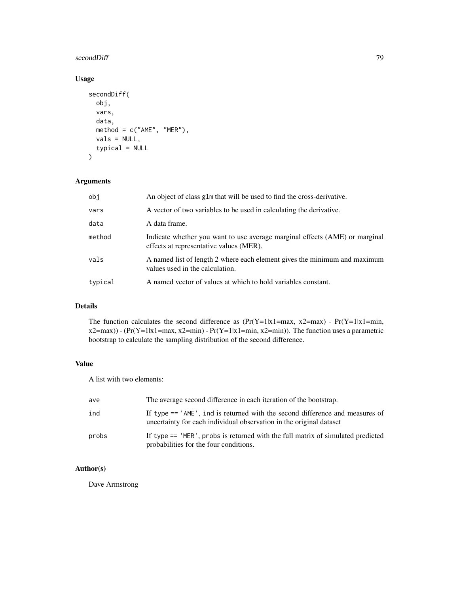#### secondDiff 79

# Usage

```
secondDiff(
  obj,
  vars,
  data,
  method = c("AME", "MER"),
  vals = NULL,
  typical = NULL
\mathcal{L}
```
# Arguments

| obi     | An object of class g1m that will be used to find the cross-derivative.                                                 |
|---------|------------------------------------------------------------------------------------------------------------------------|
| vars    | A vector of two variables to be used in calculating the derivative.                                                    |
| data    | A data frame.                                                                                                          |
| method  | Indicate whether you want to use average marginal effects (AME) or marginal<br>effects at representative values (MER). |
| vals    | A named list of length 2 where each element gives the minimum and maximum<br>values used in the calculation.           |
| typical | A named vector of values at which to hold variables constant.                                                          |

# Details

The function calculates the second difference as  $(Pr(Y=1|x1=max, x2=max) - Pr(Y=1|x1=min,$ x2=max)) - (Pr(Y=1|x1=max, x2=min) - Pr(Y=1|x1=min, x2=min)). The function uses a parametric bootstrap to calculate the sampling distribution of the second difference.

## Value

A list with two elements:

| ave   | The average second difference in each iteration of the bootstrap.                                                                                     |
|-------|-------------------------------------------------------------------------------------------------------------------------------------------------------|
| ind   | If type $==$ 'AME', ind is returned with the second difference and measures of<br>uncertainty for each individual observation in the original dataset |
| probs | If type $==$ 'MER', probs is returned with the full matrix of simulated predicted<br>probabilities for the four conditions.                           |

# Author(s)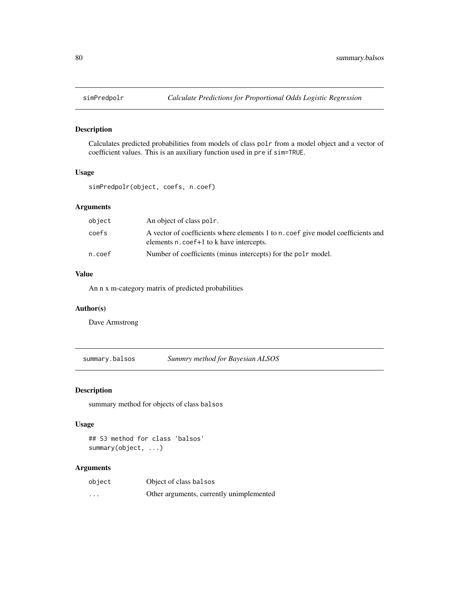<span id="page-79-0"></span>

Calculates predicted probabilities from models of class polr from a model object and a vector of coefficient values. This is an auxiliary function used in pre if sim=TRUE.

# Usage

simPredpolr(object, coefs, n.coef)

## Arguments

| object | An object of class pole.                                                                                                                 |
|--------|------------------------------------------------------------------------------------------------------------------------------------------|
| coefs  | A vector of coefficients where elements 1 to n, coef give model coefficients and<br>elements n. coef <sup>+1</sup> to k have intercepts. |
| n.coef | Number of coefficients (minus intercepts) for the pole model.                                                                            |

# Value

An n x m-category matrix of predicted probabilities

## Author(s)

Dave Armstrong

summary.balsos *Summry method for Bayesian ALSOS*

#### Description

summary method for objects of class balsos

#### Usage

```
## S3 method for class 'balsos'
summary(object, ...)
```
## Arguments

| object  | Object of class balsos                   |
|---------|------------------------------------------|
| $\cdot$ | Other arguments, currently unimplemented |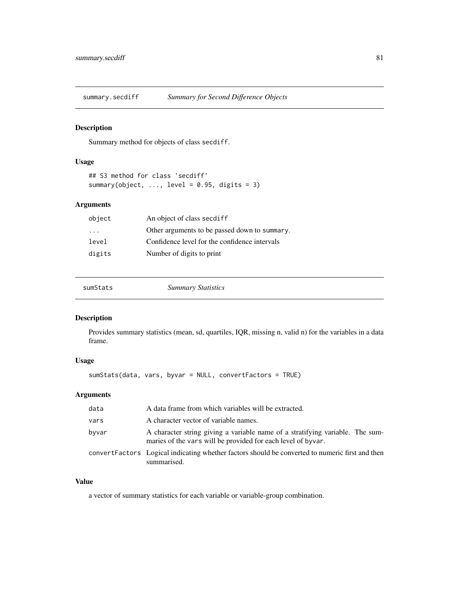<span id="page-80-0"></span>

Summary method for objects of class secdiff.

## Usage

```
## S3 method for class 'secdiff'
summary(object, ..., level = 0.95, digits = 3)
```
# Arguments

| object | An object of class secdiff                    |
|--------|-----------------------------------------------|
| .      | Other arguments to be passed down to summary. |
| level  | Confidence level for the confidence intervals |
| digits | Number of digits to print                     |

| <b>Summary Statistics</b> | sumStats |
|---------------------------|----------|
|---------------------------|----------|

# Description

Provides summary statistics (mean, sd, quartiles, IQR, missing n, valid n) for the variables in a data frame.

# Usage

sumStats(data, vars, byvar = NULL, convertFactors = TRUE)

# Arguments

| data  | A data frame from which variables will be extracted.                                                                                          |
|-------|-----------------------------------------------------------------------------------------------------------------------------------------------|
| vars  | A character vector of variable names.                                                                                                         |
| byvar | A character string giving a variable name of a stratifying variable. The sum-<br>maries of the vars will be provided for each level of byvar. |
|       | convert Factors Logical indicating whether factors should be converted to numeric first and then<br>summarised.                               |

# Value

a vector of summary statistics for each variable or variable-group combination.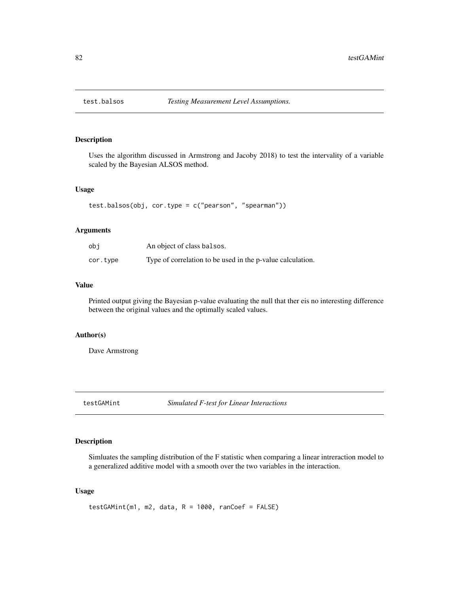<span id="page-81-0"></span>

Uses the algorithm discussed in Armstrong and Jacoby 2018) to test the intervality of a variable scaled by the Bayesian ALSOS method.

#### Usage

```
test.balsos(obj, cor.type = c("pearson", "spearman"))
```
## Arguments

| obi      | An object of class balsos.                                 |
|----------|------------------------------------------------------------|
| cor.type | Type of correlation to be used in the p-value calculation. |

# Value

Printed output giving the Bayesian p-value evaluating the null that ther eis no interesting difference between the original values and the optimally scaled values.

## Author(s)

Dave Armstrong

testGAMint *Simulated F-test for Linear Interactions*

## Description

Simluates the sampling distribution of the F statistic when comparing a linear intreraction model to a generalized additive model with a smooth over the two variables in the interaction.

## Usage

```
testGAMint(m1, m2, data, R = 1000, ranCoef = FALSE)
```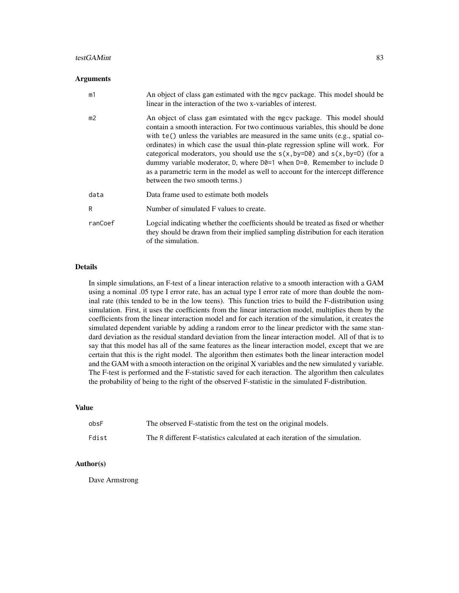#### testGAMint 83

#### Arguments

| m1             | An object of class gam estimated with the mgcv package. This model should be<br>linear in the interaction of the two x-variables of interest.                                                                                                                                                                                                                                                                                                                                                                                                                                                                                                      |
|----------------|----------------------------------------------------------------------------------------------------------------------------------------------------------------------------------------------------------------------------------------------------------------------------------------------------------------------------------------------------------------------------------------------------------------------------------------------------------------------------------------------------------------------------------------------------------------------------------------------------------------------------------------------------|
| m <sub>2</sub> | An object of class gam esimtated with the mgcv package. This model should<br>contain a smooth interaction. For two continuous variables, this should be done<br>with $te()$ unless the variables are measured in the same units (e.g., spatial co-<br>ordinates) in which case the usual thin-plate regression spline will work. For<br>categorical moderators, you should use the $s(x, by=D\theta)$ and $s(x, by=D)$ (for a<br>dummy variable moderator, D, where $D\theta = 1$ when $D = \theta$ . Remember to include D<br>as a parametric term in the model as well to account for the intercept difference<br>between the two smooth terms.) |
| data           | Data frame used to estimate both models                                                                                                                                                                                                                                                                                                                                                                                                                                                                                                                                                                                                            |
| R              | Number of simulated F values to create.                                                                                                                                                                                                                                                                                                                                                                                                                                                                                                                                                                                                            |
| ranCoef        | Logcial indicating whether the coefficients should be treated as fixed or whether<br>they should be drawn from their implied sampling distribution for each iteration<br>of the simulation.                                                                                                                                                                                                                                                                                                                                                                                                                                                        |

## Details

In simple simulations, an F-test of a linear interaction relative to a smooth interaction with a GAM using a nominal .05 type I error rate, has an actual type I error rate of more than double the nominal rate (this tended to be in the low teens). This function tries to build the F-distribution using simulation. First, it uses the coefficients from the linear interaction model, multiplies them by the coefficients from the linear interaction model and for each iteration of the simulation, it creates the simulated dependent variable by adding a random error to the linear predictor with the same standard deviation as the residual standard deviation from the linear interaction model. All of that is to say that this model has all of the same features as the linear interaction model, except that we are certain that this is the right model. The algorithm then estimates both the linear interaction model and the GAM with a smooth interaction on the original X variables and the new simulated y variable. The F-test is performed and the F-statistic saved for each iteraction. The algorithm then calculates the probability of being to the right of the observed F-statistic in the simulated F-distribution.

### Value

| obsF  | The observed F-statistic from the test on the original models.               |
|-------|------------------------------------------------------------------------------|
| Fdist | The R different F-statistics calculated at each iteration of the simulation. |

## Author(s)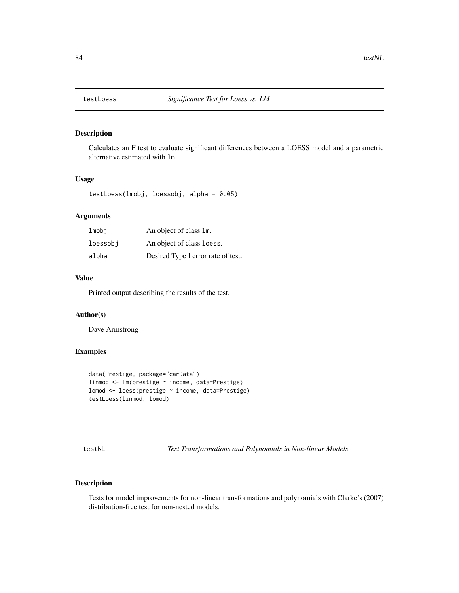<span id="page-83-0"></span>

Calculates an F test to evaluate significant differences between a LOESS model and a parametric alternative estimated with lm

# Usage

testLoess(lmobj, loessobj, alpha = 0.05)

# Arguments

| lmobi    | An object of class 1m.             |
|----------|------------------------------------|
| loessobj | An object of class loess.          |
| alpha    | Desired Type I error rate of test. |

#### Value

Printed output describing the results of the test.

## Author(s)

Dave Armstrong

#### Examples

```
data(Prestige, package="carData")
linmod <- lm(prestige ~ income, data=Prestige)
lomod <- loess(prestige ~ income, data=Prestige)
testLoess(linmod, lomod)
```
testNL *Test Transformations and Polynomials in Non-linear Models*

## Description

Tests for model improvements for non-linear transformations and polynomials with Clarke's (2007) distribution-free test for non-nested models.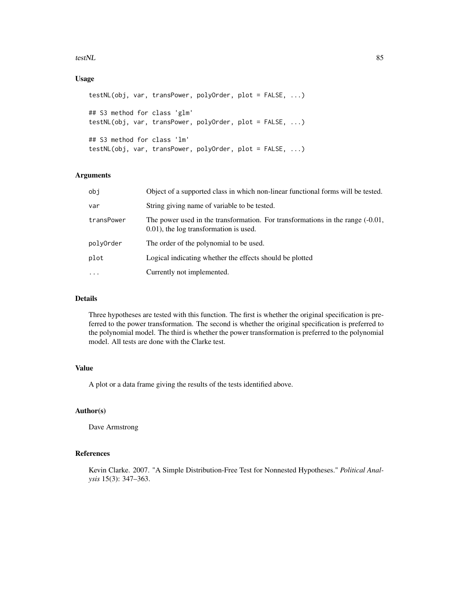#### testNL 85

# Usage

```
testNL(obj, var, transPower, polyOrder, plot = FALSE, ...)
## S3 method for class 'glm'
testNL(obj, var, transPower, polyOrder, plot = FALSE, ...)
## S3 method for class 'lm'
testNL(obj, var, transPower, polyOrder, plot = FALSE, ...)
```
#### Arguments

| obj        | Object of a supported class in which non-linear functional forms will be tested.                                           |
|------------|----------------------------------------------------------------------------------------------------------------------------|
| var        | String giving name of variable to be tested.                                                                               |
| transPower | The power used in the transformation. For transformations in the range $(-0.01,$<br>0.01), the log transformation is used. |
| polyOrder  | The order of the polynomial to be used.                                                                                    |
| plot       | Logical indicating whether the effects should be plotted                                                                   |
| $\cdots$   | Currently not implemented.                                                                                                 |
|            |                                                                                                                            |

#### Details

Three hypotheses are tested with this function. The first is whether the original specification is preferred to the power transformation. The second is whether the original specification is preferred to the polynomial model. The third is whether the power transformation is preferred to the polynomial model. All tests are done with the Clarke test.

## Value

A plot or a data frame giving the results of the tests identified above.

#### Author(s)

Dave Armstrong

#### References

Kevin Clarke. 2007. "A Simple Distribution-Free Test for Nonnested Hypotheses." *Political Analysis* 15(3): 347–363.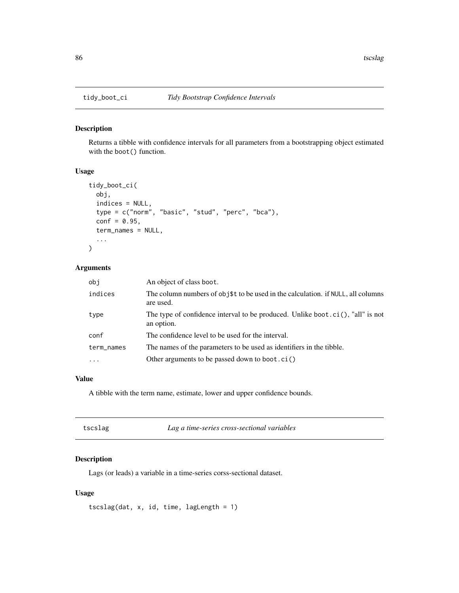Returns a tibble with confidence intervals for all parameters from a bootstrapping object estimated with the boot() function.

## Usage

```
tidy_boot_ci(
 obj,
  indices = NULL,
  type = c("norm", "basic", "stud", "perc", "bca"),
  conf = 0.95,term_names = NULL,
  ...
)
```
# Arguments

| obi        | An object of class boot.                                                                      |
|------------|-----------------------------------------------------------------------------------------------|
| indices    | The column numbers of obj\$t to be used in the calculation. if NULL, all columns<br>are used. |
| type       | The type of confidence interval to be produced. Unlike boot.ci(), "all" is not<br>an option.  |
| conf       | The confidence level to be used for the interval.                                             |
| term_names | The names of the parameters to be used as identifiers in the tibble.                          |
| $\ddots$   | Other arguments to be passed down to boot.ci()                                                |

## Value

A tibble with the term name, estimate, lower and upper confidence bounds.

| Lag a time-series cross-sectional variables<br>tscslag |
|--------------------------------------------------------|
|--------------------------------------------------------|

# Description

Lags (or leads) a variable in a time-series corss-sectional dataset.

## Usage

tscslag(dat, x, id, time, lagLength = 1)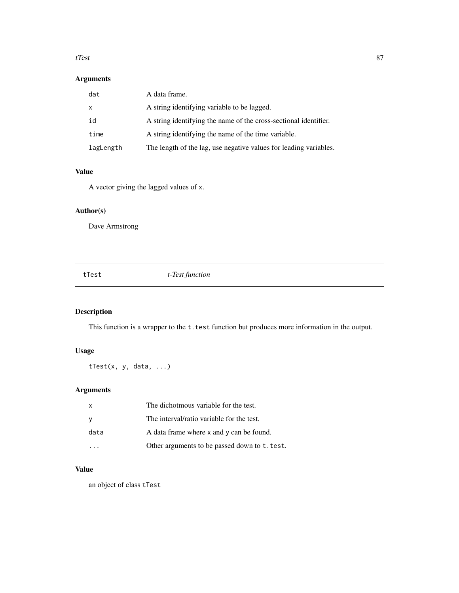#### <span id="page-86-0"></span>tTest 87

# Arguments

| dat          | A data frame.                                                     |
|--------------|-------------------------------------------------------------------|
| $\mathsf{x}$ | A string identifying variable to be lagged.                       |
| id           | A string identifying the name of the cross-sectional identifier.  |
| time         | A string identifying the name of the time variable.               |
| lagLength    | The length of the lag, use negative values for leading variables. |

# Value

A vector giving the lagged values of x.

# Author(s)

Dave Armstrong

tTest *t-Test function*

# Description

This function is a wrapper to the t.test function but produces more information in the output.

# Usage

tTest(x, y, data, ...)

# Arguments

| $\mathsf{x}$ | The dichotmous variable for the test.         |
|--------------|-----------------------------------------------|
| <sub>V</sub> | The interval/ratio variable for the test.     |
| data         | A data frame where x and y can be found.      |
|              | Other arguments to be passed down to t. test. |

# Value

an object of class tTest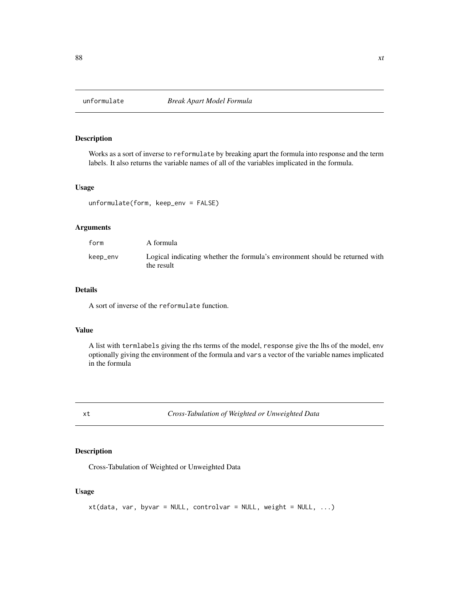<span id="page-87-0"></span>

Works as a sort of inverse to reformulate by breaking apart the formula into response and the term labels. It also returns the variable names of all of the variables implicated in the formula.

#### Usage

```
unformulate(form, keep_env = FALSE)
```
# Arguments

| form     | A formula                                                                                  |
|----------|--------------------------------------------------------------------------------------------|
| keep_env | Logical indicating whether the formula's environment should be returned with<br>the result |

# Details

A sort of inverse of the reformulate function.

## Value

A list with termlabels giving the rhs terms of the model, response give the lhs of the model, env optionally giving the environment of the formula and vars a vector of the variable names implicated in the formula

xt *Cross-Tabulation of Weighted or Unweighted Data*

# Description

Cross-Tabulation of Weighted or Unweighted Data

## Usage

```
xt(data, var, byvar = NULL, contour = NULL, weight = NULL, ...)
```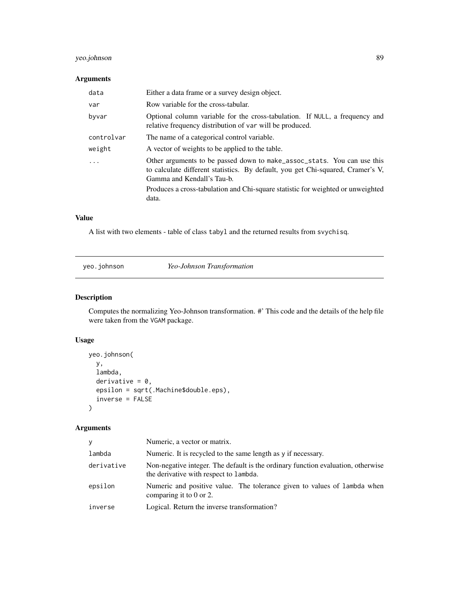# <span id="page-88-0"></span>yeo.johnson 89

# Arguments

| data       | Either a data frame or a survey design object.                                                                                                                                           |
|------------|------------------------------------------------------------------------------------------------------------------------------------------------------------------------------------------|
| var        | Row variable for the cross-tabular.                                                                                                                                                      |
| byvar      | Optional column variable for the cross-tabulation. If NULL, a frequency and<br>relative frequency distribution of var will be produced.                                                  |
| controlvar | The name of a categorical control variable.                                                                                                                                              |
| weight     | A vector of weights to be applied to the table.                                                                                                                                          |
|            | Other arguments to be passed down to make_assoc_stats. You can use this<br>to calculate different statistics. By default, you get Chi-squared, Cramer's V,<br>Gamma and Kendall's Tau-b. |
|            | Produces a cross-tabulation and Chi-square statistic for weighted or unweighted<br>data.                                                                                                 |

## Value

A list with two elements - table of class tabyl and the returned results from svychisq.

yeo.johnson *Yeo-Johnson Transformation*

# Description

Computes the normalizing Yeo-Johnson transformation. #' This code and the details of the help file were taken from the VGAM package.

# Usage

```
yeo.johnson(
 y,
  lambda,
 derivative = 0,
  epsilon = sqrt(.Machine$double.eps),
  inverse = FALSE
)
```
# Arguments

| V          | Numeric, a vector or matrix.                                                                                               |
|------------|----------------------------------------------------------------------------------------------------------------------------|
| lambda     | Numeric. It is recycled to the same length as y if necessary.                                                              |
| derivative | Non-negative integer. The default is the ordinary function evaluation, otherwise<br>the derivative with respect to lambda. |
| epsilon    | Numeric and positive value. The tolerance given to values of lambda when<br>comparing it to 0 or 2.                        |
| inverse    | Logical. Return the inverse transformation?                                                                                |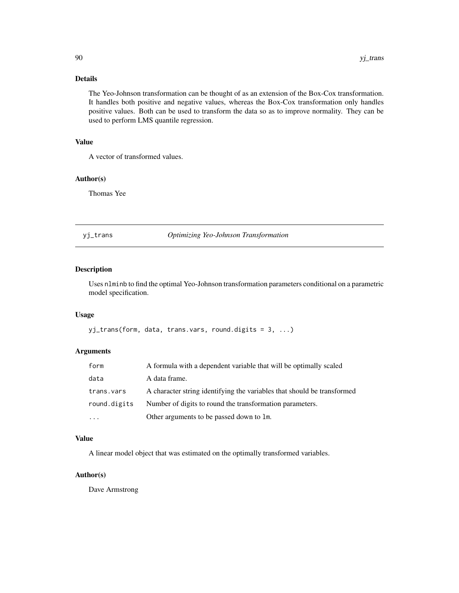## Details

The Yeo-Johnson transformation can be thought of as an extension of the Box-Cox transformation. It handles both positive and negative values, whereas the Box-Cox transformation only handles positive values. Both can be used to transform the data so as to improve normality. They can be used to perform LMS quantile regression.

# Value

A vector of transformed values.

## Author(s)

Thomas Yee

yj\_trans *Optimizing Yeo-Johnson Transformation*

## Description

Uses nlminb to find the optimal Yeo-Johnson transformation parameters conditional on a parametric model specification.

#### Usage

```
yj_trans(form, data, trans.vars, round.digits = 3, ...)
```
#### Arguments

| form         | A formula with a dependent variable that will be optimally scaled       |
|--------------|-------------------------------------------------------------------------|
| data         | A data frame.                                                           |
| trans.vars   | A character string identifying the variables that should be transformed |
| round.digits | Number of digits to round the transformation parameters.                |
| $\cdot$      | Other arguments to be passed down to 1m.                                |

#### Value

A linear model object that was estimated on the optimally transformed variables.

## Author(s)

<span id="page-89-0"></span>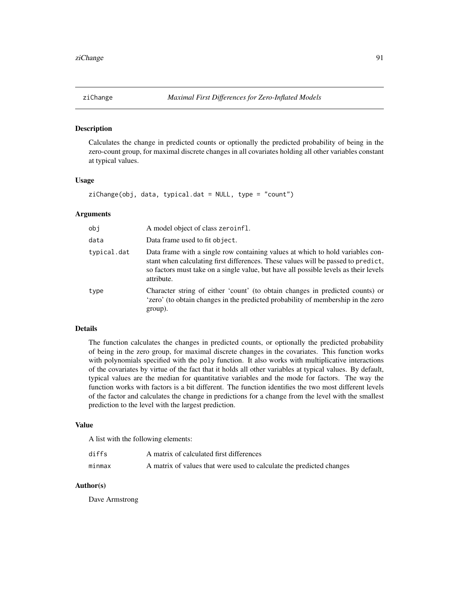<span id="page-90-0"></span>

Calculates the change in predicted counts or optionally the predicted probability of being in the zero-count group, for maximal discrete changes in all covariates holding all other variables constant at typical values.

#### Usage

 $zichange(obj, data, typical.dat = NULL, type = "count")$ 

## Arguments

| obj         | A model object of class zeroinfl.                                                                                                                                                                                                                                         |
|-------------|---------------------------------------------------------------------------------------------------------------------------------------------------------------------------------------------------------------------------------------------------------------------------|
| data        | Data frame used to fit object.                                                                                                                                                                                                                                            |
| typical.dat | Data frame with a single row containing values at which to hold variables con-<br>stant when calculating first differences. These values will be passed to predict,<br>so factors must take on a single value, but have all possible levels as their levels<br>attribute. |
| type        | Character string of either 'count' (to obtain changes in predicted counts) or<br>'zero' (to obtain changes in the predicted probability of membership in the zero<br>group).                                                                                              |

#### Details

The function calculates the changes in predicted counts, or optionally the predicted probability of being in the zero group, for maximal discrete changes in the covariates. This function works with polynomials specified with the poly function. It also works with multiplicative interactions of the covariates by virtue of the fact that it holds all other variables at typical values. By default, typical values are the median for quantitative variables and the mode for factors. The way the function works with factors is a bit different. The function identifies the two most different levels of the factor and calculates the change in predictions for a change from the level with the smallest prediction to the level with the largest prediction.

#### Value

A list with the following elements:

| diffs  | A matrix of calculated first differences                             |
|--------|----------------------------------------------------------------------|
| minmax | A matrix of values that were used to calculate the predicted changes |

#### Author(s)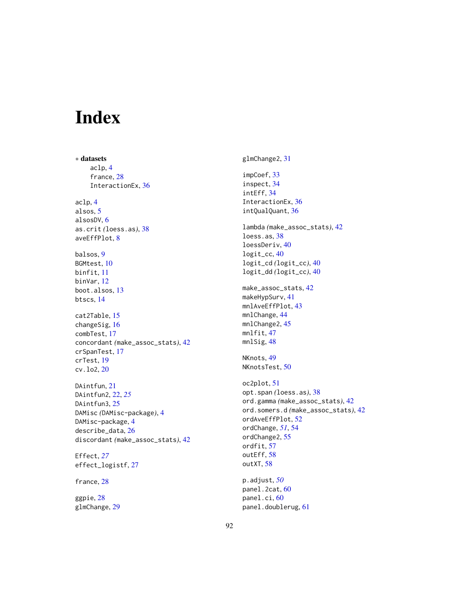# Index

∗ datasets aclp, [4](#page-3-0) france, [28](#page-27-0) InteractionEx, [36](#page-35-0) aclp, [4](#page-3-0) alsos, [5](#page-4-0) alsosDV, [6](#page-5-0) as.crit *(*loess.as*)*, [38](#page-37-0) aveEffPlot, [8](#page-7-0) balsos, [9](#page-8-0) BGMtest, [10](#page-9-0) binfit, [11](#page-10-0) binVar, [12](#page-11-0) boot.alsos, [13](#page-12-0) btscs, [14](#page-13-0) cat2Table, [15](#page-14-0) changeSig, [16](#page-15-0) combTest, [17](#page-16-0) concordant *(*make\_assoc\_stats*)*, [42](#page-41-0) crSpanTest, [17](#page-16-0) crTest, [19](#page-18-0) cv.lo2, [20](#page-19-0) DAintfun, [21](#page-20-0) DAintfun2, [22,](#page-21-0) *[25](#page-24-0)* DAintfun3, [25](#page-24-0) DAMisc *(*DAMisc-package*)*, [4](#page-3-0) DAMisc-package, [4](#page-3-0) describe\_data, [26](#page-25-0) discordant *(*make\_assoc\_stats*)*, [42](#page-41-0) Effect, *[27](#page-26-0)* effect\_logistf, [27](#page-26-0)

france, [28](#page-27-0)

ggpie, [28](#page-27-0) glmChange, [29](#page-28-0) glmChange2, [31](#page-30-0) impCoef, [33](#page-32-0) inspect, [34](#page-33-0) intEff, [34](#page-33-0) InteractionEx, [36](#page-35-0) intQualQuant, [36](#page-35-0) lambda *(*make\_assoc\_stats*)*, [42](#page-41-0) loess.as, [38](#page-37-0) loessDeriv, [40](#page-39-0) logit\_cc, [40](#page-39-0) logit\_cd *(*logit\_cc*)*, [40](#page-39-0) logit\_dd *(*logit\_cc*)*, [40](#page-39-0) make\_assoc\_stats, [42](#page-41-0) makeHypSurv, [41](#page-40-0) mnlAveEffPlot, [43](#page-42-0) mnlChange, [44](#page-43-0) mnlChange2, [45](#page-44-0) mnlfit, [47](#page-46-0) mnlSig, [48](#page-47-0) NKnots, [49](#page-48-0) NKnotsTest, [50](#page-49-0) oc2plot, [51](#page-50-0) opt.span *(*loess.as*)*, [38](#page-37-0) ord.gamma *(*make\_assoc\_stats*)*, [42](#page-41-0) ord.somers.d *(*make\_assoc\_stats*)*, [42](#page-41-0) ordAveEffPlot, [52](#page-51-0) ordChange, *[51](#page-50-0)*, [54](#page-53-0) ordChange2, [55](#page-54-0) ordfit, [57](#page-56-0) outEff, [58](#page-57-0) outXT, [58](#page-57-0) p.adjust, *[50](#page-49-0)* panel.2cat, [60](#page-59-0) panel.ci, [60](#page-59-0)

panel.doublerug, [61](#page-60-0)